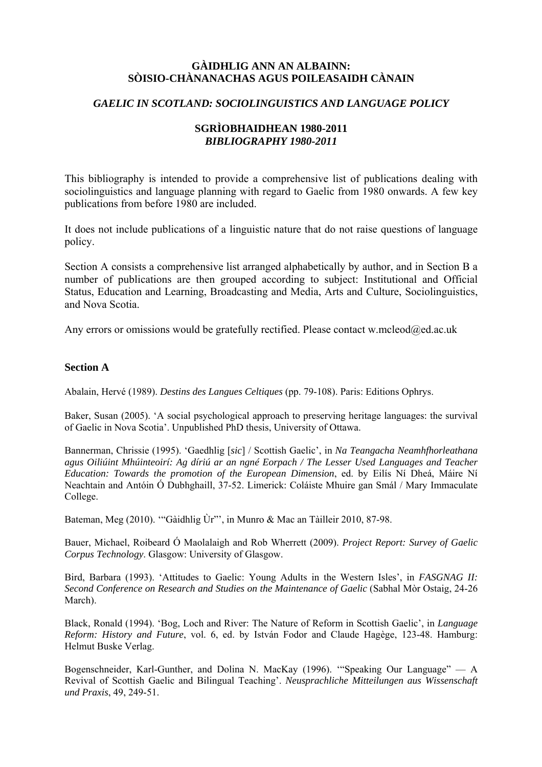# **GÀIDHLIG ANN AN ALBAINN: SÒISIO-CHÀNANACHAS AGUS POILEASAIDH CÀNAIN**

## *GAELIC IN SCOTLAND: SOCIOLINGUISTICS AND LANGUAGE POLICY*

## **SGRÌOBHAIDHEAN 1980-2011**  *BIBLIOGRAPHY 1980-2011*

This bibliography is intended to provide a comprehensive list of publications dealing with sociolinguistics and language planning with regard to Gaelic from 1980 onwards. A few key publications from before 1980 are included.

It does not include publications of a linguistic nature that do not raise questions of language policy.

Section A consists a comprehensive list arranged alphabetically by author, and in Section B a number of publications are then grouped according to subject: Institutional and Official Status, Education and Learning, Broadcasting and Media, Arts and Culture, Sociolinguistics, and Nova Scotia.

Any errors or omissions would be gratefully rectified. Please contact w.mcleod@ed.ac.uk

#### **Section A**

Abalain, Hervé (1989). *Destins des Langues Celtiques* (pp. 79-108). Paris: Editions Ophrys.

Baker, Susan (2005). 'A social psychological approach to preserving heritage languages: the survival of Gaelic in Nova Scotia'. Unpublished PhD thesis, University of Ottawa.

Bannerman, Chrissie (1995). 'Gaedhlig [*sic*] / Scottish Gaelic', in *Na Teangacha Neamhfhorleathana agus Oiliúint Mhúinteoirí: Ag díriú ar an ngné Eorpach / The Lesser Used Languages and Teacher Education: Towards the promotion of the European Dimension*, ed. by Eilís Ní Dheá, Máire Ní Neachtain and Antóin Ó Dubhghaill, 37-52. Limerick: Coláiste Mhuire gan Smál / Mary Immaculate College.

Bateman, Meg (2010). "Gàidhlig Ùr"', in Munro & Mac an Tàilleir 2010, 87-98.

Bauer, Michael, Roibeard Ó Maolalaigh and Rob Wherrett (2009). *Project Report: Survey of Gaelic Corpus Technology*. Glasgow: University of Glasgow.

Bird, Barbara (1993). 'Attitudes to Gaelic: Young Adults in the Western Isles', in *FASGNAG II: Second Conference on Research and Studies on the Maintenance of Gaelic* (Sabhal Mòr Ostaig, 24-26 March).

Black, Ronald (1994). 'Bog, Loch and River: The Nature of Reform in Scottish Gaelic', in *Language Reform: History and Future*, vol. 6, ed. by István Fodor and Claude Hagège, 123-48. Hamburg: Helmut Buske Verlag.

Bogenschneider, Karl-Gunther, and Dolina N. MacKay (1996). '"Speaking Our Language" — A Revival of Scottish Gaelic and Bilingual Teaching'. *Neusprachliche Mitteilungen aus Wissenschaft und Praxis*, 49, 249-51.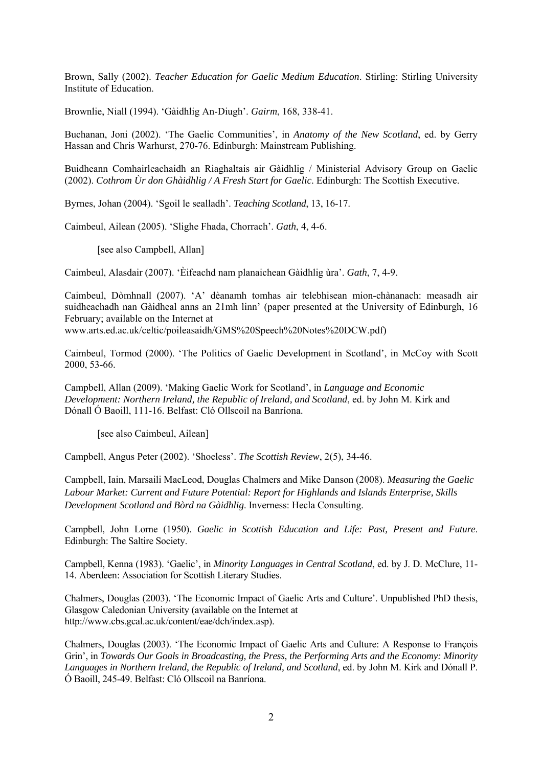Brown, Sally (2002). *Teacher Education for Gaelic Medium Education*. Stirling: Stirling University Institute of Education.

Brownlie, Niall (1994). 'Gàidhlig An-Diugh'. *Gairm*, 168, 338-41.

Buchanan, Joni (2002). 'The Gaelic Communities', in *Anatomy of the New Scotland*, ed. by Gerry Hassan and Chris Warhurst, 270-76. Edinburgh: Mainstream Publishing.

Buidheann Comhairleachaidh an Riaghaltais air Gàidhlig / Ministerial Advisory Group on Gaelic (2002). *Cothrom Ùr don Ghàidhlig / A Fresh Start for Gaelic*. Edinburgh: The Scottish Executive.

Byrnes, Johan (2004). 'Sgoil le sealladh'. *Teaching Scotland*, 13, 16-17.

Caimbeul, Ailean (2005). 'Slighe Fhada, Chorrach'. *Gath*, 4, 4-6.

[see also Campbell, Allan]

Caimbeul, Alasdair (2007). 'Èifeachd nam planaichean Gàidhlig ùra'. *Gath*, 7, 4-9.

Caimbeul, Dòmhnall (2007). 'A' dèanamh tomhas air telebhisean mion-chànanach: measadh air suidheachadh nan Gàidheal anns an 21mh linn' (paper presented at the University of Edinburgh, 16 February; available on the Internet at

www.arts.ed.ac.uk/celtic/poileasaidh/GMS%20Speech%20Notes%20DCW.pdf)

Caimbeul, Tormod (2000). 'The Politics of Gaelic Development in Scotland', in McCoy with Scott 2000, 53-66.

Campbell, Allan (2009). 'Making Gaelic Work for Scotland', in *Language and Economic Development: Northern Ireland, the Republic of Ireland, and Scotland*, ed. by John M. Kirk and Dónall Ó Baoill, 111-16. Belfast: Cló Ollscoil na Banríona.

[see also Caimbeul, Ailean]

Campbell, Angus Peter (2002). 'Shoeless'. *The Scottish Review*, 2(5), 34-46.

Campbell, Iain, Marsaili MacLeod, Douglas Chalmers and Mike Danson (2008). *Measuring the Gaelic Labour Market: Current and Future Potential: Report for Highlands and Islands Enterprise, Skills Development Scotland and Bòrd na Gàidhlig*. Inverness: Hecla Consulting.

Campbell, John Lorne (1950). *Gaelic in Scottish Education and Life: Past, Present and Future*. Edinburgh: The Saltire Society.

Campbell, Kenna (1983). 'Gaelic', in *Minority Languages in Central Scotland*, ed. by J. D. McClure, 11- 14. Aberdeen: Association for Scottish Literary Studies.

Chalmers, Douglas (2003). 'The Economic Impact of Gaelic Arts and Culture'. Unpublished PhD thesis, Glasgow Caledonian University (available on the Internet at http://www.cbs.gcal.ac.uk/content/eae/dch/index.asp).

Chalmers, Douglas (2003). 'The Economic Impact of Gaelic Arts and Culture: A Response to François Grin', in *Towards Our Goals in Broadcasting, the Press, the Performing Arts and the Economy: Minority Languages in Northern Ireland, the Republic of Ireland, and Scotland*, ed. by John M. Kirk and Dónall P. Ó Baoill, 245-49. Belfast: Cló Ollscoil na Banríona.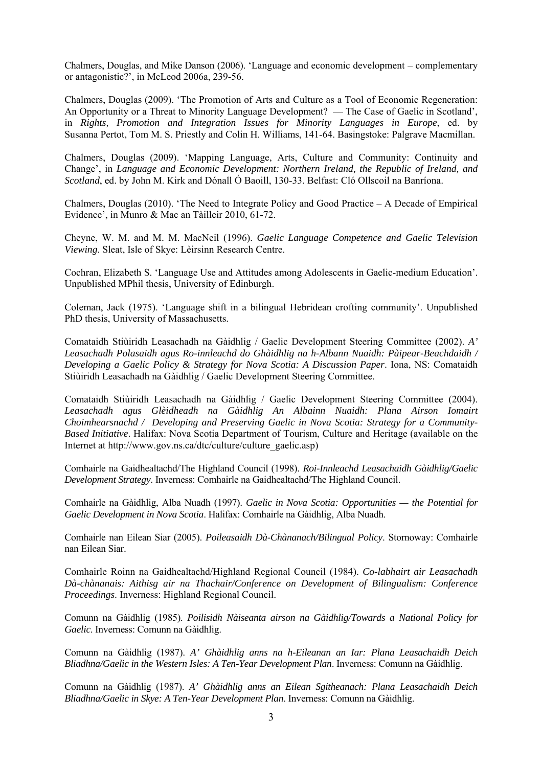Chalmers, Douglas, and Mike Danson (2006). 'Language and economic development – complementary or antagonistic?', in McLeod 2006a, 239-56.

Chalmers, Douglas (2009). 'The Promotion of Arts and Culture as a Tool of Economic Regeneration: An Opportunity or a Threat to Minority Language Development? — The Case of Gaelic in Scotland', in *Rights, Promotion and Integration Issues for Minority Languages in Europe*, ed. by Susanna Pertot, Tom M. S. Priestly and Colin H. Williams, 141-64. Basingstoke: Palgrave Macmillan.

Chalmers, Douglas (2009). 'Mapping Language, Arts, Culture and Community: Continuity and Change', in *Language and Economic Development: Northern Ireland, the Republic of Ireland, and Scotland*, ed. by John M. Kirk and Dónall Ó Baoill, 130-33. Belfast: Cló Ollscoil na Banríona.

Chalmers, Douglas (2010). 'The Need to Integrate Policy and Good Practice – A Decade of Empirical Evidence', in Munro & Mac an Tàilleir 2010, 61-72.

Cheyne, W. M. and M. M. MacNeil (1996). *Gaelic Language Competence and Gaelic Television Viewing*. Sleat, Isle of Skye: Lèirsinn Research Centre.

Cochran, Elizabeth S. 'Language Use and Attitudes among Adolescents in Gaelic-medium Education'. Unpublished MPhil thesis, University of Edinburgh.

Coleman, Jack (1975). 'Language shift in a bilingual Hebridean crofting community'. Unpublished PhD thesis, University of Massachusetts.

Comataidh Stiùiridh Leasachadh na Gàidhlig / Gaelic Development Steering Committee (2002). *A' Leasachadh Polasaidh agus Ro-innleachd do Ghàidhlig na h-Albann Nuaidh: Pàipear-Beachdaidh / Developing a Gaelic Policy & Strategy for Nova Scotia: A Discussion Paper*. Iona, NS: Comataidh Stiùiridh Leasachadh na Gàidhlig / Gaelic Development Steering Committee.

Comataidh Stiùiridh Leasachadh na Gàidhlig / Gaelic Development Steering Committee (2004). *Leasachadh agus Glèidheadh na Gàidhlig An Albainn Nuaidh: Plana Airson Iomairt Choimhearsnachd / Developing and Preserving Gaelic in Nova Scotia: Strategy for a Community-Based Initiative*. Halifax: Nova Scotia Department of Tourism, Culture and Heritage (available on the Internet at http://www.gov.ns.ca/dtc/culture/culture\_gaelic.asp)

Comhairle na Gaidhealtachd/The Highland Council (1998). *Roi-Innleachd Leasachaidh Gàidhlig/Gaelic Development Strategy*. Inverness: Comhairle na Gaidhealtachd/The Highland Council.

Comhairle na Gàidhlig, Alba Nuadh (1997). *Gaelic in Nova Scotia: Opportunities — the Potential for Gaelic Development in Nova Scotia*. Halifax: Comhairle na Gàidhlig, Alba Nuadh.

Comhairle nan Eilean Siar (2005). *Poileasaidh Dà-Chànanach/Bilingual Policy*. Stornoway: Comhairle nan Eilean Siar.

Comhairle Roinn na Gaidhealtachd/Highland Regional Council (1984). *Co-labhairt air Leasachadh Dà-chànanais: Aithisg air na Thachair/Conference on Development of Bilingualism: Conference Proceedings*. Inverness: Highland Regional Council.

Comunn na Gàidhlig (1985). *Poilisidh Nàiseanta airson na Gàidhlig/Towards a National Policy for Gaelic*. Inverness: Comunn na Gàidhlig.

Comunn na Gàidhlig (1987). *A' Ghàidhlig anns na h-Eileanan an Iar: Plana Leasachaidh Deich Bliadhna/Gaelic in the Western Isles: A Ten-Year Development Plan*. Inverness: Comunn na Gàidhlig.

Comunn na Gàidhlig (1987). *A' Ghàidhlig anns an Eilean Sgitheanach: Plana Leasachaidh Deich Bliadhna/Gaelic in Skye: A Ten-Year Development Plan*. Inverness: Comunn na Gàidhlig.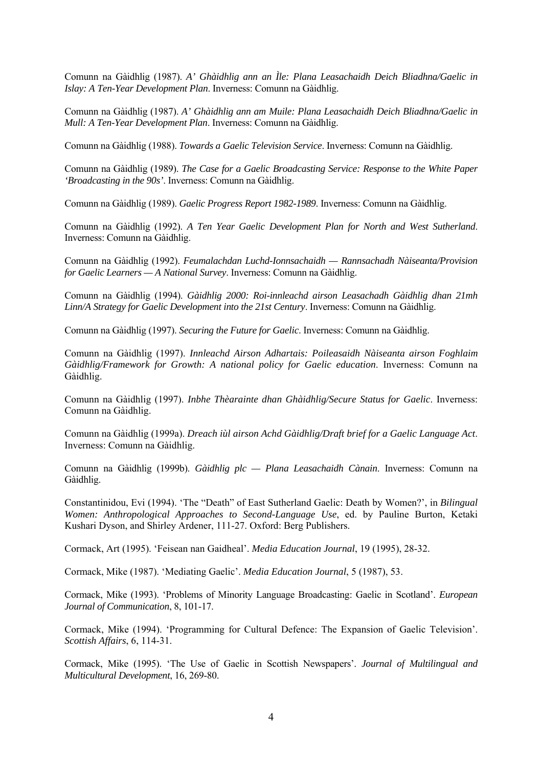Comunn na Gàidhlig (1987). *A' Ghàidhlig ann an Ìle: Plana Leasachaidh Deich Bliadhna/Gaelic in Islay: A Ten-Year Development Plan*. Inverness: Comunn na Gàidhlig.

Comunn na Gàidhlig (1987). *A' Ghàidhlig ann am Muile: Plana Leasachaidh Deich Bliadhna/Gaelic in Mull: A Ten-Year Development Plan*. Inverness: Comunn na Gàidhlig.

Comunn na Gàidhlig (1988). *Towards a Gaelic Television Service*. Inverness: Comunn na Gàidhlig.

Comunn na Gàidhlig (1989). *The Case for a Gaelic Broadcasting Service: Response to the White Paper 'Broadcasting in the 90s'*. Inverness: Comunn na Gàidhlig.

Comunn na Gàidhlig (1989). *Gaelic Progress Report 1982-1989*. Inverness: Comunn na Gàidhlig.

Comunn na Gàidhlig (1992). *A Ten Year Gaelic Development Plan for North and West Sutherland*. Inverness: Comunn na Gàidhlig.

Comunn na Gàidhlig (1992). *Feumalachdan Luchd-Ionnsachaidh — Rannsachadh Nàiseanta/Provision for Gaelic Learners — A National Survey*. Inverness: Comunn na Gàidhlig.

Comunn na Gàidhlig (1994). *Gàidhlig 2000: Roi-innleachd airson Leasachadh Gàidhlig dhan 21mh Linn/A Strategy for Gaelic Development into the 21st Century*. Inverness: Comunn na Gàidhlig.

Comunn na Gàidhlig (1997). *Securing the Future for Gaelic*. Inverness: Comunn na Gàidhlig.

Comunn na Gàidhlig (1997). *Innleachd Airson Adhartais: Poileasaidh Nàiseanta airson Foghlaim Gàidhlig/Framework for Growth: A national policy for Gaelic education*. Inverness: Comunn na Gàidhlig.

Comunn na Gàidhlig (1997). *Inbhe Thèarainte dhan Ghàidhlig/Secure Status for Gaelic*. Inverness: Comunn na Gàidhlig.

Comunn na Gàidhlig (1999a). *Dreach iùl airson Achd Gàidhlig/Draft brief for a Gaelic Language Act*. Inverness: Comunn na Gàidhlig.

Comunn na Gàidhlig (1999b). *Gàidhlig plc — Plana Leasachaidh Cànain*. Inverness: Comunn na Gàidhlig.

Constantinidou, Evi (1994). 'The "Death" of East Sutherland Gaelic: Death by Women?', in *Bilingual Women: Anthropological Approaches to Second-Language Use*, ed. by Pauline Burton, Ketaki Kushari Dyson, and Shirley Ardener, 111-27. Oxford: Berg Publishers.

Cormack, Art (1995). 'Feisean nan Gaidheal'. *Media Education Journal*, 19 (1995), 28-32.

Cormack, Mike (1987). 'Mediating Gaelic'. *Media Education Journal*, 5 (1987), 53.

Cormack, Mike (1993). 'Problems of Minority Language Broadcasting: Gaelic in Scotland'. *European Journal of Communication*, 8, 101-17.

Cormack, Mike (1994). 'Programming for Cultural Defence: The Expansion of Gaelic Television'. *Scottish Affairs*, 6, 114-31.

Cormack, Mike (1995). 'The Use of Gaelic in Scottish Newspapers'. *Journal of Multilingual and Multicultural Development*, 16, 269-80.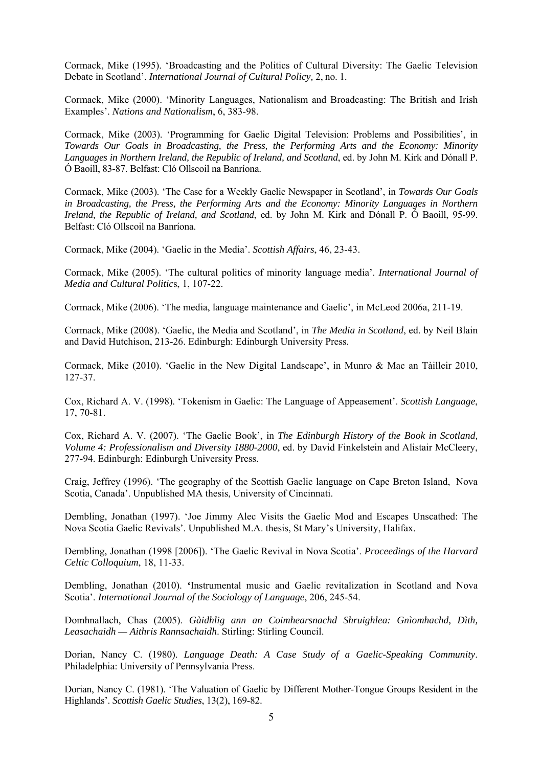Cormack, Mike (1995). 'Broadcasting and the Politics of Cultural Diversity: The Gaelic Television Debate in Scotland'. *International Journal of Cultural Policy,* 2, no. 1.

Cormack, Mike (2000). 'Minority Languages, Nationalism and Broadcasting: The British and Irish Examples'. *Nations and Nationalism*, 6, 383-98.

Cormack, Mike (2003). 'Programming for Gaelic Digital Television: Problems and Possibilities', in *Towards Our Goals in Broadcasting, the Press, the Performing Arts and the Economy: Minority Languages in Northern Ireland, the Republic of Ireland, and Scotland*, ed. by John M. Kirk and Dónall P. Ó Baoill, 83-87. Belfast: Cló Ollscoil na Banríona.

Cormack, Mike (2003). 'The Case for a Weekly Gaelic Newspaper in Scotland', in *Towards Our Goals in Broadcasting, the Press, the Performing Arts and the Economy: Minority Languages in Northern Ireland, the Republic of Ireland, and Scotland*, ed. by John M. Kirk and Dónall P. Ó Baoill, 95-99. Belfast: Cló Ollscoil na Banríona.

Cormack, Mike (2004). 'Gaelic in the Media'. *Scottish Affairs*, 46, 23-43.

Cormack, Mike (2005). 'The cultural politics of minority language media'. *International Journal of Media and Cultural Politic*s, 1, 107-22.

Cormack, Mike (2006). 'The media, language maintenance and Gaelic', in McLeod 2006a, 211-19.

Cormack, Mike (2008). 'Gaelic, the Media and Scotland', in *The Media in Scotland*, ed. by Neil Blain and David Hutchison, 213-26. Edinburgh: Edinburgh University Press.

Cormack, Mike (2010). 'Gaelic in the New Digital Landscape', in Munro & Mac an Tàilleir 2010, 127-37.

Cox, Richard A. V. (1998). 'Tokenism in Gaelic: The Language of Appeasement'. *Scottish Language*, 17, 70-81.

Cox, Richard A. V. (2007). 'The Gaelic Book', in *The Edinburgh History of the Book in Scotland, Volume 4: Professionalism and Diversity 1880-2000*, ed. by David Finkelstein and Alistair McCleery, 277-94. Edinburgh: Edinburgh University Press.

Craig, Jeffrey (1996). 'The geography of the Scottish Gaelic language on Cape Breton Island, Nova Scotia, Canada'. Unpublished MA thesis, University of Cincinnati.

Dembling, Jonathan (1997). 'Joe Jimmy Alec Visits the Gaelic Mod and Escapes Unscathed: The Nova Scotia Gaelic Revivals'. Unpublished M.A. thesis, St Mary's University, Halifax.

Dembling, Jonathan (1998 [2006]). 'The Gaelic Revival in Nova Scotia'. *Proceedings of the Harvard Celtic Colloquium*, 18, 11-33.

Dembling, Jonathan (2010). **'**Instrumental music and Gaelic revitalization in Scotland and Nova Scotia'. *International Journal of the Sociology of Language*, 206, 245-54.

Domhnallach, Chas (2005). *Gàidhlig ann an Coimhearsnachd Shruighlea: Gnìomhachd, Dìth, Leasachaidh — Aithris Rannsachaidh*. Stirling: Stirling Council.

Dorian, Nancy C. (1980). *Language Death: A Case Study of a Gaelic-Speaking Community*. Philadelphia: University of Pennsylvania Press.

Dorian, Nancy C. (1981). 'The Valuation of Gaelic by Different Mother-Tongue Groups Resident in the Highlands'. *Scottish Gaelic Studies*, 13(2), 169-82.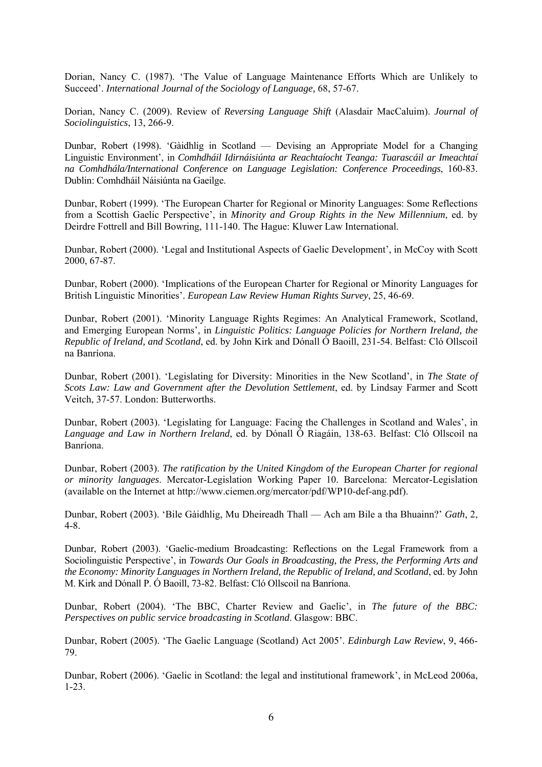Dorian, Nancy C. (1987). 'The Value of Language Maintenance Efforts Which are Unlikely to Succeed'. *International Journal of the Sociology of Language,* 68, 57-67.

Dorian, Nancy C. (2009). Review of *Reversing Language Shift* (Alasdair MacCaluim). *Journal of Sociolinguistics*, 13, 266-9.

Dunbar, Robert (1998). 'Gàidhlig in Scotland — Devising an Appropriate Model for a Changing Linguistic Environment', in *Comhdháil Idirnáisiúnta ar Reachtaíocht Teanga: Tuarascáil ar Imeachtaí na Comhdhála/International Conference on Language Legislation: Conference Proceedings*, 160-83. Dublin: Comhdháil Náisiúnta na Gaeilge.

Dunbar, Robert (1999). 'The European Charter for Regional or Minority Languages: Some Reflections from a Scottish Gaelic Perspective', in *Minority and Group Rights in the New Millennium*, ed. by Deirdre Fottrell and Bill Bowring, 111-140. The Hague: Kluwer Law International.

Dunbar, Robert (2000). 'Legal and Institutional Aspects of Gaelic Development', in McCoy with Scott 2000, 67-87.

Dunbar, Robert (2000). 'Implications of the European Charter for Regional or Minority Languages for British Linguistic Minorities'. *European Law Review Human Rights Survey*, 25, 46-69.

Dunbar, Robert (2001). 'Minority Language Rights Regimes: An Analytical Framework, Scotland, and Emerging European Norms', in *Linguistic Politics: Language Policies for Northern Ireland, the Republic of Ireland, and Scotland*, ed. by John Kirk and Dónall Ó Baoill, 231-54. Belfast: Cló Ollscoil na Banríona.

Dunbar, Robert (2001). 'Legislating for Diversity: Minorities in the New Scotland', in *The State of Scots Law: Law and Government after the Devolution Settlement*, ed. by Lindsay Farmer and Scott Veitch, 37-57. London: Butterworths.

Dunbar, Robert (2003). 'Legislating for Language: Facing the Challenges in Scotland and Wales', in *Language and Law in Northern Ireland*, ed. by Dónall Ó Riagáin, 138-63. Belfast: Cló Ollscoil na Banríona.

Dunbar, Robert (2003). *The ratification by the United Kingdom of the European Charter for regional or minority languages*. Mercator-Legislation Working Paper 10. Barcelona: Mercator-Legislation (available on the Internet at http://www.ciemen.org/mercator/pdf/WP10-def-ang.pdf).

Dunbar, Robert (2003). 'Bile Gàidhlig, Mu Dheireadh Thall — Ach am Bile a tha Bhuainn?' *Gath*, 2, 4-8.

Dunbar, Robert (2003). 'Gaelic-medium Broadcasting: Reflections on the Legal Framework from a Sociolinguistic Perspective', in *Towards Our Goals in Broadcasting, the Press, the Performing Arts and the Economy: Minority Languages in Northern Ireland, the Republic of Ireland, and Scotland*, ed. by John M. Kirk and Dónall P. Ó Baoill, 73-82. Belfast: Cló Ollscoil na Banríona.

Dunbar, Robert (2004). 'The BBC, Charter Review and Gaelic', in *The future of the BBC: Perspectives on public service broadcasting in Scotland*. Glasgow: BBC.

Dunbar, Robert (2005). 'The Gaelic Language (Scotland) Act 2005'. *Edinburgh Law Review*, 9, 466- 79.

Dunbar, Robert (2006). 'Gaelic in Scotland: the legal and institutional framework', in McLeod 2006a, 1-23.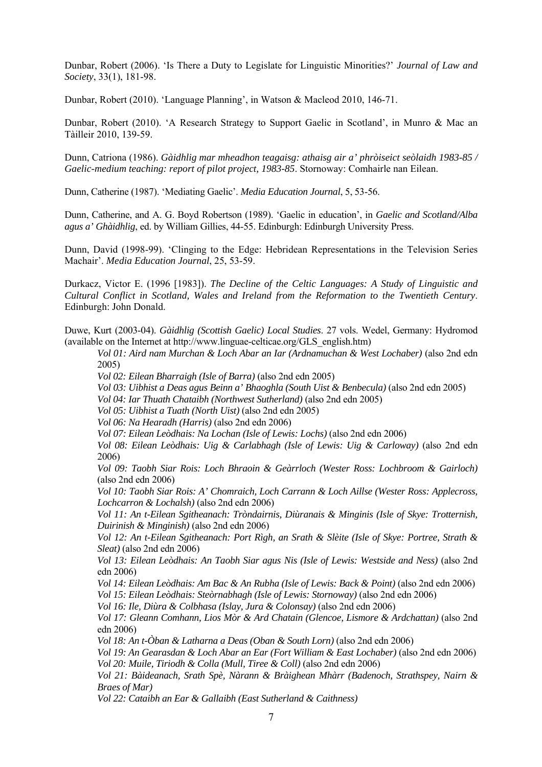Dunbar, Robert (2006). 'Is There a Duty to Legislate for Linguistic Minorities?' *Journal of Law and Society*, 33(1), 181-98.

Dunbar, Robert (2010). 'Language Planning', in Watson & Macleod 2010, 146-71.

Dunbar, Robert (2010). 'A Research Strategy to Support Gaelic in Scotland', in Munro & Mac an Tàilleir 2010, 139-59.

Dunn, Catriona (1986). *Gàidhlig mar mheadhon teagaisg: athaisg air a' phròiseict seòlaidh 1983-85 / Gaelic-medium teaching: report of pilot project, 1983-85*. Stornoway: Comhairle nan Eilean.

Dunn, Catherine (1987). 'Mediating Gaelic'. *Media Education Journal*, 5, 53-56.

Dunn, Catherine, and A. G. Boyd Robertson (1989). 'Gaelic in education', in *Gaelic and Scotland/Alba agus a' Ghàidhlig*, ed. by William Gillies, 44-55. Edinburgh: Edinburgh University Press.

Dunn, David (1998-99). 'Clinging to the Edge: Hebridean Representations in the Television Series Machair'. *Media Education Journal*, 25, 53-59.

Durkacz, Victor E. (1996 [1983]). *The Decline of the Celtic Languages: A Study of Linguistic and Cultural Conflict in Scotland, Wales and Ireland from the Reformation to the Twentieth Century*. Edinburgh: John Donald.

Duwe, Kurt (2003-04). *Gàidhlig (Scottish Gaelic) Local Studies*. 27 vols. Wedel, Germany: Hydromod (available on the Internet at http://www.linguae-celticae.org/GLS\_english.htm)

*Vol 01: Aird nam Murchan & Loch Abar an Iar (Ardnamuchan & West Lochaber)* (also 2nd edn 2005)

*Vol 02: Eilean Bharraigh (Isle of Barra)* (also 2nd edn 2005)

*Vol 03: Uibhist a Deas agus Beinn a' Bhaoghla (South Uist & Benbecula)* (also 2nd edn 2005)

*Vol 04: Iar Thuath Chataibh (Northwest Sutherland)* (also 2nd edn 2005)

*Vol 05: Uibhist a Tuath (North Uist)* (also 2nd edn 2005)

*Vol 06: Na Hearadh (Harris)* (also 2nd edn 2006)

 *Vol 07: Eilean Leòdhais: Na Lochan (Isle of Lewis: Lochs)* (also 2nd edn 2006)

*Vol 08: Eilean Leòdhais: Uig & Carlabhagh (Isle of Lewis: Uig & Carloway)* (also 2nd edn 2006)

*Vol 09: Taobh Siar Rois: Loch Bhraoin & Geàrrloch (Wester Ross: Lochbroom & Gairloch)* (also 2nd edn 2006)

*Vol 10: Taobh Siar Rois: A' Chomraich, Loch Carrann & Loch Aillse (Wester Ross: Applecross, Lochcarron & Lochalsh)* (also 2nd edn 2006)

*Vol 11: An t-Eilean Sgitheanach: Tròndairnis, Diùranais & Minginis (Isle of Skye: Trotternish, Duirinish & Minginish)* (also 2nd edn 2006)

*Vol 12: An t-Eilean Sgitheanach: Port Rìgh, an Srath & Slèite (Isle of Skye: Portree, Strath & Sleat)* (also 2nd edn 2006)

*Vol 13: Eilean Leòdhais: An Taobh Siar agus Nis (Isle of Lewis: Westside and Ness)* (also 2nd edn 2006)

*Vol 14: Eilean Leòdhais: Am Bac & An Rubha (Isle of Lewis: Back & Point)* (also 2nd edn 2006)  *Vol 15: Eilean Leòdhais: Steòrnabhagh (Isle of Lewis: Stornoway)* (also 2nd edn 2006)

 *Vol 16: Ile, Diùra & Colbhasa (Islay, Jura & Colonsay)* (also 2nd edn 2006)

*Vol 17: Gleann Comhann, Lios Mòr & Ard Chatain (Glencoe, Lismore & Ardchattan)* (also 2nd edn 2006)

 *Vol 18: An t-Òban & Latharna a Deas (Oban & South Lorn)* (also 2nd edn 2006)

*Vol 19: An Gearasdan & Loch Abar an Ear (Fort William & East Lochaber)* (also 2nd edn 2006)  *Vol 20: Muile, Tiriodh & Colla (Mull, Tiree & Coll)* (also 2nd edn 2006)

*Vol 21: Bàideanach, Srath Spè, Nàrann & Bràighean Mhàrr (Badenoch, Strathspey, Nairn & Braes of Mar)* 

*Vol 22: Cataibh an Ear & Gallaibh (East Sutherland & Caithness)*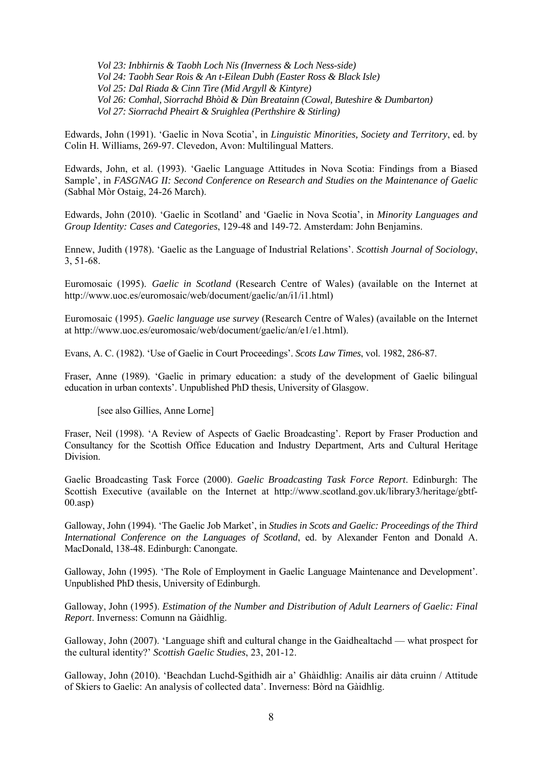*Vol 23: Inbhirnis & Taobh Loch Nis (Inverness & Loch Ness-side) Vol 24: Taobh Sear Rois & An t-Eilean Dubh (Easter Ross & Black Isle) Vol 25: Dal Riada & Cinn Tìre (Mid Argyll & Kintyre) Vol 26: Comhal, Siorrachd Bhòid & Dùn Breatainn (Cowal, Buteshire & Dumbarton) Vol 27: Siorrachd Pheairt & Sruighlea (Perthshire & Stirling)* 

Edwards, John (1991). 'Gaelic in Nova Scotia', in *Linguistic Minorities, Society and Territory*, ed. by Colin H. Williams, 269-97. Clevedon, Avon: Multilingual Matters.

Edwards, John, et al. (1993). 'Gaelic Language Attitudes in Nova Scotia: Findings from a Biased Sample', in *FASGNAG II: Second Conference on Research and Studies on the Maintenance of Gaelic* (Sabhal Mòr Ostaig, 24-26 March).

Edwards, John (2010). 'Gaelic in Scotland' and 'Gaelic in Nova Scotia', in *Minority Languages and Group Identity: Cases and Categories*, 129-48 and 149-72. Amsterdam: John Benjamins.

Ennew, Judith (1978). 'Gaelic as the Language of Industrial Relations'. *Scottish Journal of Sociology*, 3, 51-68.

Euromosaic (1995). *Gaelic in Scotland* (Research Centre of Wales) (available on the Internet at http://www.uoc.es/euromosaic/web/document/gaelic/an/i1/i1.html)

Euromosaic (1995). *Gaelic language use survey* (Research Centre of Wales) (available on the Internet at http://www.uoc.es/euromosaic/web/document/gaelic/an/e1/e1.html).

Evans, A. C. (1982). 'Use of Gaelic in Court Proceedings'. *Scots Law Times*, vol. 1982, 286-87.

Fraser, Anne (1989). 'Gaelic in primary education: a study of the development of Gaelic bilingual education in urban contexts'. Unpublished PhD thesis, University of Glasgow.

[see also Gillies, Anne Lorne]

Fraser, Neil (1998). 'A Review of Aspects of Gaelic Broadcasting'. Report by Fraser Production and Consultancy for the Scottish Office Education and Industry Department, Arts and Cultural Heritage Division.

Gaelic Broadcasting Task Force (2000). *Gaelic Broadcasting Task Force Report*. Edinburgh: The Scottish Executive (available on the Internet at http://www.scotland.gov.uk/library3/heritage/gbtf-00.asp)

Galloway, John (1994). 'The Gaelic Job Market', in *Studies in Scots and Gaelic: Proceedings of the Third International Conference on the Languages of Scotland*, ed. by Alexander Fenton and Donald A. MacDonald, 138-48. Edinburgh: Canongate.

Galloway, John (1995). 'The Role of Employment in Gaelic Language Maintenance and Development'. Unpublished PhD thesis, University of Edinburgh.

Galloway, John (1995). *Estimation of the Number and Distribution of Adult Learners of Gaelic: Final Report*. Inverness: Comunn na Gàidhlig.

Galloway, John (2007). 'Language shift and cultural change in the Gaidhealtachd — what prospect for the cultural identity?' *Scottish Gaelic Studies*, 23, 201-12.

Galloway, John (2010). 'Beachdan Luchd-Sgithidh air a' Ghàidhlig: Anailis air dàta cruinn / Attitude of Skiers to Gaelic: An analysis of collected data'. Inverness: Bòrd na Gàidhlig.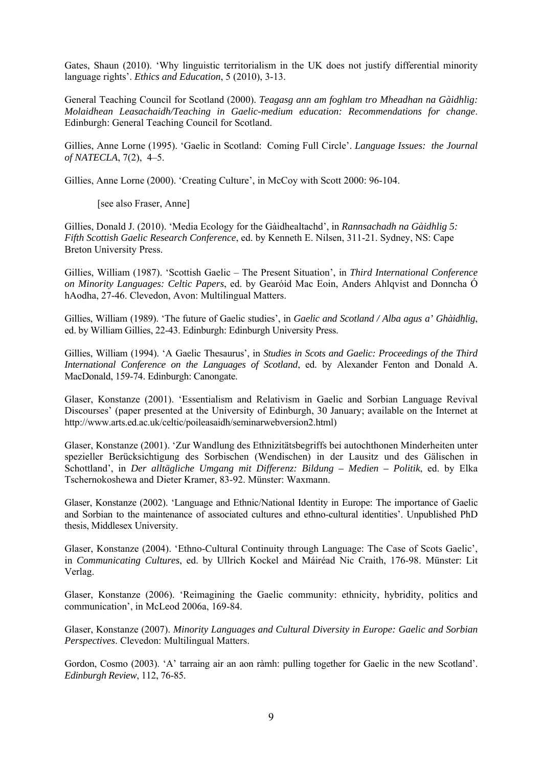Gates, Shaun (2010). 'Why linguistic territorialism in the UK does not justify differential minority language rights'. *Ethics and Education*, 5 (2010), 3-13.

General Teaching Council for Scotland (2000). *Teagasg ann am foghlam tro Mheadhan na Gàidhlig: Molaidhean Leasachaidh/Teaching in Gaelic-medium education: Recommendations for change*. Edinburgh: General Teaching Council for Scotland.

Gillies, Anne Lorne (1995). 'Gaelic in Scotland: Coming Full Circle'. *Language Issues: the Journal of NATECLA*, 7(2), 4–5.

Gillies, Anne Lorne (2000). 'Creating Culture', in McCoy with Scott 2000: 96-104.

[see also Fraser, Anne]

Gillies, Donald J. (2010). 'Media Ecology for the Gàidhealtachd', in *Rannsachadh na Gàidhlig 5: Fifth Scottish Gaelic Research Conference*, ed. by Kenneth E. Nilsen, 311-21. Sydney, NS: Cape Breton University Press.

Gillies, William (1987). 'Scottish Gaelic – The Present Situation', in *Third International Conference on Minority Languages: Celtic Papers*, ed. by Gearóid Mac Eoin, Anders Ahlqvist and Donncha Ó hAodha, 27-46. Clevedon, Avon: Multilingual Matters.

Gillies, William (1989). 'The future of Gaelic studies', in *Gaelic and Scotland / Alba agus a' Ghàidhlig*, ed. by William Gillies, 22-43. Edinburgh: Edinburgh University Press.

Gillies, William (1994). 'A Gaelic Thesaurus', in *Studies in Scots and Gaelic: Proceedings of the Third International Conference on the Languages of Scotland*, ed. by Alexander Fenton and Donald A. MacDonald, 159-74. Edinburgh: Canongate.

Glaser, Konstanze (2001). 'Essentialism and Relativism in Gaelic and Sorbian Language Revival Discourses' (paper presented at the University of Edinburgh, 30 January; available on the Internet at http://www.arts.ed.ac.uk/celtic/poileasaidh/seminarwebversion2.html)

Glaser, Konstanze (2001). 'Zur Wandlung des Ethnizitätsbegriffs bei autochthonen Minderheiten unter spezieller Berücksichtigung des Sorbischen (Wendischen) in der Lausitz und des Gälischen in Schottland', in *Der alltägliche Umgang mit Differenz: Bildung – Medien – Politik*, ed. by Elka Tschernokoshewa and Dieter Kramer, 83-92. Münster: Waxmann.

Glaser, Konstanze (2002). 'Language and Ethnic/National Identity in Europe: The importance of Gaelic and Sorbian to the maintenance of associated cultures and ethno-cultural identities'. Unpublished PhD thesis, Middlesex University.

Glaser, Konstanze (2004). 'Ethno-Cultural Continuity through Language: The Case of Scots Gaelic', in *Communicating Cultures*, ed. by Ullrich Kockel and Máiréad Nic Craith, 176-98. Münster: Lit Verlag.

Glaser, Konstanze (2006). 'Reimagining the Gaelic community: ethnicity, hybridity, politics and communication', in McLeod 2006a, 169-84.

Glaser, Konstanze (2007). *Minority Languages and Cultural Diversity in Europe: Gaelic and Sorbian Perspectives*. Clevedon: Multilingual Matters.

Gordon, Cosmo (2003). 'A' tarraing air an aon ràmh: pulling together for Gaelic in the new Scotland'. *Edinburgh Review*, 112, 76-85.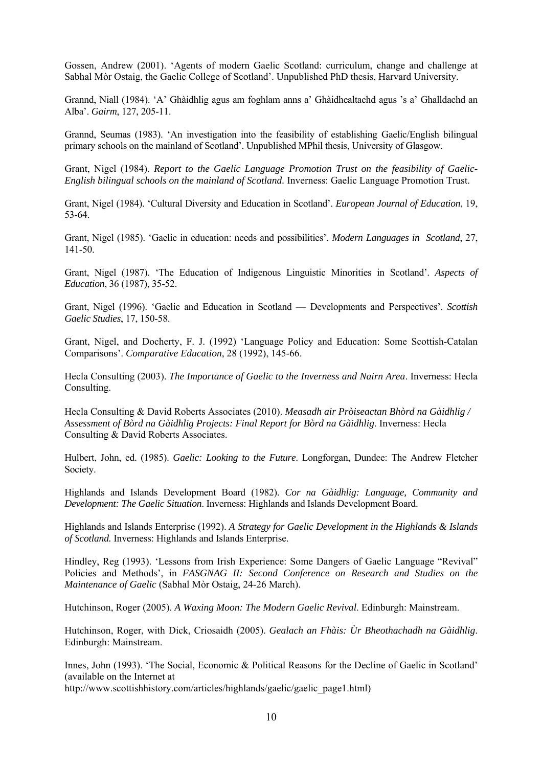Gossen, Andrew (2001). 'Agents of modern Gaelic Scotland: curriculum, change and challenge at Sabhal Mòr Ostaig, the Gaelic College of Scotland'. Unpublished PhD thesis, Harvard University.

Grannd, Niall (1984). 'A' Ghàidhlig agus am foghlam anns a' Ghàidhealtachd agus 's a' Ghalldachd an Alba'. *Gairm*, 127, 205-11.

Grannd, Seumas (1983). 'An investigation into the feasibility of establishing Gaelic/English bilingual primary schools on the mainland of Scotland'. Unpublished MPhil thesis, University of Glasgow.

Grant, Nigel (1984). *Report to the Gaelic Language Promotion Trust on the feasibility of Gaelic-English bilingual schools on the mainland of Scotland.* Inverness: Gaelic Language Promotion Trust.

Grant, Nigel (1984). 'Cultural Diversity and Education in Scotland'. *European Journal of Education*, 19, 53-64.

Grant, Nigel (1985). 'Gaelic in education: needs and possibilities'. *Modern Languages in Scotland*, 27, 141-50.

Grant, Nigel (1987). 'The Education of Indigenous Linguistic Minorities in Scotland'. *Aspects of Education*, 36 (1987), 35-52.

Grant, Nigel (1996). 'Gaelic and Education in Scotland — Developments and Perspectives'. *Scottish Gaelic Studies*, 17, 150-58.

Grant, Nigel, and Docherty, F. J. (1992) 'Language Policy and Education: Some Scottish-Catalan Comparisons'. *Comparative Education*, 28 (1992), 145-66.

Hecla Consulting (2003). *The Importance of Gaelic to the Inverness and Nairn Area*. Inverness: Hecla Consulting.

Hecla Consulting & David Roberts Associates (2010). *Measadh air Pròiseactan Bhòrd na Gàidhlig / Assessment of Bòrd na Gàidhlig Projects: Final Report for Bòrd na Gàidhlig*. Inverness: Hecla Consulting & David Roberts Associates.

Hulbert, John, ed. (1985). *Gaelic: Looking to the Future*. Longforgan, Dundee: The Andrew Fletcher Society.

Highlands and Islands Development Board (1982). *Cor na Gàidhlig: Language, Community and Development: The Gaelic Situation*. Inverness: Highlands and Islands Development Board.

Highlands and Islands Enterprise (1992). *A Strategy for Gaelic Development in the Highlands & Islands of Scotland.* Inverness: Highlands and Islands Enterprise.

Hindley, Reg (1993). 'Lessons from Irish Experience: Some Dangers of Gaelic Language "Revival" Policies and Methods', in *FASGNAG II: Second Conference on Research and Studies on the Maintenance of Gaelic* (Sabhal Mòr Ostaig, 24-26 March).

Hutchinson, Roger (2005). *A Waxing Moon: The Modern Gaelic Revival*. Edinburgh: Mainstream.

Hutchinson, Roger, with Dick, Criosaidh (2005). *Gealach an Fhàis: Ùr Bheothachadh na Gàidhlig*. Edinburgh: Mainstream.

Innes, John (1993). 'The Social, Economic & Political Reasons for the Decline of Gaelic in Scotland' (available on the Internet at

[http://www.scottishhistory.com/articles/highlands/gaelic/gaelic\\_page1.html\)](http://www.scottishhistory.com/articles/highlands/gaelic/gaelic_page1.html)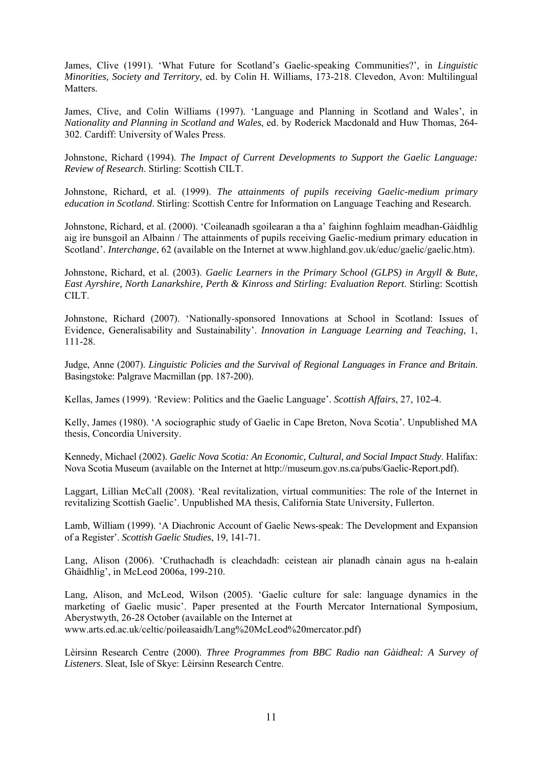James, Clive (1991). 'What Future for Scotland's Gaelic-speaking Communities?', in *Linguistic Minorities, Society and Territory*, ed. by Colin H. Williams, 173-218. Clevedon, Avon: Multilingual Matters.

James, Clive, and Colin Williams (1997). 'Language and Planning in Scotland and Wales', in *Nationality and Planning in Scotland and Wales*, ed. by Roderick Macdonald and Huw Thomas, 264- 302. Cardiff: University of Wales Press.

Johnstone, Richard (1994). *The Impact of Current Developments to Support the Gaelic Language: Review of Research*. Stirling: Scottish CILT.

Johnstone, Richard, et al. (1999). *The attainments of pupils receiving Gaelic-medium primary education in Scotland*. Stirling: Scottish Centre for Information on Language Teaching and Research.

Johnstone, Richard, et al. (2000). 'Coileanadh sgoilearan a tha a' faighinn foghlaim meadhan-Gàidhlig aig ìre bunsgoil an Albainn / The attainments of pupils receiving Gaelic-medium primary education in Scotland'. *Interchange*, 62 (available on the Internet at www.highland.gov.uk/educ/gaelic/gaelic.htm).

Johnstone, Richard, et al. (2003). *Gaelic Learners in the Primary School (GLPS) in Argyll & Bute, East Ayrshire, North Lanarkshire, Perth & Kinross and Stirling: Evaluation Report*. Stirling: Scottish CILT.

Johnstone, Richard (2007). 'Nationally-sponsored Innovations at School in Scotland: Issues of Evidence, Generalisability and Sustainability'. *Innovation in Language Learning and Teaching*, 1, 111-28.

Judge, Anne (2007). *Linguistic Policies and the Survival of Regional Languages in France and Britain*. Basingstoke: Palgrave Macmillan (pp. 187-200).

Kellas, James (1999). 'Review: Politics and the Gaelic Language'. *Scottish Affairs*, 27, 102-4.

Kelly, James (1980). 'A sociographic study of Gaelic in Cape Breton, Nova Scotia'. Unpublished MA thesis, Concordia University.

Kennedy, Michael (2002). *Gaelic Nova Scotia: An Economic, Cultural, and Social Impact Study*. Halifax: Nova Scotia Museum (available on the Internet at http://museum.gov.ns.ca/pubs/Gaelic-Report.pdf).

Laggart, Lillian McCall (2008). 'Real revitalization, virtual communities: The role of the Internet in revitalizing Scottish Gaelic'. Unpublished MA thesis, California State University, Fullerton.

Lamb, William (1999). 'A Diachronic Account of Gaelic News-speak: The Development and Expansion of a Register'. *Scottish Gaelic Studies*, 19, 141-71.

Lang, Alison (2006). 'Cruthachadh is cleachdadh: ceistean air planadh cànain agus na h-ealain Ghàidhlig', in McLeod 2006a, 199-210.

Lang, Alison, and McLeod, Wilson (2005). 'Gaelic culture for sale: language dynamics in the marketing of Gaelic music'. Paper presented at the Fourth Mercator International Symposium, Aberystwyth, 26-28 October (available on the Internet at www.arts.ed.ac.uk/celtic/poileasaidh/Lang%20McLeod%20mercator.pdf)

Lèirsinn Research Centre (2000). *Three Programmes from BBC Radio nan Gàidheal: A Survey of Listeners*. Sleat, Isle of Skye: Lèirsinn Research Centre.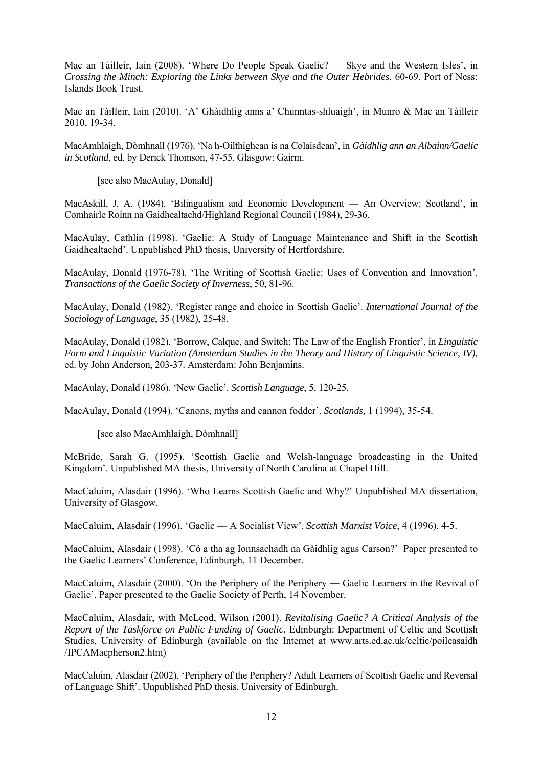Mac an Tàilleir, Iain (2008). 'Where Do People Speak Gaelic? — Skye and the Western Isles', in *Crossing the Minch: Exploring the Links between Skye and the Outer Hebrides*, 60-69. Port of Ness: Islands Book Trust.

Mac an Tàilleir, Iain (2010). 'A' Ghàidhlig anns a' Chunntas-shluaigh', in Munro & Mac an Tàilleir 2010, 19-34.

MacAmhlaigh, Dòmhnall (1976). 'Na h-Oilthighean is na Colaisdean', in *Gàidhlig ann an Albainn/Gaelic in Scotland*, ed. by Derick Thomson, 47-55. Glasgow: Gairm.

[see also MacAulay, Donald]

MacAskill, J. A. (1984). 'Bilingualism and Economic Development ― An Overview: Scotland', in Comhairle Roinn na Gaidhealtachd/Highland Regional Council (1984), 29-36.

MacAulay, Cathlin (1998). 'Gaelic: A Study of Language Maintenance and Shift in the Scottish Gaidhealtachd'. Unpublished PhD thesis, University of Hertfordshire.

MacAulay, Donald (1976-78). 'The Writing of Scottish Gaelic: Uses of Convention and Innovation'. *Transactions of the Gaelic Society of Inverness*, 50, 81-96.

MacAulay, Donald (1982). 'Register range and choice in Scottish Gaelic'. *International Journal of the Sociology of Language*, 35 (1982), 25-48.

MacAulay, Donald (1982). 'Borrow, Calque, and Switch: The Law of the English Frontier', in *Linguistic Form and Linguistic Variation (Amsterdam Studies in the Theory and History of Linguistic Science, IV),* ed. by John Anderson, 203-37. Amsterdam: John Benjamins.

MacAulay, Donald (1986). 'New Gaelic'. *Scottish Language*, 5, 120-25.

MacAulay, Donald (1994). 'Canons, myths and cannon fodder'. *Scotlands*, 1 (1994), 35-54.

[see also MacAmhlaigh, Dòmhnall]

McBride, Sarah G. (1995). 'Scottish Gaelic and Welsh-language broadcasting in the United Kingdom'. Unpublished MA thesis, University of North Carolina at Chapel Hill.

MacCaluim, Alasdair (1996). 'Who Learns Scottish Gaelic and Why?' Unpublished MA dissertation, University of Glasgow.

MacCaluim, Alasdair (1996). 'Gaelic — A Socialist View'. *Scottish Marxist Voice*, 4 (1996), 4-5.

MacCaluim, Alasdair (1998). 'Có a tha ag Ionnsachadh na Gàidhlig agus Carson?' Paper presented to the Gaelic Learners' Conference, Edinburgh, 11 December.

MacCaluim, Alasdair (2000). 'On the Periphery of the Periphery — Gaelic Learners in the Revival of Gaelic'. Paper presented to the Gaelic Society of Perth, 14 November.

MacCaluim, Alasdair, with McLeod, Wilson (2001). *Revitalising Gaelic? A Critical Analysis of the Report of the Taskforce on Public Funding of Gaelic*. Edinburgh: Department of Celtic and Scottish Studies, University of Edinburgh (available on the Internet at www.arts.ed.ac.uk/celtic/poileasaidh /IPCAMacpherson2.htm)

MacCaluim, Alasdair (2002). 'Periphery of the Periphery? Adult Learners of Scottish Gaelic and Reversal of Language Shift'. Unpublished PhD thesis, University of Edinburgh.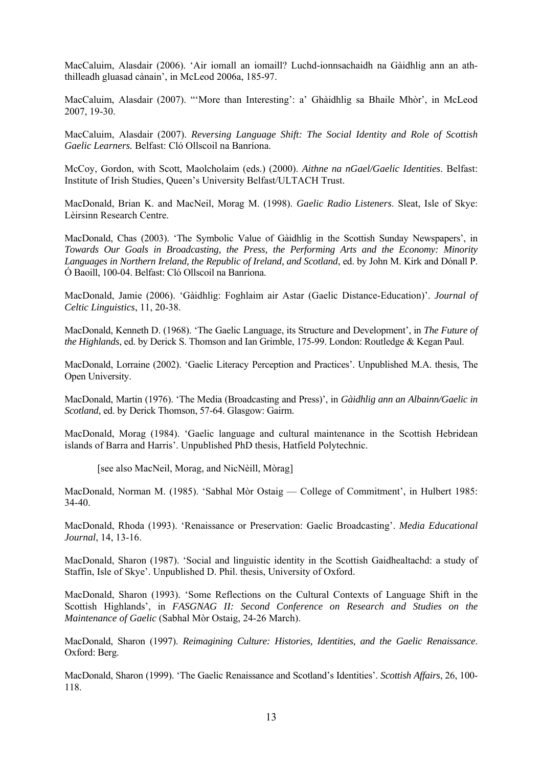MacCaluim, Alasdair (2006). 'Air iomall an iomaill? Luchd-ionnsachaidh na Gàidhlig ann an aththilleadh gluasad cànain', in McLeod 2006a, 185-97.

MacCaluim, Alasdair (2007). "'More than Interesting': a' Ghàidhlig sa Bhaile Mhòr', in McLeod 2007, 19-30.

MacCaluim, Alasdair (2007). *Reversing Language Shift: The Social Identity and Role of Scottish Gaelic Learners.* Belfast: Cló Ollscoil na Banríona.

McCoy, Gordon, with Scott, Maolcholaim (eds.) (2000). *Aithne na nGael/Gaelic Identities*. Belfast: Institute of Irish Studies, Queen's University Belfast/ULTACH Trust.

MacDonald, Brian K. and MacNeil, Morag M. (1998). *Gaelic Radio Listeners*. Sleat, Isle of Skye: Lèirsinn Research Centre.

MacDonald, Chas (2003). 'The Symbolic Value of Gàidhlig in the Scottish Sunday Newspapers', in *Towards Our Goals in Broadcasting, the Press, the Performing Arts and the Economy: Minority Languages in Northern Ireland, the Republic of Ireland, and Scotland*, ed. by John M. Kirk and Dónall P. Ó Baoill, 100-04. Belfast: Cló Ollscoil na Banríona.

MacDonald, Jamie (2006). 'Gàidhlig: Foghlaim air Astar (Gaelic Distance-Education)'. *Journal of Celtic Linguistics*, 11, 20-38.

MacDonald, Kenneth D. (1968). 'The Gaelic Language, its Structure and Development', in *The Future of the Highlands*, ed. by Derick S. Thomson and Ian Grimble, 175-99. London: Routledge & Kegan Paul.

MacDonald, Lorraine (2002). 'Gaelic Literacy Perception and Practices'. Unpublished M.A. thesis, The Open University.

MacDonald, Martin (1976). 'The Media (Broadcasting and Press)', in *Gàidhlig ann an Albainn/Gaelic in Scotland*, ed. by Derick Thomson, 57-64. Glasgow: Gairm.

MacDonald, Morag (1984). 'Gaelic language and cultural maintenance in the Scottish Hebridean islands of Barra and Harris'. Unpublished PhD thesis, Hatfield Polytechnic.

[see also MacNeil, Morag, and NicNèill, Mòrag]

MacDonald, Norman M. (1985). 'Sabhal Mòr Ostaig — College of Commitment', in Hulbert 1985: 34-40.

MacDonald, Rhoda (1993). 'Renaissance or Preservation: Gaelic Broadcasting'. *Media Educational Journal*, 14, 13-16.

MacDonald, Sharon (1987). 'Social and linguistic identity in the Scottish Gaidhealtachd: a study of Staffin, Isle of Skye'. Unpublished D. Phil. thesis, University of Oxford.

MacDonald, Sharon (1993). 'Some Reflections on the Cultural Contexts of Language Shift in the Scottish Highlands', in *FASGNAG II: Second Conference on Research and Studies on the Maintenance of Gaelic* (Sabhal Mòr Ostaig, 24-26 March).

MacDonald, Sharon (1997). *Reimagining Culture: Histories, Identities, and the Gaelic Renaissance*. Oxford: Berg.

MacDonald, Sharon (1999). 'The Gaelic Renaissance and Scotland's Identities'. *Scottish Affairs*, 26, 100- 118.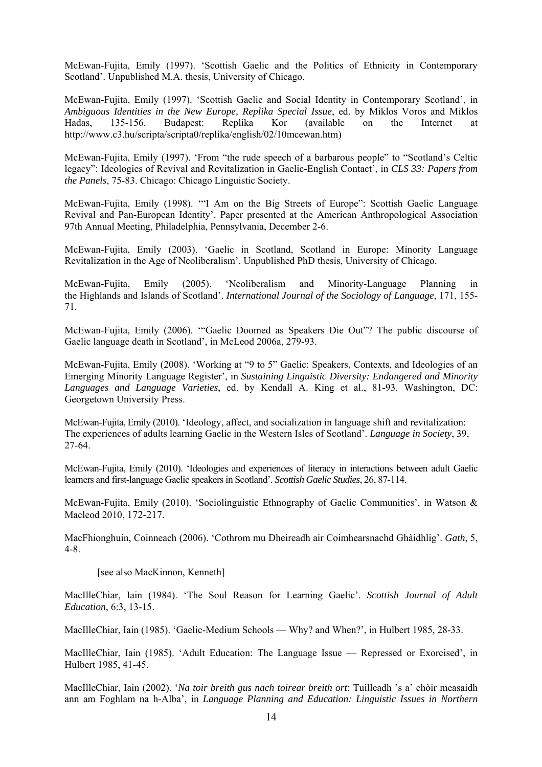McEwan-Fujita, Emily (1997). 'Scottish Gaelic and the Politics of Ethnicity in Contemporary Scotland'. Unpublished M.A. thesis, University of Chicago.

McEwan-Fujita, Emily (1997). 'Scottish Gaelic and Social Identity in Contemporary Scotland', in *Ambiguous Identities in the New Europe, Replika Special Issue*, ed. by Miklos Voros and Miklos Hadas, 135-156. Budapest: Replika Kor (available on the Internet at http://www.c3.hu/scripta/scripta0/replika/english/02/10mcewan.htm)

McEwan-Fujita, Emily (1997). 'From "the rude speech of a barbarous people" to "Scotland's Celtic legacy": Ideologies of Revival and Revitalization in Gaelic-English Contact', in *CLS 33: Papers from the Panels*, 75-83. Chicago: Chicago Linguistic Society.

McEwan-Fujita, Emily (1998). '"I Am on the Big Streets of Europe": Scottish Gaelic Language Revival and Pan-European Identity'. Paper presented at the American Anthropological Association 97th Annual Meeting, Philadelphia, Pennsylvania, December 2-6.

McEwan-Fujita, Emily (2003). 'Gaelic in Scotland, Scotland in Europe: Minority Language Revitalization in the Age of Neoliberalism'. Unpublished PhD thesis, University of Chicago.

McEwan-Fujita, Emily (2005). 'Neoliberalism and Minority-Language Planning in the Highlands and Islands of Scotland'. *International Journal of the Sociology of Language*, 171, 155- 71.

McEwan-Fujita, Emily (2006). '"Gaelic Doomed as Speakers Die Out"? The public discourse of Gaelic language death in Scotland', in McLeod 2006a, 279-93.

McEwan-Fujita, Emily (2008). 'Working at "9 to 5" Gaelic: Speakers, Contexts, and Ideologies of an Emerging Minority Language Register', in *Sustaining Linguistic Diversity: Endangered and Minority Languages and Language Varieties*, ed. by Kendall A. King et al., 81-93. Washington, DC: Georgetown University Press.

McEwan-Fujita, Emily (2010). 'Ideology, affect, and socialization in language shift and revitalization: The experiences of adults learning Gaelic in the Western Isles of Scotland'. *Language in Society*, 39, 27-64.

McEwan-Fujita, Emily (2010). 'Ideologies and experiences of literacy in interactions between adult Gaelic learners and first-language Gaelic speakers in Scotland'. *Scottish Gaelic Studies*, 26, 87-114.

McEwan-Fujita, Emily (2010). 'Sociolinguistic Ethnography of Gaelic Communities', in Watson & Macleod 2010, 172-217.

MacFhionghuin, Coinneach (2006). 'Cothrom mu Dheireadh air Coimhearsnachd Ghàidhlig'. *Gath*, 5, 4-8.

[see also MacKinnon, Kenneth]

MacIlleChiar, Iain (1984). 'The Soul Reason for Learning Gaelic'. *Scottish Journal of Adult Education*, 6:3, 13-15.

MacIlleChiar, Iain (1985). 'Gaelic-Medium Schools — Why? and When?', in Hulbert 1985, 28-33.

MacIlleChiar, Iain (1985). 'Adult Education: The Language Issue — Repressed or Exorcised', in Hulbert 1985, 41-45.

MacIlleChiar, Iain (2002). '*Na toir breith gus nach toirear breith ort*: Tuilleadh 's a' chòir measaidh ann am Foghlam na h-Alba', in *Language Planning and Education: Linguistic Issues in Northern*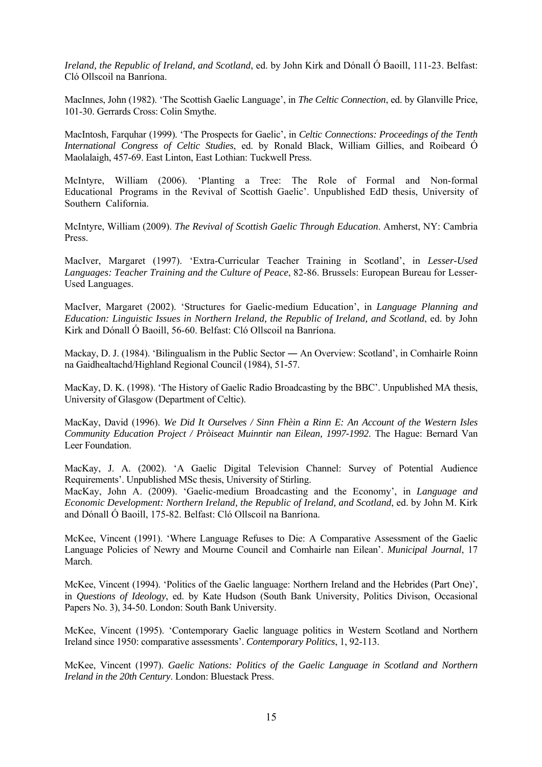*Ireland, the Republic of Ireland, and Scotland*, ed. by John Kirk and Dónall Ó Baoill, 111-23. Belfast: Cló Ollscoil na Banríona.

MacInnes, John (1982). 'The Scottish Gaelic Language', in *The Celtic Connection*, ed. by Glanville Price, 101-30. Gerrards Cross: Colin Smythe.

MacIntosh, Farquhar (1999). 'The Prospects for Gaelic', in *Celtic Connections: Proceedings of the Tenth International Congress of Celtic Studies*, ed. by Ronald Black, William Gillies, and Roibeard Ó Maolalaigh, 457-69. East Linton, East Lothian: Tuckwell Press.

McIntyre, William (2006). 'Planting a Tree: The Role of Formal and Non-formal Educational Programs in the Revival of Scottish Gaelic'. Unpublished EdD thesis, University of Southern California.

McIntyre, William (2009). *The Revival of Scottish Gaelic Through Education*. Amherst, NY: Cambria Press.

MacIver, Margaret (1997). 'Extra-Curricular Teacher Training in Scotland', in *Lesser-Used Languages: Teacher Training and the Culture of Peace*, 82-86. Brussels: European Bureau for Lesser-Used Languages.

MacIver, Margaret (2002). 'Structures for Gaelic-medium Education', in *Language Planning and Education: Linguistic Issues in Northern Ireland, the Republic of Ireland, and Scotland*, ed. by John Kirk and Dónall Ó Baoill, 56-60. Belfast: Cló Ollscoil na Banríona.

Mackay, D. J. (1984). 'Bilingualism in the Public Sector — An Overview: Scotland', in Comhairle Roinn na Gaidhealtachd/Highland Regional Council (1984), 51-57.

MacKay, D. K. (1998). 'The History of Gaelic Radio Broadcasting by the BBC'. Unpublished MA thesis, University of Glasgow (Department of Celtic).

MacKay, David (1996). *We Did It Ourselves / Sinn Fhèin a Rinn E: An Account of the Western Isles Community Education Project / Pròiseact Muinntir nan Eilean, 1997-1992*. The Hague: Bernard Van Leer Foundation.

MacKay, J. A. (2002). 'A Gaelic Digital Television Channel: Survey of Potential Audience Requirements'. Unpublished MSc thesis, University of Stirling.

MacKay, John A. (2009). 'Gaelic-medium Broadcasting and the Economy', in *Language and Economic Development: Northern Ireland, the Republic of Ireland, and Scotland*, ed. by John M. Kirk and Dónall Ó Baoill, 175-82. Belfast: Cló Ollscoil na Banríona.

McKee, Vincent (1991). 'Where Language Refuses to Die: A Comparative Assessment of the Gaelic Language Policies of Newry and Mourne Council and Comhairle nan Eilean'. *Municipal Journal*, 17 March.

McKee, Vincent (1994). 'Politics of the Gaelic language: Northern Ireland and the Hebrides (Part One)', in *Questions of Ideology*, ed. by Kate Hudson (South Bank University, Politics Divison, Occasional Papers No. 3), 34-50. London: South Bank University.

McKee, Vincent (1995). 'Contemporary Gaelic language politics in Western Scotland and Northern Ireland since 1950: comparative assessments'. *Contemporary Politics*, 1, 92-113.

McKee, Vincent (1997). *Gaelic Nations: Politics of the Gaelic Language in Scotland and Northern Ireland in the 20th Century*. London: Bluestack Press.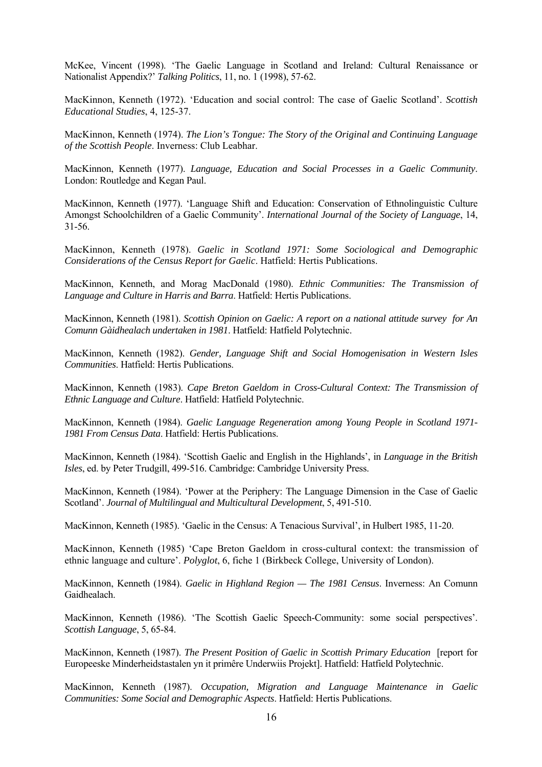McKee, Vincent (1998). 'The Gaelic Language in Scotland and Ireland: Cultural Renaissance or Nationalist Appendix?' *Talking Politics*, 11, no. 1 (1998), 57-62.

MacKinnon, Kenneth (1972). 'Education and social control: The case of Gaelic Scotland'. *Scottish Educational Studies*, 4, 125-37.

MacKinnon, Kenneth (1974). *The Lion's Tongue: The Story of the Original and Continuing Language of the Scottish People*. Inverness: Club Leabhar.

MacKinnon, Kenneth (1977). *Language, Education and Social Processes in a Gaelic Community*. London: Routledge and Kegan Paul.

MacKinnon, Kenneth (1977). 'Language Shift and Education: Conservation of Ethnolinguistic Culture Amongst Schoolchildren of a Gaelic Community'. *International Journal of the Society of Language*, 14, 31-56.

MacKinnon, Kenneth (1978). *Gaelic in Scotland 1971: Some Sociological and Demographic Considerations of the Census Report for Gaelic*. Hatfield: Hertis Publications.

MacKinnon, Kenneth, and Morag MacDonald (1980). *Ethnic Communities: The Transmission of Language and Culture in Harris and Barra*. Hatfield: Hertis Publications.

MacKinnon, Kenneth (1981). *Scottish Opinion on Gaelic: A report on a national attitude survey for An Comunn Gàidhealach undertaken in 1981*. Hatfield: Hatfield Polytechnic.

MacKinnon, Kenneth (1982). *Gender, Language Shift and Social Homogenisation in Western Isles Communities*. Hatfield: Hertis Publications.

MacKinnon, Kenneth (1983). *Cape Breton Gaeldom in Cross-Cultural Context: The Transmission of Ethnic Language and Culture*. Hatfield: Hatfield Polytechnic.

MacKinnon, Kenneth (1984). *Gaelic Language Regeneration among Young People in Scotland 1971- 1981 From Census Data*. Hatfield: Hertis Publications.

MacKinnon, Kenneth (1984). 'Scottish Gaelic and English in the Highlands', in *Language in the British Isles*, ed. by Peter Trudgill, 499-516. Cambridge: Cambridge University Press.

MacKinnon, Kenneth (1984). 'Power at the Periphery: The Language Dimension in the Case of Gaelic Scotland'. *Journal of Multilingual and Multicultural Development*, 5, 491-510.

MacKinnon, Kenneth (1985). 'Gaelic in the Census: A Tenacious Survival', in Hulbert 1985, 11-20.

MacKinnon, Kenneth (1985) 'Cape Breton Gaeldom in cross-cultural context: the transmission of ethnic language and culture'. *Polyglot*, 6, fiche 1 (Birkbeck College, University of London).

MacKinnon, Kenneth (1984). *Gaelic in Highland Region — The 1981 Census*. Inverness: An Comunn Gaidhealach.

MacKinnon, Kenneth (1986). 'The Scottish Gaelic Speech-Community: some social perspectives'. *Scottish Language*, 5, 65-84.

MacKinnon, Kenneth (1987). *The Present Position of Gaelic in Scottish Primary Education* [report for Europeeske Minderheidstastalen yn it primêre Underwiis Projekt]. Hatfield: Hatfield Polytechnic.

MacKinnon, Kenneth (1987). *Occupation, Migration and Language Maintenance in Gaelic Communities: Some Social and Demographic Aspects*. Hatfield: Hertis Publications.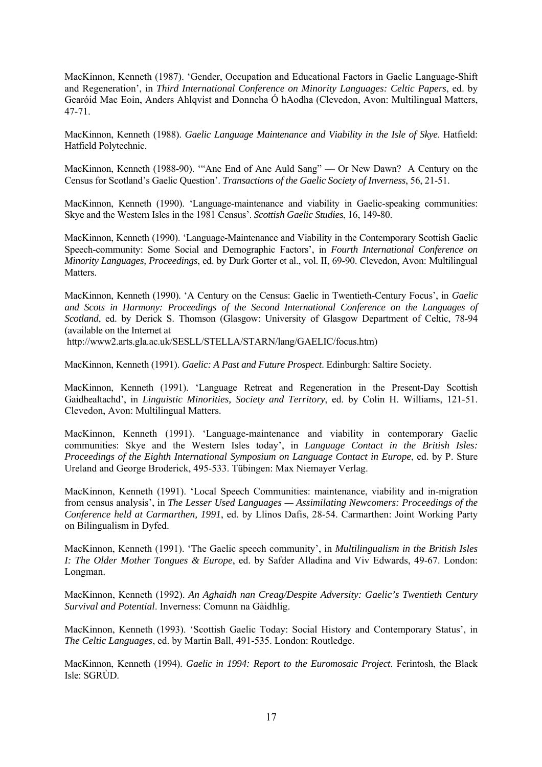MacKinnon, Kenneth (1987). 'Gender, Occupation and Educational Factors in Gaelic Language-Shift and Regeneration', in *Third International Conference on Minority Languages: Celtic Papers*, ed. by Gearóid Mac Eoin, Anders Ahlqvist and Donncha Ó hAodha (Clevedon, Avon: Multilingual Matters, 47-71.

MacKinnon, Kenneth (1988). *Gaelic Language Maintenance and Viability in the Isle of Skye*. Hatfield: Hatfield Polytechnic.

MacKinnon, Kenneth (1988-90). '"Ane End of Ane Auld Sang" — Or New Dawn? A Century on the Census for Scotland's Gaelic Question'. *Transactions of the Gaelic Society of Inverness*, 56, 21-51.

MacKinnon, Kenneth (1990). 'Language-maintenance and viability in Gaelic-speaking communities: Skye and the Western Isles in the 1981 Census'. *Scottish Gaelic Studies*, 16, 149-80.

MacKinnon, Kenneth (1990). 'Language-Maintenance and Viability in the Contemporary Scottish Gaelic Speech-community: Some Social and Demographic Factors', in *Fourth International Conference on Minority Languages, Proceedings*, ed. by Durk Gorter et al., vol. II, 69-90. Clevedon, Avon: Multilingual Matters.

MacKinnon, Kenneth (1990). 'A Century on the Census: Gaelic in Twentieth-Century Focus', in *Gaelic and Scots in Harmony: Proceedings of the Second International Conference on the Languages of Scotland*, ed. by Derick S. Thomson (Glasgow: University of Glasgow Department of Celtic, 78-94 (available on the Internet at

http://www2.arts.gla.ac.uk/SESLL/STELLA/STARN/lang/GAELIC/focus.htm)

MacKinnon, Kenneth (1991). *Gaelic: A Past and Future Prospect*. Edinburgh: Saltire Society.

MacKinnon, Kenneth (1991). 'Language Retreat and Regeneration in the Present-Day Scottish Gaidhealtachd', in *Linguistic Minorities, Society and Territory*, ed. by Colin H. Williams, 121-51. Clevedon, Avon: Multilingual Matters.

MacKinnon, Kenneth (1991). 'Language-maintenance and viability in contemporary Gaelic communities: Skye and the Western Isles today', in *Language Contact in the British Isles: Proceedings of the Eighth International Symposium on Language Contact in Europe*, ed. by P. Sture Ureland and George Broderick, 495-533. Tübingen: Max Niemayer Verlag.

MacKinnon, Kenneth (1991). 'Local Speech Communities: maintenance, viability and in-migration from census analysis', in *The Lesser Used Languages — Assimilating Newcomers: Proceedings of the Conference held at Carmarthen, 1991*, ed. by Llinos Dafis, 28-54. Carmarthen: Joint Working Party on Bilingualism in Dyfed.

MacKinnon, Kenneth (1991). 'The Gaelic speech community', in *Multilingualism in the British Isles I: The Older Mother Tongues & Europe*, ed. by Safder Alladina and Viv Edwards, 49-67. London: Longman.

MacKinnon, Kenneth (1992). *An Aghaidh nan Creag/Despite Adversity: Gaelic's Twentieth Century Survival and Potential*. Inverness: Comunn na Gàidhlig.

MacKinnon, Kenneth (1993). 'Scottish Gaelic Today: Social History and Contemporary Status', in *The Celtic Languages*, ed. by Martin Ball, 491-535. London: Routledge.

MacKinnon, Kenneth (1994). *Gaelic in 1994: Report to the Euromosaic Project*. Ferintosh, the Black Isle: SGRÙD.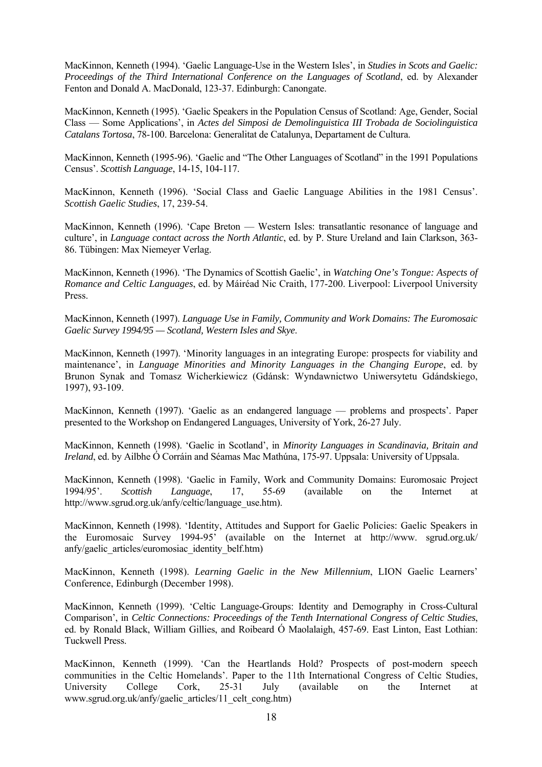MacKinnon, Kenneth (1994). 'Gaelic Language-Use in the Western Isles', in *Studies in Scots and Gaelic: Proceedings of the Third International Conference on the Languages of Scotland*, ed. by Alexander Fenton and Donald A. MacDonald, 123-37. Edinburgh: Canongate.

MacKinnon, Kenneth (1995). 'Gaelic Speakers in the Population Census of Scotland: Age, Gender, Social Class — Some Applications', in *Actes del Simposi de Demolinguistica III Trobada de Sociolinguistica Catalans Tortosa*, 78-100. Barcelona: Generalitat de Catalunya, Departament de Cultura.

MacKinnon, Kenneth (1995-96). 'Gaelic and "The Other Languages of Scotland" in the 1991 Populations Census'. *Scottish Language*, 14-15, 104-117.

MacKinnon, Kenneth (1996). 'Social Class and Gaelic Language Abilities in the 1981 Census'. *Scottish Gaelic Studies*, 17, 239-54.

MacKinnon, Kenneth (1996). 'Cape Breton — Western Isles: transatlantic resonance of language and culture', in *Language contact across the North Atlantic*, ed. by P. Sture Ureland and Iain Clarkson, 363- 86. Tübingen: Max Niemeyer Verlag.

MacKinnon, Kenneth (1996). 'The Dynamics of Scottish Gaelic', in *Watching One's Tongue: Aspects of Romance and Celtic Languages*, ed. by Máiréad Nic Craith, 177-200. Liverpool: Liverpool University Press.

MacKinnon, Kenneth (1997). *Language Use in Family, Community and Work Domains: The Euromosaic Gaelic Survey 1994/95 — Scotland, Western Isles and Skye*.

MacKinnon, Kenneth (1997). 'Minority languages in an integrating Europe: prospects for viability and maintenance', in *Language Minorities and Minority Languages in the Changing Europe*, ed. by Brunon Synak and Tomasz Wicherkiewicz (Gdánsk: Wyndawnictwo Uniwersytetu Gdándskiego, 1997), 93-109.

MacKinnon, Kenneth (1997). 'Gaelic as an endangered language — problems and prospects'. Paper presented to the Workshop on Endangered Languages, University of York, 26-27 July.

MacKinnon, Kenneth (1998). 'Gaelic in Scotland', in *Minority Languages in Scandinavia, Britain and Ireland*, ed. by Ailbhe Ó Corráin and Séamas Mac Mathúna, 175-97. Uppsala: University of Uppsala.

MacKinnon, Kenneth (1998). 'Gaelic in Family, Work and Community Domains: Euromosaic Project 1994/95'. *Scottish Language*, 17, 55-69 (available on the Internet at http://www.sgrud.org.uk/anfy/celtic/language\_use.htm).

MacKinnon, Kenneth (1998). 'Identity, Attitudes and Support for Gaelic Policies: Gaelic Speakers in the Euromosaic Survey 1994-95' (available on the Internet at http://www. sgrud.org.uk/ anfy/gaelic\_articles/euromosiac\_identity\_belf.htm)

MacKinnon, Kenneth (1998). *Learning Gaelic in the New Millennium*, LION Gaelic Learners' Conference, Edinburgh (December 1998).

MacKinnon, Kenneth (1999). 'Celtic Language-Groups: Identity and Demography in Cross-Cultural Comparison', in *Celtic Connections: Proceedings of the Tenth International Congress of Celtic Studies*, ed. by Ronald Black, William Gillies, and Roibeard Ó Maolalaigh, 457-69. East Linton, East Lothian: Tuckwell Press.

MacKinnon, Kenneth (1999). 'Can the Heartlands Hold? Prospects of post-modern speech communities in the Celtic Homelands'. Paper to the 11th International Congress of Celtic Studies, University College Cork, 25-31 July (available on the Internet at www.sgrud.org.uk/anfy/gaelic\_articles/11\_celt\_cong.htm)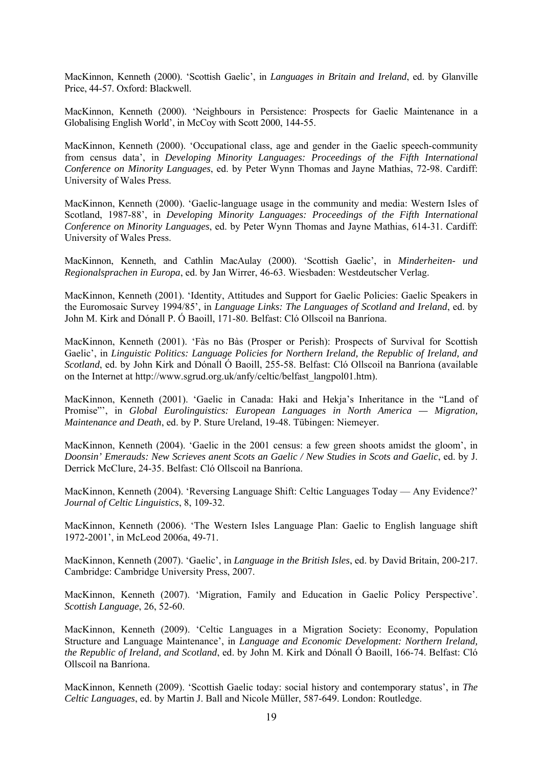MacKinnon, Kenneth (2000). 'Scottish Gaelic', in *Languages in Britain and Ireland*, ed. by Glanville Price, 44-57. Oxford: Blackwell.

MacKinnon, Kenneth (2000). 'Neighbours in Persistence: Prospects for Gaelic Maintenance in a Globalising English World', in McCoy with Scott 2000, 144-55.

MacKinnon, Kenneth (2000). 'Occupational class, age and gender in the Gaelic speech-community from census data', in *Developing Minority Languages: Proceedings of the Fifth International Conference on Minority Languages*, ed. by Peter Wynn Thomas and Jayne Mathias, 72-98. Cardiff: University of Wales Press.

MacKinnon, Kenneth (2000). 'Gaelic-language usage in the community and media: Western Isles of Scotland, 1987-88', in *Developing Minority Languages: Proceedings of the Fifth International Conference on Minority Languages*, ed. by Peter Wynn Thomas and Jayne Mathias, 614-31. Cardiff: University of Wales Press.

MacKinnon, Kenneth, and Cathlin MacAulay (2000). 'Scottish Gaelic', in *Minderheiten- und Regionalsprachen in Europa*, ed. by Jan Wirrer, 46-63. Wiesbaden: Westdeutscher Verlag.

MacKinnon, Kenneth (2001). 'Identity, Attitudes and Support for Gaelic Policies: Gaelic Speakers in the Euromosaic Survey 1994/85', in *Language Links: The Languages of Scotland and Ireland*, ed. by John M. Kirk and Dónall P. Ó Baoill, 171-80. Belfast: Cló Ollscoil na Banríona.

MacKinnon, Kenneth (2001). 'Fàs no Bàs (Prosper or Perish): Prospects of Survival for Scottish Gaelic', in *Linguistic Politics: Language Policies for Northern Ireland, the Republic of Ireland, and Scotland*, ed. by John Kirk and Dónall Ó Baoill, 255-58. Belfast: Cló Ollscoil na Banríona (available on the Internet at http://www.sgrud.org.uk/anfy/celtic/belfast\_langpol01.htm).

MacKinnon, Kenneth (2001). 'Gaelic in Canada: Haki and Hekja's Inheritance in the "Land of Promise"', in *Global Eurolinguistics: European Languages in North America — Migration, Maintenance and Death*, ed. by P. Sture Ureland, 19-48. Tübingen: Niemeyer.

MacKinnon, Kenneth (2004). 'Gaelic in the 2001 census: a few green shoots amidst the gloom', in *Doonsin' Emerauds: New Scrieves anent Scots an Gaelic / New Studies in Scots and Gaelic*, ed. by J. Derrick McClure, 24-35. Belfast: Cló Ollscoil na Banríona.

MacKinnon, Kenneth (2004). 'Reversing Language Shift: Celtic Languages Today — Any Evidence?' *Journal of Celtic Linguistics*, 8, 109-32.

MacKinnon, Kenneth (2006). 'The Western Isles Language Plan: Gaelic to English language shift 1972-2001', in McLeod 2006a, 49-71.

MacKinnon, Kenneth (2007). 'Gaelic', in *Language in the British Isles*, ed. by David Britain, 200-217. Cambridge: Cambridge University Press, 2007.

MacKinnon, Kenneth (2007). 'Migration, Family and Education in Gaelic Policy Perspective'. *Scottish Language*, 26, 52-60.

MacKinnon, Kenneth (2009). 'Celtic Languages in a Migration Society: Economy, Population Structure and Language Maintenance', in *Language and Economic Development: Northern Ireland, the Republic of Ireland, and Scotland*, ed. by John M. Kirk and Dónall Ó Baoill, 166-74. Belfast: Cló Ollscoil na Banríona.

MacKinnon, Kenneth (2009). 'Scottish Gaelic today: social history and contemporary status', in *The Celtic Languages*, ed. by Martin J. Ball and Nicole Müller, 587-649. London: Routledge.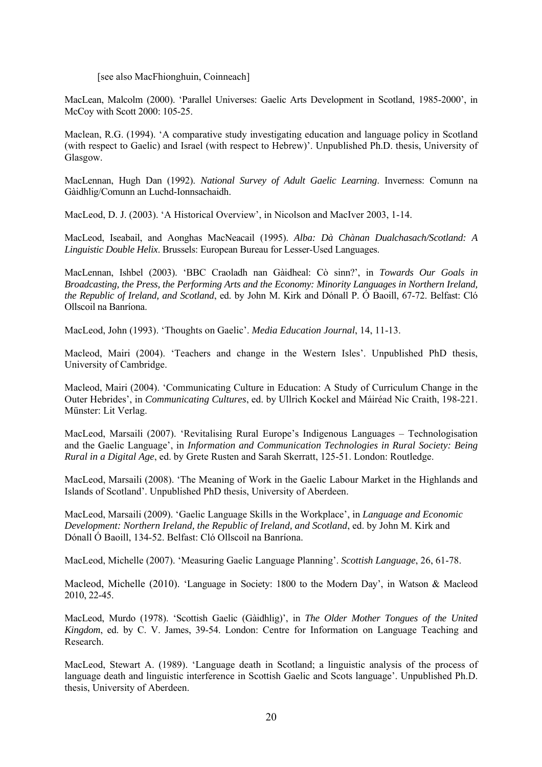#### [see also MacFhionghuin, Coinneach]

MacLean, Malcolm (2000). 'Parallel Universes: Gaelic Arts Development in Scotland, 1985-2000', in McCoy with Scott 2000: 105-25.

Maclean, R.G. (1994). 'A comparative study investigating education and language policy in Scotland (with respect to Gaelic) and Israel (with respect to Hebrew)'. Unpublished Ph.D. thesis, University of Glasgow.

MacLennan, Hugh Dan (1992). *National Survey of Adult Gaelic Learning*. Inverness: Comunn na Gàidhlig/Comunn an Luchd-Ionnsachaidh.

MacLeod, D. J. (2003). 'A Historical Overview', in Nicolson and MacIver 2003, 1-14.

MacLeod, Iseabail, and Aonghas MacNeacail (1995). *Alba: Dà Chànan Dualchasach/Scotland: A Linguistic Double Helix*. Brussels: European Bureau for Lesser-Used Languages.

MacLennan, Ishbel (2003). 'BBC Craoladh nan Gàidheal: Cò sinn?', in *Towards Our Goals in Broadcasting, the Press, the Performing Arts and the Economy: Minority Languages in Northern Ireland, the Republic of Ireland, and Scotland*, ed. by John M. Kirk and Dónall P. Ó Baoill, 67-72. Belfast: Cló Ollscoil na Banríona.

MacLeod, John (1993). 'Thoughts on Gaelic'. *Media Education Journal*, 14, 11-13.

Macleod, Mairi (2004). 'Teachers and change in the Western Isles'. Unpublished PhD thesis, University of Cambridge.

Macleod, Mairi (2004). 'Communicating Culture in Education: A Study of Curriculum Change in the Outer Hebrides', in *Communicating Cultures*, ed. by Ullrich Kockel and Máiréad Nic Craith, 198-221. Münster: Lit Verlag.

MacLeod, Marsaili (2007). 'Revitalising Rural Europe's Indigenous Languages – Technologisation and the Gaelic Language', in *Information and Communication Technologies in Rural Society: Being Rural in a Digital Age*, ed. by Grete Rusten and Sarah Skerratt, 125-51. London: Routledge.

MacLeod, Marsaili (2008). 'The Meaning of Work in the Gaelic Labour Market in the Highlands and Islands of Scotland'. Unpublished PhD thesis, University of Aberdeen.

MacLeod, Marsaili (2009). 'Gaelic Language Skills in the Workplace', in *Language and Economic Development: Northern Ireland, the Republic of Ireland, and Scotland*, ed. by John M. Kirk and Dónall Ó Baoill, 134-52. Belfast: Cló Ollscoil na Banríona.

MacLeod, Michelle (2007). 'Measuring Gaelic Language Planning'. *Scottish Language*, 26, 61-78.

Macleod, Michelle (2010). 'Language in Society: 1800 to the Modern Day', in Watson & Macleod 2010, 22-45.

MacLeod, Murdo (1978). 'Scottish Gaelic (Gàidhlig)', in *The Older Mother Tongues of the United Kingdom*, ed. by C. V. James, 39-54. London: Centre for Information on Language Teaching and Research.

MacLeod, Stewart A. (1989). 'Language death in Scotland; a linguistic analysis of the process of language death and linguistic interference in Scottish Gaelic and Scots language'. Unpublished Ph.D. thesis, University of Aberdeen.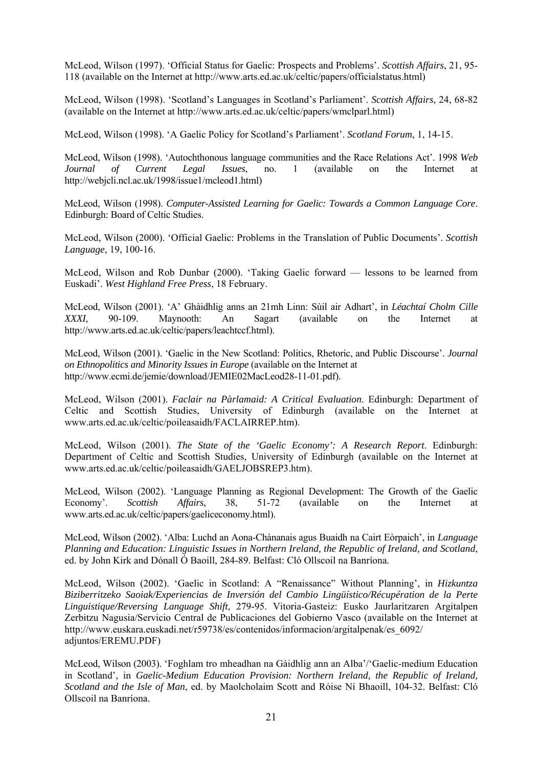McLeod, Wilson (1997). 'Official Status for Gaelic: Prospects and Problems'. *Scottish Affairs*, 21, 95- 118 (available on the Internet at http://www.arts.ed.ac.uk/celtic/papers/officialstatus.html)

McLeod, Wilson (1998). 'Scotland's Languages in Scotland's Parliament'. *Scottish Affairs*, 24, 68-82 (available on the Internet at http://www.arts.ed.ac.uk/celtic/papers/wmclparl.html)

McLeod, Wilson (1998). 'A Gaelic Policy for Scotland's Parliament'. *Scotland Forum*, 1, 14-15.

McLeod, Wilson (1998). 'Autochthonous language communities and the Race Relations Act'. 1998 *Web Journal of Current Legal Issues*, no. 1 (available on the Internet at http://webjcli.ncl.ac.uk/1998/issue1/mcleod1.html)

McLeod, Wilson (1998). *Computer-Assisted Learning for Gaelic: Towards a Common Language Core*. Edinburgh: Board of Celtic Studies.

McLeod, Wilson (2000). 'Official Gaelic: Problems in the Translation of Public Documents'. *Scottish Language*, 19, 100-16.

McLeod, Wilson and Rob Dunbar (2000). 'Taking Gaelic forward — lessons to be learned from Euskadi'. *West Highland Free Press*, 18 February.

McLeod, Wilson (2001). 'A' Ghàidhlig anns an 21mh Linn: Sùil air Adhart', in *Léachtaí Cholm Cille XXXI*, 90-109. Maynooth: An Sagart (available on the Internet at http://www.arts.ed.ac.uk/celtic/papers/leachtccf.html).

McLeod, Wilson (2001). 'Gaelic in the New Scotland: Politics, Rhetoric, and Public Discourse'. *Journal on Ethnopolitics and Minority Issues in Europe* (available on the Internet at http://www.ecmi.de/jemie/download/JEMIE02MacLeod28-11-01.pdf).

McLeod, Wilson (2001). *Faclair na Pàrlamaid: A Critical Evaluation*. Edinburgh: Department of Celtic and Scottish Studies, University of Edinburgh (available on the Internet at www.arts.ed.ac.uk/celtic/poileasaidh/FACLAIRREP.htm).

McLeod, Wilson (2001). *The State of the 'Gaelic Economy': A Research Report*. Edinburgh: Department of Celtic and Scottish Studies, University of Edinburgh (available on the Internet at www.arts.ed.ac.uk/celtic/poileasaidh/GAELJOBSREP3.htm).

McLeod, Wilson (2002). 'Language Planning as Regional Development: The Growth of the Gaelic Economy'. *Scottish Affairs*, 38, 51-72 (available on the Internet at www.arts.ed.ac.uk/celtic/papers/gaeliceconomy.html).

McLeod, Wilson (2002). 'Alba: Luchd an Aona-Chànanais agus Buaidh na Cairt Eòrpaich', in *Language Planning and Education: Linguistic Issues in Northern Ireland, the Republic of Ireland, and Scotland*, ed. by John Kirk and Dónall Ó Baoill, 284-89. Belfast: Cló Ollscoil na Banríona.

McLeod, Wilson (2002). 'Gaelic in Scotland: A "Renaissance" Without Planning', in *Hizkuntza Biziberritzeko Saoiak/Experiencias de Inversión del Cambio Lingüístico/Récupération de la Perte Linguistique/Reversing Language Shift*, 279-95. Vitoria-Gasteiz: Eusko Jaurlaritzaren Argitalpen Zerbitzu Nagusia/Servicio Central de Publicaciones del Gobierno Vasco (available on the Internet at http://www.euskara.euskadi.net/r59738/es/contenidos/informacion/argitalpenak/es\_6092/ adjuntos/EREMU.PDF)

McLeod, Wilson (2003). 'Foghlam tro mheadhan na Gàidhlig ann an Alba'/'Gaelic-medium Education in Scotland', in *Gaelic-Medium Education Provision: Northern Ireland, the Republic of Ireland, Scotland and the Isle of Man*, ed. by Maolcholaim Scott and Róise Ní Bhaoill, 104-32. Belfast: Cló Ollscoil na Banríona.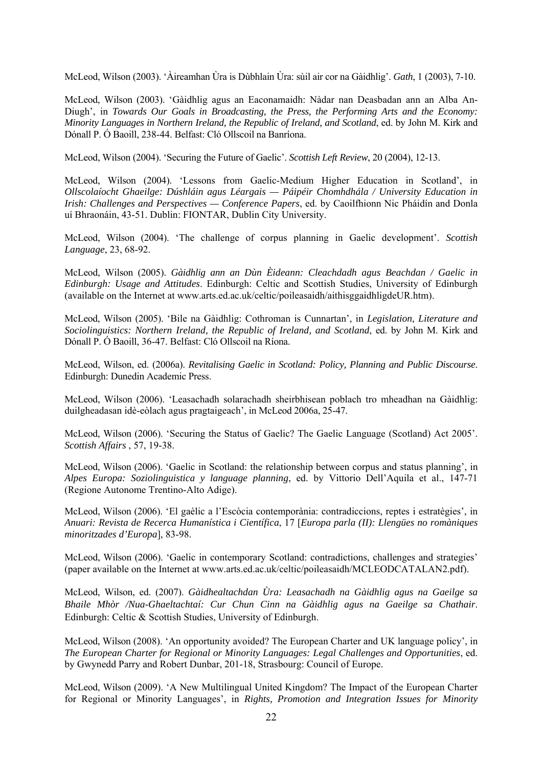McLeod, Wilson (2003). 'Àireamhan Ùra is Dùbhlain Ùra: sùil air cor na Gàidhlig'. *Gath*, 1 (2003), 7-10.

McLeod, Wilson (2003). 'Gàidhlig agus an Eaconamaidh: Nàdar nan Deasbadan ann an Alba An-Diugh', in *Towards Our Goals in Broadcasting, the Press, the Performing Arts and the Economy: Minority Languages in Northern Ireland, the Republic of Ireland, and Scotland*, ed. by John M. Kirk and Dónall P. Ó Baoill, 238-44. Belfast: Cló Ollscoil na Banríona.

McLeod, Wilson (2004). 'Securing the Future of Gaelic'. *Scottish Left Review*, 20 (2004), 12-13.

McLeod, Wilson (2004). 'Lessons from Gaelic-Medium Higher Education in Scotland', in *Ollscolaíocht Ghaeilge: Dúshláin agus Léargais — Páipéir Chomhdhála / University Education in Irish: Challenges and Perspectives — Conference Papers*, ed. by Caoilfhionn Nic Pháidín and Donla uí Bhraonáin, 43-51. Dublin: FIONTAR, Dublin City University.

McLeod, Wilson (2004). 'The challenge of corpus planning in Gaelic development'. *Scottish Language*, 23, 68-92.

McLeod, Wilson (2005). *Gàidhlig ann an Dùn Èideann: Cleachdadh agus Beachdan / Gaelic in Edinburgh: Usage and Attitudes*. Edinburgh: Celtic and Scottish Studies, University of Edinburgh (available on the Internet at www.arts.ed.ac.uk/celtic/poileasaidh/aithisggaidhligdeUR.htm).

McLeod, Wilson (2005). 'Bile na Gàidhlig: Cothroman is Cunnartan', in *Legislation, Literature and Sociolinguistics: Northern Ireland, the Republic of Ireland, and Scotland*, ed. by John M. Kirk and Dónall P. Ó Baoill, 36-47. Belfast: Cló Ollscoil na Ríona.

McLeod, Wilson, ed. (2006a). *Revitalising Gaelic in Scotland: Policy, Planning and Public Discourse*. Edinburgh: Dunedin Academic Press.

McLeod, Wilson (2006). 'Leasachadh solarachadh sheirbhisean poblach tro mheadhan na Gàidhlig: duilgheadasan idè-eòlach agus pragtaigeach', in McLeod 2006a, 25-47.

McLeod, Wilson (2006). 'Securing the Status of Gaelic? The Gaelic Language (Scotland) Act 2005'. *Scottish Affairs* , 57, 19-38.

McLeod, Wilson (2006). 'Gaelic in Scotland: the relationship between corpus and status planning', in *Alpes Europa: Soziolinguistica y language planning*, ed. by Vittorio Dell'Aquila et al., 147-71 (Regione Autonome Trentino-Alto Adige).

McLeod, Wilson (2006). 'El gaèlic a l'Escòcia contemporània: contradiccions, reptes i estratègies', in *Anuari: Revista de Recerca Humanística i Científica*, 17 [*Europa parla (II): Llengües no romàniques minoritzades d'Europa*], 83-98.

McLeod, Wilson (2006). 'Gaelic in contemporary Scotland: contradictions, challenges and strategies' (paper available on the Internet at www.arts.ed.ac.uk/celtic/poileasaidh/MCLEODCATALAN2.pdf).

McLeod, Wilson, ed. (2007). *Gàidhealtachdan Ùra: Leasachadh na Gàidhlig agus na Gaeilge sa Bhaile Mhòr /Nua-Ghaeltachtaí: Cur Chun Cinn na Gàidhlig agus na Gaeilge sa Chathair*. Edinburgh: Celtic & Scottish Studies, University of Edinburgh.

McLeod, Wilson (2008). 'An opportunity avoided? The European Charter and UK language policy', in *The European Charter for Regional or Minority Languages: Legal Challenges and Opportunities*, ed. by Gwynedd Parry and Robert Dunbar, 201-18, Strasbourg: Council of Europe.

McLeod, Wilson (2009). 'A New Multilingual United Kingdom? The Impact of the European Charter for Regional or Minority Languages', in *Rights, Promotion and Integration Issues for Minority*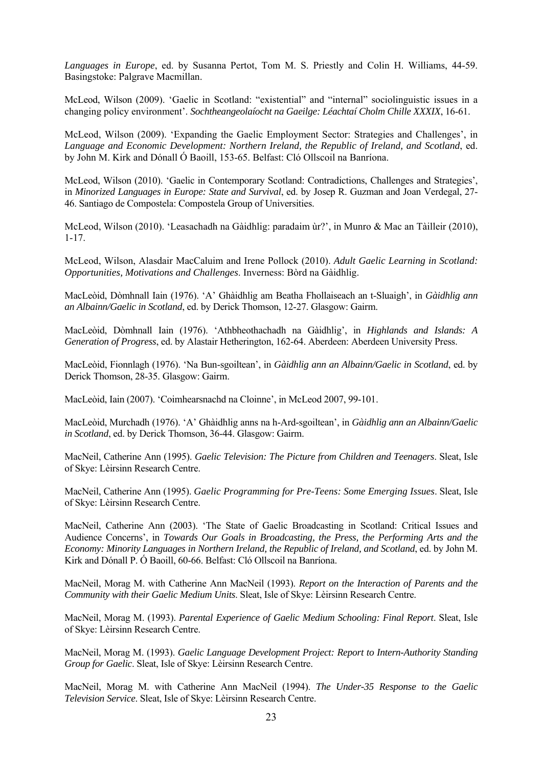*Languages in Europe*, ed. by Susanna Pertot, Tom M. S. Priestly and Colin H. Williams, 44-59. Basingstoke: Palgrave Macmillan.

McLeod, Wilson (2009). 'Gaelic in Scotland: "existential" and "internal" sociolinguistic issues in a changing policy environment'. *Sochtheangeolaíocht na Gaeilge: Léachtaí Cholm Chille XXXIX*, 16-61.

McLeod, Wilson (2009). 'Expanding the Gaelic Employment Sector: Strategies and Challenges', in *Language and Economic Development: Northern Ireland, the Republic of Ireland, and Scotland*, ed. by John M. Kirk and Dónall Ó Baoill, 153-65. Belfast: Cló Ollscoil na Banríona.

McLeod, Wilson (2010). 'Gaelic in Contemporary Scotland: Contradictions, Challenges and Strategies', in *Minorized Languages in Europe: State and Survival*, ed. by Josep R. Guzman and Joan Verdegal, 27- 46. Santiago de Compostela: Compostela Group of Universities.

McLeod, Wilson (2010). 'Leasachadh na Gàidhlig: paradaim ùr?', in Munro & Mac an Tàilleir (2010), 1-17.

McLeod, Wilson, Alasdair MacCaluim and Irene Pollock (2010). *Adult Gaelic Learning in Scotland: Opportunities, Motivations and Challenges*. Inverness: Bòrd na Gàidhlig.

MacLeòid, Dòmhnall Iain (1976). 'A' Ghàidhlig am Beatha Fhollaiseach an t-Sluaigh', in *Gàidhlig ann an Albainn/Gaelic in Scotland*, ed. by Derick Thomson, 12-27. Glasgow: Gairm.

MacLeòid, Dòmhnall Iain (1976). 'Athbheothachadh na Gàidhlig', in *Highlands and Islands: A Generation of Progress*, ed. by Alastair Hetherington, 162-64. Aberdeen: Aberdeen University Press.

MacLeòid, Fionnlagh (1976). 'Na Bun-sgoiltean', in *Gàidhlig ann an Albainn/Gaelic in Scotland*, ed. by Derick Thomson, 28-35. Glasgow: Gairm.

MacLeòid, Iain (2007). 'Coimhearsnachd na Cloinne', in McLeod 2007, 99-101.

MacLeòid, Murchadh (1976). 'A' Ghàidhlig anns na h-Ard-sgoiltean', in *Gàidhlig ann an Albainn/Gaelic in Scotland*, ed. by Derick Thomson, 36-44. Glasgow: Gairm.

MacNeil, Catherine Ann (1995). *Gaelic Television: The Picture from Children and Teenagers*. Sleat, Isle of Skye: Lèirsinn Research Centre.

MacNeil, Catherine Ann (1995). *Gaelic Programming for Pre-Teens: Some Emerging Issues*. Sleat, Isle of Skye: Lèirsinn Research Centre.

MacNeil, Catherine Ann (2003). 'The State of Gaelic Broadcasting in Scotland: Critical Issues and Audience Concerns', in *Towards Our Goals in Broadcasting, the Press, the Performing Arts and the Economy: Minority Languages in Northern Ireland, the Republic of Ireland, and Scotland*, ed. by John M. Kirk and Dónall P. Ó Baoill, 60-66. Belfast: Cló Ollscoil na Banríona.

MacNeil, Morag M. with Catherine Ann MacNeil (1993). *Report on the Interaction of Parents and the Community with their Gaelic Medium Units*. Sleat, Isle of Skye: Lèirsinn Research Centre.

MacNeil, Morag M. (1993). *Parental Experience of Gaelic Medium Schooling: Final Report*. Sleat, Isle of Skye: Lèirsinn Research Centre.

MacNeil, Morag M. (1993). *Gaelic Language Development Project: Report to Intern-Authority Standing Group for Gaelic*. Sleat, Isle of Skye: Lèirsinn Research Centre.

MacNeil, Morag M. with Catherine Ann MacNeil (1994). *The Under-35 Response to the Gaelic Television Service*. Sleat, Isle of Skye: Lèirsinn Research Centre.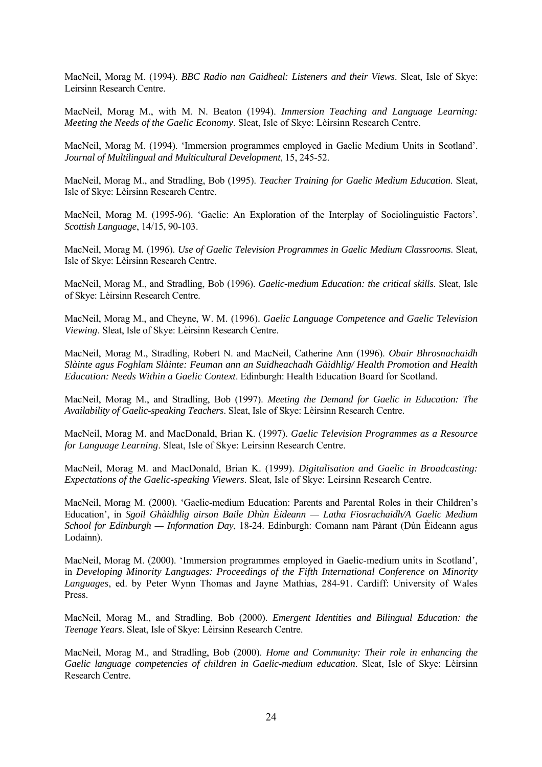MacNeil, Morag M. (1994). *BBC Radio nan Gaidheal: Listeners and their Views*. Sleat, Isle of Skye: Leirsinn Research Centre.

MacNeil, Morag M., with M. N. Beaton (1994). *Immersion Teaching and Language Learning: Meeting the Needs of the Gaelic Economy*. Sleat, Isle of Skye: Lèirsinn Research Centre.

MacNeil, Morag M. (1994). 'Immersion programmes employed in Gaelic Medium Units in Scotland'. *Journal of Multilingual and Multicultural Development*, 15, 245-52.

MacNeil, Morag M., and Stradling, Bob (1995). *Teacher Training for Gaelic Medium Education*. Sleat, Isle of Skye: Lèirsinn Research Centre.

MacNeil, Morag M. (1995-96). 'Gaelic: An Exploration of the Interplay of Sociolinguistic Factors'. *Scottish Language*, 14/15, 90-103.

MacNeil, Morag M. (1996). *Use of Gaelic Television Programmes in Gaelic Medium Classrooms*. Sleat, Isle of Skye: Lèirsinn Research Centre.

MacNeil, Morag M., and Stradling, Bob (1996). *Gaelic-medium Education: the critical skills*. Sleat, Isle of Skye: Lèirsinn Research Centre.

MacNeil, Morag M., and Cheyne, W. M. (1996). *Gaelic Language Competence and Gaelic Television Viewing*. Sleat, Isle of Skye: Lèirsinn Research Centre.

MacNeil, Morag M., Stradling, Robert N. and MacNeil, Catherine Ann (1996). *Obair Bhrosnachaidh Slàinte agus Foghlam Slàinte: Feuman ann an Suidheachadh Gàidhlig/ Health Promotion and Health Education: Needs Within a Gaelic Context*. Edinburgh: Health Education Board for Scotland.

MacNeil, Morag M., and Stradling, Bob (1997). *Meeting the Demand for Gaelic in Education: The Availability of Gaelic-speaking Teachers*. Sleat, Isle of Skye: Lèirsinn Research Centre.

MacNeil, Morag M. and MacDonald, Brian K. (1997). *Gaelic Television Programmes as a Resource for Language Learning*. Sleat, Isle of Skye: Leirsinn Research Centre.

MacNeil, Morag M. and MacDonald, Brian K. (1999). *Digitalisation and Gaelic in Broadcasting: Expectations of the Gaelic-speaking Viewers*. Sleat, Isle of Skye: Leirsinn Research Centre.

MacNeil, Morag M. (2000). 'Gaelic-medium Education: Parents and Parental Roles in their Children's Education', in *Sgoil Ghàidhlig airson Baile Dhùn Èideann — Latha Fiosrachaidh/A Gaelic Medium School for Edinburgh — Information Day*, 18-24. Edinburgh: Comann nam Pàrant (Dùn Èideann agus Lodainn).

MacNeil, Morag M. (2000). 'Immersion programmes employed in Gaelic-medium units in Scotland', in *Developing Minority Languages: Proceedings of the Fifth International Conference on Minority Languages*, ed. by Peter Wynn Thomas and Jayne Mathias, 284-91. Cardiff: University of Wales Press.

MacNeil, Morag M., and Stradling, Bob (2000). *Emergent Identities and Bilingual Education: the Teenage Years*. Sleat, Isle of Skye: Lèirsinn Research Centre.

MacNeil, Morag M., and Stradling, Bob (2000). *Home and Community: Their role in enhancing the Gaelic language competencies of children in Gaelic-medium education*. Sleat, Isle of Skye: Lèirsinn Research Centre.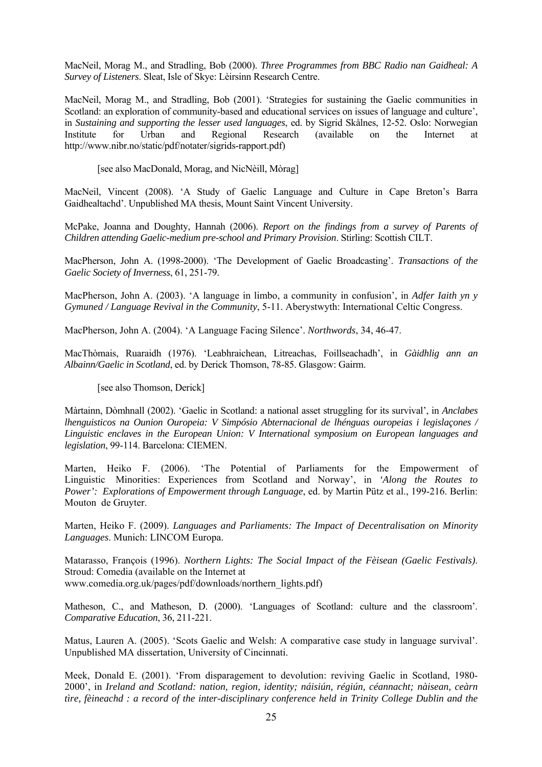MacNeil, Morag M., and Stradling, Bob (2000). *Three Programmes from BBC Radio nan Gaidheal: A Survey of Listeners*. Sleat, Isle of Skye: Lèirsinn Research Centre.

MacNeil, Morag M., and Stradling, Bob (2001). 'Strategies for sustaining the Gaelic communities in Scotland: an exploration of community-based and educational services on issues of language and culture', in *Sustaining and supporting the lesser used languages*, ed. by Sigrid Skålnes, 12-52. Oslo: Norwegian Institute for Urban and Regional Research (available on the Internet at http://www.nibr.no/static/pdf/notater/sigrids-rapport.pdf)

[see also MacDonald, Morag, and NicNèill, Mòrag]

MacNeil, Vincent (2008). 'A Study of Gaelic Language and Culture in Cape Breton's Barra Gaidhealtachd'. Unpublished MA thesis, Mount Saint Vincent University.

McPake, Joanna and Doughty, Hannah (2006). *Report on the findings from a survey of Parents of Children attending Gaelic-medium pre-school and Primary Provision*. Stirling: Scottish CILT.

MacPherson, John A. (1998-2000). 'The Development of Gaelic Broadcasting'. *Transactions of the Gaelic Society of Inverness*, 61, 251-79.

MacPherson, John A. (2003). 'A language in limbo, a community in confusion', in *Adfer Iaith yn y Gymuned / Language Revival in the Community*, 5-11. Aberystwyth: International Celtic Congress.

MacPherson, John A. (2004). 'A Language Facing Silence'. *Northwords*, 34, 46-47.

MacThòmais, Ruaraidh (1976). 'Leabhraichean, Litreachas, Foillseachadh', in *Gàidhlig ann an Albainn/Gaelic in Scotland*, ed. by Derick Thomson, 78-85. Glasgow: Gairm.

[see also Thomson, Derick]

Màrtainn, Dòmhnall (2002). 'Gaelic in Scotland: a national asset struggling for its survival', in *Anclabes lhenguisticos na Ounion Ouropeia: V Simpósio Abternacional de lhénguas ouropeias i legislaçones / Linguistic enclaves in the European Union: V International symposium on European languages and legislation*, 99-114. Barcelona: CIEMEN.

Marten, Heiko F. (2006). 'The Potential of Parliaments for the Empowerment of Linguistic Minorities: Experiences from Scotland and Norway', in *'Along the Routes to Power': Explorations of Empowerment through Language*, ed. by Martin Pütz et al., 199-216. Berlin: Mouton de Gruyter.

Marten, Heiko F. (2009). *Languages and Parliaments: The Impact of Decentralisation on Minority Languages*. Munich: LINCOM Europa.

Matarasso, François (1996). *Northern Lights: The Social Impact of the Fèisean (Gaelic Festivals)*. Stroud: Comedia (available on the Internet at www.comedia.org.uk/pages/pdf/downloads/northern\_lights.pdf)

Matheson, C., and Matheson, D. (2000). 'Languages of Scotland: culture and the classroom'. *Comparative Education*, 36, 211-221.

Matus, Lauren A. (2005). 'Scots Gaelic and Welsh: A comparative case study in language survival'. Unpublished MA dissertation, University of Cincinnati.

Meek, Donald E. (2001). 'From disparagement to devolution: reviving Gaelic in Scotland, 1980- 2000', in *Ireland and Scotland: nation, region, identity; náisiún, régiún, céannacht; nàisean, ceàrn tìre, fèineachd : a record of the inter-disciplinary conference held in Trinity College Dublin and the*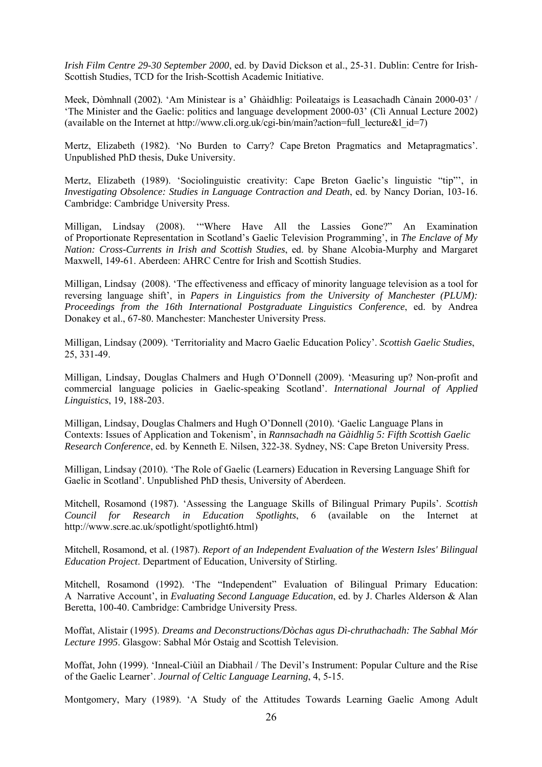*Irish Film Centre 29-30 September 2000*, ed. by David Dickson et al., 25-31. Dublin: Centre for Irish-Scottish Studies, TCD for the Irish-Scottish Academic Initiative.

Meek, Dòmhnall (2002). 'Am Ministear is a' Ghàidhlig: Poileataigs is Leasachadh Cànain 2000-03' / 'The Minister and the Gaelic: politics and language development 2000-03' (Clì Annual Lecture 2002) (available on the Internet at http://www.cli.org.uk/cgi-bin/main?action=full\_lecture&l\_id=7)

Mertz, Elizabeth (1982). 'No Burden to Carry? Cape Breton Pragmatics and Metapragmatics'. Unpublished PhD thesis, Duke University.

Mertz, Elizabeth (1989). 'Sociolinguistic creativity: Cape Breton Gaelic's linguistic "tip"', in *Investigating Obsolence: Studies in Language Contraction and Death*, ed. by Nancy Dorian, 103-16. Cambridge: Cambridge University Press.

Milligan, Lindsay (2008). '"Where Have All the Lassies Gone?" An Examination of Proportionate Representation in Scotland's Gaelic Television Programming', in *The Enclave of My Nation: Cross-Currents in Irish and Scottish Studies*, ed. by Shane Alcobia-Murphy and Margaret Maxwell, 149-61. Aberdeen: AHRC Centre for Irish and Scottish Studies.

Milligan, Lindsay (2008). 'The effectiveness and efficacy of minority language television as a tool for reversing language shift', in *Papers in Linguistics from the University of Manchester (PLUM): Proceedings from the 16th International Postgraduate Linguistics Conference*, ed. by Andrea Donakey et al., 67-80. Manchester: Manchester University Press.

Milligan, Lindsay (2009). 'Territoriality and Macro Gaelic Education Policy'. *Scottish Gaelic Studies*, 25, 331-49.

Milligan, Lindsay, Douglas Chalmers and Hugh O'Donnell (2009). 'Measuring up? Non-profit and commercial language policies in Gaelic-speaking Scotland'. *International Journal of Applied Linguistics*, 19, 188-203.

Milligan, Lindsay, Douglas Chalmers and Hugh O'Donnell (2010). 'Gaelic Language Plans in Contexts: Issues of Application and Tokenism', in *Rannsachadh na Gàidhlig 5: Fifth Scottish Gaelic Research Conference*, ed. by Kenneth E. Nilsen, 322-38. Sydney, NS: Cape Breton University Press.

Milligan, Lindsay (2010). 'The Role of Gaelic (Learners) Education in Reversing Language Shift for Gaelic in Scotland'. Unpublished PhD thesis, University of Aberdeen.

Mitchell, Rosamond (1987). 'Assessing the Language Skills of Bilingual Primary Pupils'. *Scottish Council for Research in Education Spotlights*, 6 (available on the Internet at http://www.scre.ac.uk/spotlight/spotlight6.html)

Mitchell, Rosamond, et al. (1987). *Report of an Independent Evaluation of the Western Isles' Bilingual Education Project*. Department of Education, University of Stirling.

Mitchell, Rosamond (1992). 'The "Independent" Evaluation of Bilingual Primary Education: A Narrative Account', in *Evaluating Second Language Education*, ed. by J. Charles Alderson & Alan Beretta, 100-40. Cambridge: Cambridge University Press.

Moffat, Alistair (1995). *Dreams and Deconstructions/Dòchas agus Dì-chruthachadh: The Sabhal Mór Lecture 1995*. Glasgow: Sabhal Mór Ostaig and Scottish Television.

Moffat, John (1999). 'Inneal-Ciùil an Diabhail / The Devil's Instrument: Popular Culture and the Rise of the Gaelic Learner'. *Journal of Celtic Language Learning*, 4, 5-15.

Montgomery, Mary (1989). 'A Study of the Attitudes Towards Learning Gaelic Among Adult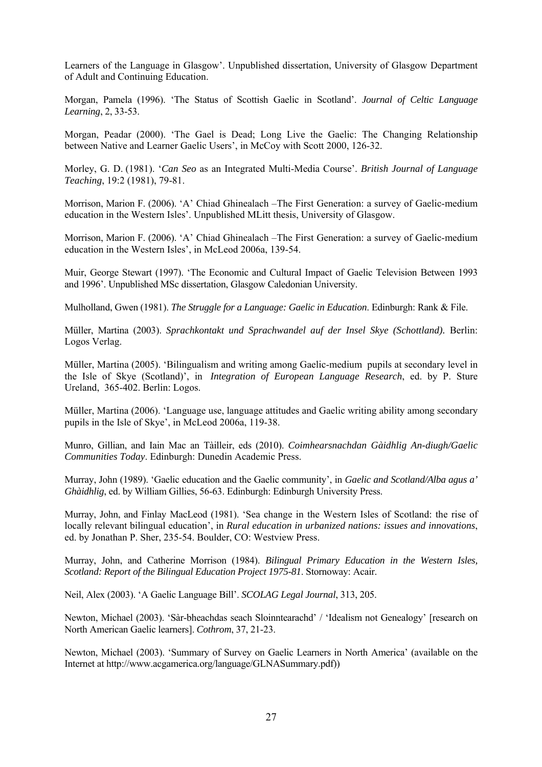Learners of the Language in Glasgow'. Unpublished dissertation, University of Glasgow Department of Adult and Continuing Education.

Morgan, Pamela (1996). 'The Status of Scottish Gaelic in Scotland'. *Journal of Celtic Language Learning*, 2, 33-53.

Morgan, Peadar (2000). 'The Gael is Dead; Long Live the Gaelic: The Changing Relationship between Native and Learner Gaelic Users', in McCoy with Scott 2000, 126-32.

Morley, G. D. (1981). '*Can Seo* as an Integrated Multi-Media Course'. *British Journal of Language Teaching*, 19:2 (1981), 79-81.

Morrison, Marion F. (2006). 'A' Chiad Ghinealach –The First Generation: a survey of Gaelic-medium education in the Western Isles'. Unpublished MLitt thesis, University of Glasgow.

Morrison, Marion F. (2006). 'A' Chiad Ghinealach –The First Generation: a survey of Gaelic-medium education in the Western Isles', in McLeod 2006a, 139-54.

Muir, George Stewart (1997). 'The Economic and Cultural Impact of Gaelic Television Between 1993 and 1996'. Unpublished MSc dissertation, Glasgow Caledonian University.

Mulholland, Gwen (1981). *The Struggle for a Language: Gaelic in Education*. Edinburgh: Rank & File.

Müller, Martina (2003). *Sprachkontakt und Sprachwandel auf der Insel Skye (Schottland).* Berlin: Logos Verlag.

Müller, Martina (2005). 'Bilingualism and writing among Gaelic-medium pupils at secondary level in the Isle of Skye (Scotland)', in *Integration of European Language Research*, ed. by P. Sture Ureland, 365-402. Berlin: Logos.

Müller, Martina (2006). 'Language use, language attitudes and Gaelic writing ability among secondary pupils in the Isle of Skye', in McLeod 2006a, 119-38.

Munro, Gillian, and Iain Mac an Tàilleir, eds (2010). *Coimhearsnachdan Gàidhlig An-diugh/Gaelic Communities Today*. Edinburgh: Dunedin Academic Press.

Murray, John (1989). 'Gaelic education and the Gaelic community', in *Gaelic and Scotland/Alba agus a' Ghàidhlig*, ed. by William Gillies, 56-63. Edinburgh: Edinburgh University Press.

Murray, John, and Finlay MacLeod (1981). 'Sea change in the Western Isles of Scotland: the rise of locally relevant bilingual education', in *Rural education in urbanized nations: issues and innovations*, ed. by Jonathan P. Sher, 235-54. Boulder, CO: Westview Press.

Murray, John, and Catherine Morrison (1984). *Bilingual Primary Education in the Western Isles, Scotland: Report of the Bilingual Education Project 1975-81*. Stornoway: Acair.

Neil, Alex (2003). 'A Gaelic Language Bill'. *SCOLAG Legal Journal*, 313, 205.

Newton, Michael (2003). 'Sàr-bheachdas seach Sloinntearachd' / 'Idealism not Genealogy' [research on North American Gaelic learners]. *Cothrom*, 37, 21-23.

Newton, Michael (2003). 'Summary of Survey on Gaelic Learners in North America' (available on the Internet at http://www.acgamerica.org/language/GLNASummary.pdf))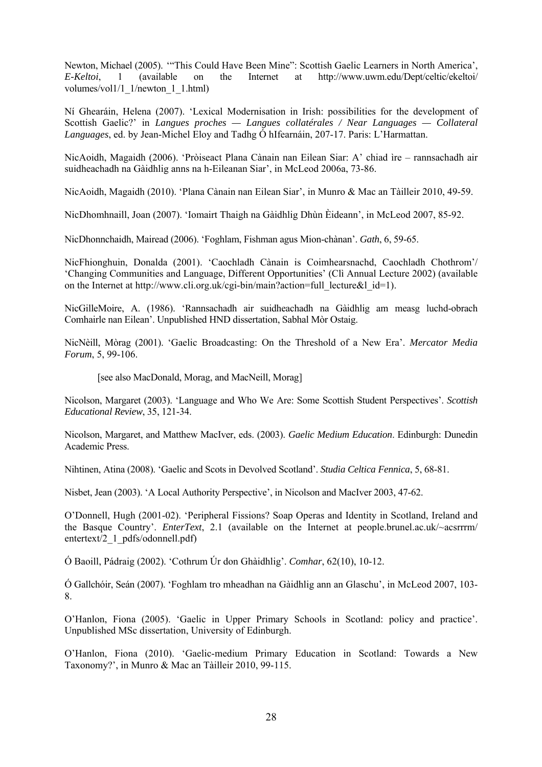Newton, Michael (2005). '"This Could Have Been Mine": Scottish Gaelic Learners in North America', *E-Keltoi*, 1 (available on the Internet at http://www.uwm.edu/Dept/celtic/ekeltoi/ volumes/vol1/1\_1/newton\_1\_1.html)

Ní Ghearáin, Helena (2007). 'Lexical Modernisation in Irish: possibilities for the development of Scottish Gaelic?' in *Langues proches — Langues collatérales / Near Languages — Collateral Languages*, ed. by Jean-Michel Eloy and Tadhg Ó hIfearnáin, 207-17. Paris: L'Harmattan.

NicAoidh, Magaidh (2006). 'Pròiseact Plana Cànain nan Eilean Siar: A' chiad ìre – rannsachadh air suidheachadh na Gàidhlig anns na h-Eileanan Siar', in McLeod 2006a, 73-86.

NicAoidh, Magaidh (2010). 'Plana Cànain nan Eilean Siar', in Munro & Mac an Tàilleir 2010, 49-59.

NicDhomhnaill, Joan (2007). 'Iomairt Thaigh na Gàidhlig Dhùn Èideann', in McLeod 2007, 85-92.

NicDhonnchaidh, Mairead (2006). 'Foghlam, Fishman agus Mion-chànan'. *Gath*, 6, 59-65.

NicFhionghuin, Donalda (2001). 'Caochladh Cànain is Coimhearsnachd, Caochladh Chothrom'/ 'Changing Communities and Language, Different Opportunities' (Clì Annual Lecture 2002) (available on the Internet at http://www.cli.org.uk/cgi-bin/main?action=full\_lecture&l\_id=1).

NicGilleMoire, A. (1986). 'Rannsachadh air suidheachadh na Gàidhlig am measg luchd-obrach Comhairle nan Eilean'. Unpublished HND dissertation, Sabhal Mòr Ostaig.

NicNèill, Mòrag (2001). 'Gaelic Broadcasting: On the Threshold of a New Era'. *Mercator Media Forum*, 5, 99-106.

[see also MacDonald, Morag, and MacNeill, Morag]

Nicolson, Margaret (2003). 'Language and Who We Are: Some Scottish Student Perspectives'. *Scottish Educational Review*, 35, 121-34.

Nicolson, Margaret, and Matthew MacIver, eds. (2003). *Gaelic Medium Education*. Edinburgh: Dunedin Academic Press.

Nihtinen, Atina (2008). 'Gaelic and Scots in Devolved Scotland'. *Studia Celtica Fennica*, 5, 68-81.

Nisbet, Jean (2003). 'A Local Authority Perspective', in Nicolson and MacIver 2003, 47-62.

O'Donnell, Hugh (2001-02). 'Peripheral Fissions? Soap Operas and Identity in Scotland, Ireland and the Basque Country'. *EnterText*, 2.1 (available on the Internet at people.brunel.ac.uk/~acsrrrm/ entertext/2\_1\_pdfs/odonnell.pdf)

Ó Baoill, Pádraig (2002). 'Cothrum Úr don Ghàidhlig'. *Comhar*, 62(10), 10-12.

Ó Gallchóir, Seán (2007). 'Foghlam tro mheadhan na Gàidhlig ann an Glaschu', in McLeod 2007, 103- 8.

O'Hanlon, Fiona (2005). 'Gaelic in Upper Primary Schools in Scotland: policy and practice'. Unpublished MSc dissertation, University of Edinburgh.

O'Hanlon, Fiona (2010). 'Gaelic-medium Primary Education in Scotland: Towards a New Taxonomy?', in Munro & Mac an Tàilleir 2010, 99-115.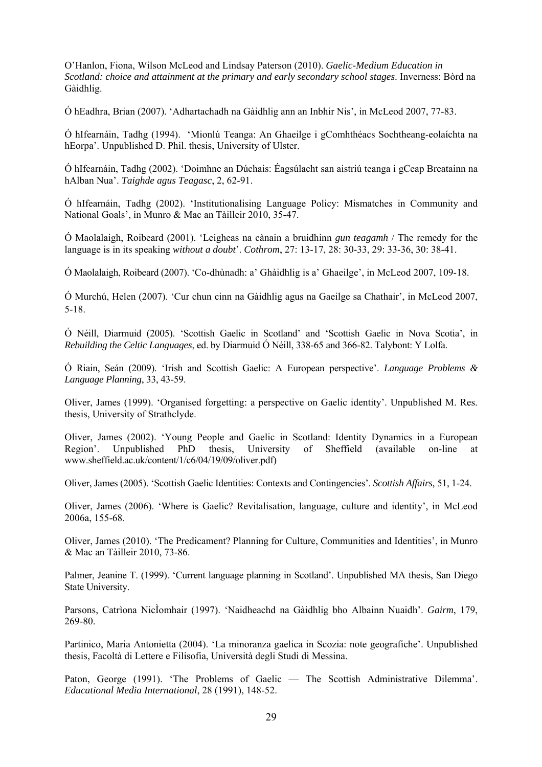O'Hanlon, Fiona, Wilson McLeod and Lindsay Paterson (2010). *Gaelic-Medium Education in Scotland: choice and attainment at the primary and early secondary school stages*. Inverness: Bòrd na Gàidhlig.

Ó hEadhra, Brian (2007). 'Adhartachadh na Gàidhlig ann an Inbhir Nis', in McLeod 2007, 77-83.

Ó hIfearnáin, Tadhg (1994). 'Mionlú Teanga: An Ghaeilge i gComhthéacs Sochtheang-eolaíchta na hEorpa'. Unpublished D. Phil. thesis, University of Ulster.

Ó hIfearnáin, Tadhg (2002). 'Doimhne an Dúchais: Éagsúlacht san aistriú teanga i gCeap Breatainn na hAlban Nua'. *Taighde agus Teagasc*, 2, 62-91.

Ó hIfearnáin, Tadhg (2002). 'Institutionalising Language Policy: Mismatches in Community and National Goals', in Munro & Mac an Tàilleir 2010, 35-47.

Ó Maolalaigh, Roibeard (2001). 'Leigheas na cànain a bruidhinn *gun teagamh* / The remedy for the language is in its speaking *without a doubt*'. *Cothrom*, 27: 13-17, 28: 30-33, 29: 33-36, 30: 38-41.

Ó Maolalaigh, Roibeard (2007). 'Co-dhùnadh: a' Ghàidhlig is a' Ghaeilge', in McLeod 2007, 109-18.

Ó Murchú, Helen (2007). 'Cur chun cinn na Gàidhlig agus na Gaeilge sa Chathair', in McLeod 2007, 5-18.

Ó Néill, Diarmuid (2005). 'Scottish Gaelic in Scotland' and 'Scottish Gaelic in Nova Scotia', in *Rebuilding the Celtic Languages*, ed. by Diarmuid Ó Néill, 338-65 and 366-82. Talybont: Y Lolfa.

Ó Riain, Seán (2009). 'Irish and Scottish Gaelic: A European perspective'. *Language Problems & Language Planning*, 33, 43-59.

Oliver, James (1999). 'Organised forgetting: a perspective on Gaelic identity'. Unpublished M. Res. thesis, University of Strathclyde.

Oliver, James (2002). 'Young People and Gaelic in Scotland: Identity Dynamics in a European Region'. Unpublished PhD thesis, University of Sheffield (available on-line at www.sheffield.ac.uk/content/1/c6/04/19/09/oliver.pdf)

Oliver, James (2005). 'Scottish Gaelic Identities: Contexts and Contingencies'. *Scottish Affairs*, 51, 1-24.

Oliver, James (2006). 'Where is Gaelic? Revitalisation, language, culture and identity', in McLeod 2006a, 155-68.

Oliver, James (2010). 'The Predicament? Planning for Culture, Communities and Identities', in Munro & Mac an Tàilleir 2010, 73-86.

Palmer, Jeanine T. (1999). 'Current language planning in Scotland'. Unpublished MA thesis, San Diego State University.

Parsons, Catrìona NicÌomhair (1997). 'Naidheachd na Gàidhlig bho Albainn Nuaidh'. *Gairm*, 179, 269-80.

Partinico, Maria Antonietta (2004). 'La minoranza gaelica in Scozia: note geografiche'. Unpublished thesis, Facoltà di Lettere e Filisofia, Università degli Studi di Messina.

Paton, George (1991). 'The Problems of Gaelic — The Scottish Administrative Dilemma'. *Educational Media International*, 28 (1991), 148-52.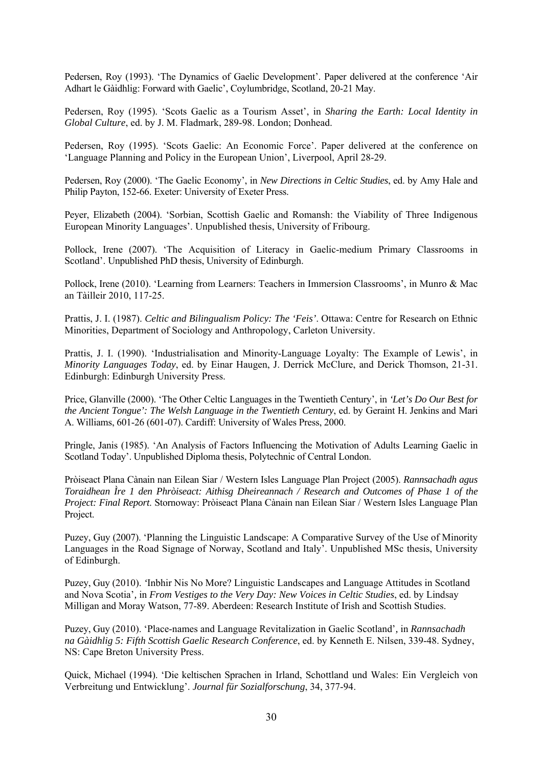Pedersen, Roy (1993). 'The Dynamics of Gaelic Development'. Paper delivered at the conference 'Air Adhart le Gàidhlig: Forward with Gaelic', Coylumbridge, Scotland, 20-21 May.

Pedersen, Roy (1995). 'Scots Gaelic as a Tourism Asset', in *Sharing the Earth: Local Identity in Global Culture*, ed. by J. M. Fladmark, 289-98. London; Donhead.

Pedersen, Roy (1995). 'Scots Gaelic: An Economic Force'. Paper delivered at the conference on 'Language Planning and Policy in the European Union', Liverpool, April 28-29.

Pedersen, Roy (2000). 'The Gaelic Economy', in *New Directions in Celtic Studies*, ed. by Amy Hale and Philip Payton, 152-66. Exeter: University of Exeter Press.

Peyer, Elizabeth (2004). 'Sorbian, Scottish Gaelic and Romansh: the Viability of Three Indigenous European Minority Languages'. Unpublished thesis, University of Fribourg.

Pollock, Irene (2007). 'The Acquisition of Literacy in Gaelic-medium Primary Classrooms in Scotland'. Unpublished PhD thesis, University of Edinburgh.

Pollock, Irene (2010). 'Learning from Learners: Teachers in Immersion Classrooms', in Munro & Mac an Tàilleir 2010, 117-25.

Prattis, J. I. (1987). *Celtic and Bilingualism Policy: The 'Feis'*. Ottawa: Centre for Research on Ethnic Minorities, Department of Sociology and Anthropology, Carleton University.

Prattis, J. I. (1990). 'Industrialisation and Minority-Language Loyalty: The Example of Lewis', in *Minority Languages Today*, ed. by Einar Haugen, J. Derrick McClure, and Derick Thomson, 21-31. Edinburgh: Edinburgh University Press.

Price, Glanville (2000). 'The Other Celtic Languages in the Twentieth Century', in *'Let's Do Our Best for the Ancient Tongue': The Welsh Language in the Twentieth Century*, ed. by Geraint H. Jenkins and Mari A. Williams, 601-26 (601-07). Cardiff: University of Wales Press, 2000.

Pringle, Janis (1985). 'An Analysis of Factors Influencing the Motivation of Adults Learning Gaelic in Scotland Today'. Unpublished Diploma thesis, Polytechnic of Central London.

Pròiseact Plana Cànain nan Eilean Siar / Western Isles Language Plan Project (2005). *Rannsachadh agus Toraidhean Ìre 1 den Phròiseact: Aithisg Dheireannach / Research and Outcomes of Phase 1 of the Project: Final Report*. Stornoway: Pròiseact Plana Cànain nan Eilean Siar / Western Isles Language Plan Project.

Puzey, Guy (2007). 'Planning the Linguistic Landscape: A Comparative Survey of the Use of Minority Languages in the Road Signage of Norway, Scotland and Italy'. Unpublished MSc thesis, University of Edinburgh.

Puzey, Guy (2010). *'*Inbhir Nis No More? Linguistic Landscapes and Language Attitudes in Scotland and Nova Scotia'*,* in *From Vestiges to the Very Day: New Voices in Celtic Studies*, ed. by Lindsay Milligan and Moray Watson, 77-89. Aberdeen: Research Institute of Irish and Scottish Studies.

Puzey, Guy (2010). 'Place-names and Language Revitalization in Gaelic Scotland'*,* in *Rannsachadh na Gàidhlig 5: Fifth Scottish Gaelic Research Conference*, ed. by Kenneth E. Nilsen, 339-48. Sydney, NS: Cape Breton University Press.

Quick, Michael (1994). 'Die keltischen Sprachen in Irland, Schottland und Wales: Ein Vergleich von Verbreitung und Entwicklung'. *Journal für Sozialforschung*, 34, 377-94.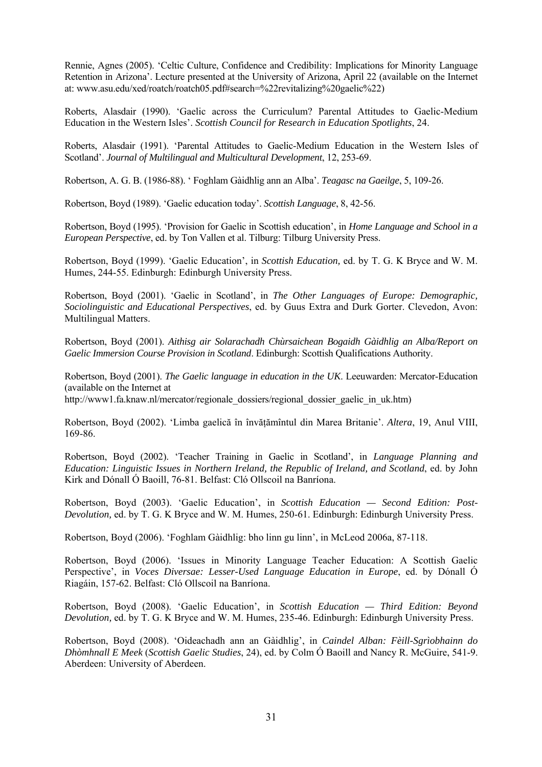Rennie, Agnes (2005). 'Celtic Culture, Confidence and Credibility: Implications for Minority Language Retention in Arizona'. Lecture presented at the University of Arizona, April 22 (available on the Internet at: www.asu.edu/xed/roatch/roatch05.pdf#search=%22revitalizing%20gaelic%22)

Roberts, Alasdair (1990). 'Gaelic across the Curriculum? Parental Attitudes to Gaelic-Medium Education in the Western Isles'. *Scottish Council for Research in Education Spotlights*, 24.

Roberts, Alasdair (1991). 'Parental Attitudes to Gaelic-Medium Education in the Western Isles of Scotland'. *Journal of Multilingual and Multicultural Development*, 12, 253-69.

Robertson, A. G. B. (1986-88). ' Foghlam Gàidhlig ann an Alba'. *Teagasc na Gaeilge*, 5, 109-26.

Robertson, Boyd (1989). 'Gaelic education today'. *Scottish Language*, 8, 42-56.

Robertson, Boyd (1995). 'Provision for Gaelic in Scottish education', in *Home Language and School in a European Perspective*, ed. by Ton Vallen et al. Tilburg: Tilburg University Press.

Robertson, Boyd (1999). 'Gaelic Education', in *Scottish Education,* ed. by T. G. K Bryce and W. M. Humes, 244-55. Edinburgh: Edinburgh University Press.

Robertson, Boyd (2001). 'Gaelic in Scotland', in *The Other Languages of Europe: Demographic, Sociolinguistic and Educational Perspectives*, ed. by Guus Extra and Durk Gorter. Clevedon, Avon: Multilingual Matters.

Robertson, Boyd (2001). *Aithisg air Solarachadh Chùrsaichean Bogaidh Gàidhlig an Alba/Report on Gaelic Immersion Course Provision in Scotland*. Edinburgh: Scottish Qualifications Authority.

Robertson, Boyd (2001). *The Gaelic language in education in the UK*. Leeuwarden: Mercator-Education (available on the Internet at

http://www1.fa.knaw.nl/mercator/regionale\_dossiers/regional\_dossier\_gaelic\_in\_uk.htm)

Robertson, Boyd (2002). 'Limba gaelică în învăţămîntul din Marea Britanie'. *Altera*, 19, Anul VIII, 169-86.

Robertson, Boyd (2002). 'Teacher Training in Gaelic in Scotland', in *Language Planning and Education: Linguistic Issues in Northern Ireland, the Republic of Ireland, and Scotland*, ed. by John Kirk and Dónall Ó Baoill, 76-81. Belfast: Cló Ollscoil na Banríona.

Robertson, Boyd (2003). 'Gaelic Education', in *Scottish Education — Second Edition: Post-Devolution,* ed. by T. G. K Bryce and W. M. Humes, 250-61. Edinburgh: Edinburgh University Press.

Robertson, Boyd (2006). 'Foghlam Gàidhlig: bho linn gu linn', in McLeod 2006a, 87-118.

Robertson, Boyd (2006). 'Issues in Minority Language Teacher Education: A Scottish Gaelic Perspective', in *Voces Diversae: Lesser-Used Language Education in Europe*, ed. by Dónall Ó Riagáin, 157-62. Belfast: Cló Ollscoil na Banríona.

Robertson, Boyd (2008). 'Gaelic Education', in *Scottish Education — Third Edition: Beyond Devolution,* ed. by T. G. K Bryce and W. M. Humes, 235-46. Edinburgh: Edinburgh University Press.

Robertson, Boyd (2008). 'Oideachadh ann an Gàidhlig', in *Caindel Alban: Fèill-Sgrìobhainn do Dhòmhnall E Meek* (*Scottish Gaelic Studies*, 24), ed. by Colm Ó Baoill and Nancy R. McGuire, 541-9. Aberdeen: University of Aberdeen.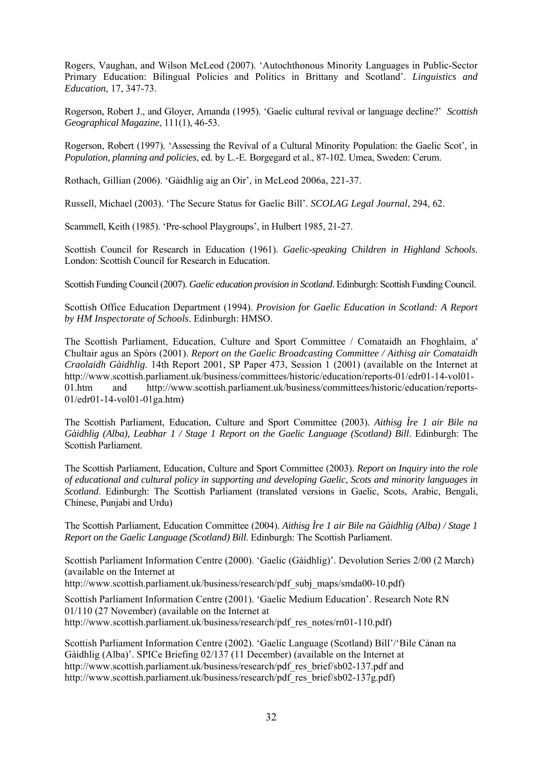Rogers, Vaughan, and Wilson McLeod (2007). 'Autochthonous Minority Languages in Public-Sector Primary Education: Bilingual Policies and Politics in Brittany and Scotland'. *Linguistics and Education*, 17, 347-73.

Rogerson, Robert J., and Gloyer, Amanda (1995). 'Gaelic cultural revival or language decline?' *Scottish Geographical Magazine*, 111(1), 46-53.

Rogerson, Robert (1997). 'Assessing the Revival of a Cultural Minority Population: the Gaelic Scot', in *Population, planning and policies*, ed. by L.-E. Borgegard et al., 87-102. Umea, Sweden: Cerum.

Rothach, Gillian (2006). 'Gàidhlig aig an Oir', in McLeod 2006a, 221-37.

Russell, Michael (2003). 'The Secure Status for Gaelic Bill'. *SCOLAG Legal Journal*, 294, 62.

Scammell, Keith (1985). 'Pre-school Playgroups', in Hulbert 1985, 21-27.

Scottish Council for Research in Education (1961). *Gaelic-speaking Children in Highland Schools*. London: Scottish Council for Research in Education.

Scottish Funding Council (2007). *Gaelic education provision in Scotland*. Edinburgh: Scottish Funding Council.

Scottish Office Education Department (1994). *Provision for Gaelic Education in Scotland: A Report by HM Inspectorate of Schools*. Edinburgh: HMSO.

The Scottish Parliament, Education, Culture and Sport Committee / Comataidh an Fhoghlaim, a' Chultair agus an Spòrs (2001). *Report on the Gaelic Broadcasting Committee / Aithisg air Comataidh Craolaidh Gàidhlig*. 14th Report 2001, SP Paper 473, Session 1 (2001) (available on the Internet at [http://www.scottish.parliament.uk/business/committees/historic/education/reports-01/edr01-14-vol01-](http://www.scottish.parliament.uk/business/committees/historic/education/reports-01/edr01-14-vol01-01.htm) [01.htm](http://www.scottish.parliament.uk/business/committees/historic/education/reports-01/edr01-14-vol01-01.htm) and [http://www.scottish.parliament.uk/business/committees/historic/education/reports-](http://www.scottish.parliament.uk/business/committees/historic/education/reports-01/edr01-14-vol01-01ga.htm)[01/edr01-14-vol01-01ga.htm](http://www.scottish.parliament.uk/business/committees/historic/education/reports-01/edr01-14-vol01-01ga.htm))

The Scottish Parliament, Education, Culture and Sport Committee (2003). *Aithisg Ìre 1 air Bile na Gàidhlig (Alba), Leabhar 1 / Stage 1 Report on the Gaelic Language (Scotland) Bill. Edinburgh: The* Scottish Parliament.

The Scottish Parliament, Education, Culture and Sport Committee (2003). *Report on Inquiry into the role of educational and cultural policy in supporting and developing Gaelic, Scots and minority languages in Scotland*. Edinburgh: The Scottish Parliament (translated versions in Gaelic, Scots, Arabic, Bengali, Chinese, Punjabi and Urdu)

The Scottish Parliament, Education Committee (2004). *Aithisg Ìre 1 air Bile na Gàidhlig (Alba) / Stage 1 Report on the Gaelic Language (Scotland) Bill*. Edinburgh: The Scottish Parliament.

Scottish Parliament Information Centre (2000). 'Gaelic (Gàidhlig)'. Devolution Series 2/00 (2 March) (available on the Internet at

[http://www.scottish.parliament.uk/business/research/pdf\\_subj\\_maps/smda00-10.pdf\)](http://www.scottish.parliament.uk/business/research/pdf_subj_maps/smda00-10.pdf)

Scottish Parliament Information Centre (2001). 'Gaelic Medium Education'. Research Note RN 01/110 (27 November) (available on the Internet at [http://www.scottish.parliament.uk/business/research/pdf\\_res\\_notes/rn01-110.pdf](http://www.scottish.parliament.uk/business/research/pdf_res_notes/rn01-110.pdf))

Scottish Parliament Information Centre (2002). 'Gaelic Language (Scotland) Bill'/'Bile Cànan na Gàidhlig (Alba)'. SPICe Briefing 02/137 (11 December) (available on the Internet at [http://www.scottish.parliament.uk/business/research/pdf\\_res\\_brief/sb02-137.pdf](http://www.scottish.parliament.uk/business/research/pdf_res_brief/sb02-137.pdf) and [http://www.scottish.parliament.uk/business/research/pdf\\_res\\_brief/sb02-137g.pdf](http://www.scottish.parliament.uk/business/research/pdf_res_brief/sb02-137g.pdf))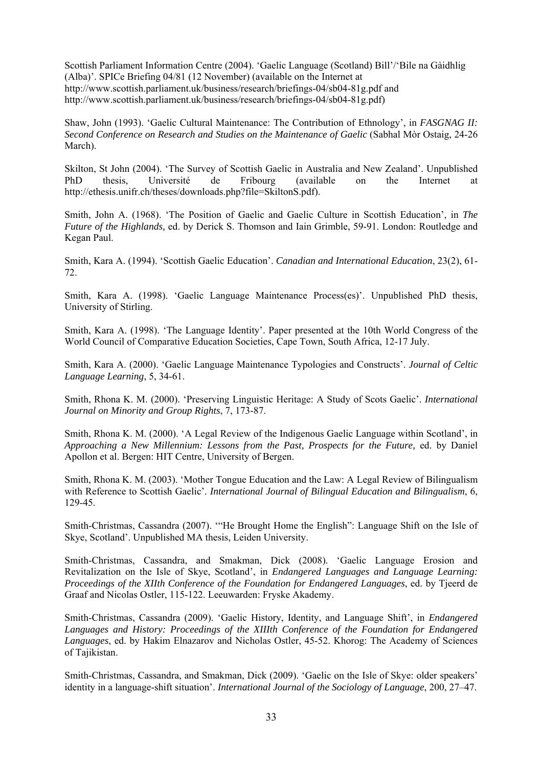Scottish Parliament Information Centre (2004). 'Gaelic Language (Scotland) Bill'/'Bile na Gàidhlig (Alba)'. SPICe Briefing 04/81 (12 November) (available on the Internet at <http://www.scottish.parliament.uk/business/research/briefings-04/sb04-81g.pdf> and <http://www.scottish.parliament.uk/business/research/briefings-04/sb04-81g.pdf>)

Shaw, John (1993). 'Gaelic Cultural Maintenance: The Contribution of Ethnology', in *FASGNAG II: Second Conference on Research and Studies on the Maintenance of Gaelic* (Sabhal Mòr Ostaig, 24-26 March).

Skilton, St John (2004). 'The Survey of Scottish Gaelic in Australia and New Zealand'. Unpublished PhD thesis, Université de Fribourg (available on the Internet at http://ethesis.unifr.ch/theses/downloads.php?file=SkiltonS.pdf).

Smith, John A. (1968). 'The Position of Gaelic and Gaelic Culture in Scottish Education', in *The Future of the Highlands,* ed. by Derick S. Thomson and Iain Grimble, 59-91. London: Routledge and Kegan Paul.

Smith, Kara A. (1994). 'Scottish Gaelic Education'. *Canadian and International Education*, 23(2), 61- 72.

Smith, Kara A. (1998). 'Gaelic Language Maintenance Process(es)'. Unpublished PhD thesis, University of Stirling.

Smith, Kara A. (1998). 'The Language Identity'. Paper presented at the 10th World Congress of the World Council of Comparative Education Societies, Cape Town, South Africa, 12-17 July.

Smith, Kara A. (2000). 'Gaelic Language Maintenance Typologies and Constructs'. *Journal of Celtic Language Learning*, 5, 34-61.

Smith, Rhona K. M. (2000). 'Preserving Linguistic Heritage: A Study of Scots Gaelic'. *International Journal on Minority and Group Rights*, 7, 173-87.

Smith, Rhona K. M. (2000). 'A Legal Review of the Indigenous Gaelic Language within Scotland', in *Approaching a New Millennium: Lessons from the Past, Prospects for the Future,* ed. by Daniel Apollon et al. Bergen: HIT Centre, University of Bergen.

Smith, Rhona K. M. (2003). 'Mother Tongue Education and the Law: A Legal Review of Bilingualism with Reference to Scottish Gaelic'. *International Journal of Bilingual Education and Bilingualism*, 6, 129-45.

Smith-Christmas, Cassandra (2007). '"He Brought Home the English": Language Shift on the Isle of Skye, Scotland'. Unpublished MA thesis, Leiden University.

Smith-Christmas, Cassandra, and Smakman, Dick (2008). 'Gaelic Language Erosion and Revitalization on the Isle of Skye, Scotland', in *Endangered Languages and Language Learning: Proceedings of the XIIth Conference of the Foundation for Endangered Languages*, ed. by Tjeerd de Graaf and Nicolas Ostler, 115-122. Leeuwarden: Fryske Akademy.

Smith-Christmas, Cassandra (2009). 'Gaelic History, Identity, and Language Shift', in *Endangered Languages and History: Proceedings of the XIIIth Conference of the Foundation for Endangered Languages*, ed. by Hakim Elnazarov and Nicholas Ostler, 45-52. Khorog: The Academy of Sciences of Tajikistan.

Smith-Christmas, Cassandra, and Smakman, Dick (2009). 'Gaelic on the Isle of Skye: older speakers' identity in a language-shift situation'. *International Journal of the Sociology of Language*, 200, 27–47.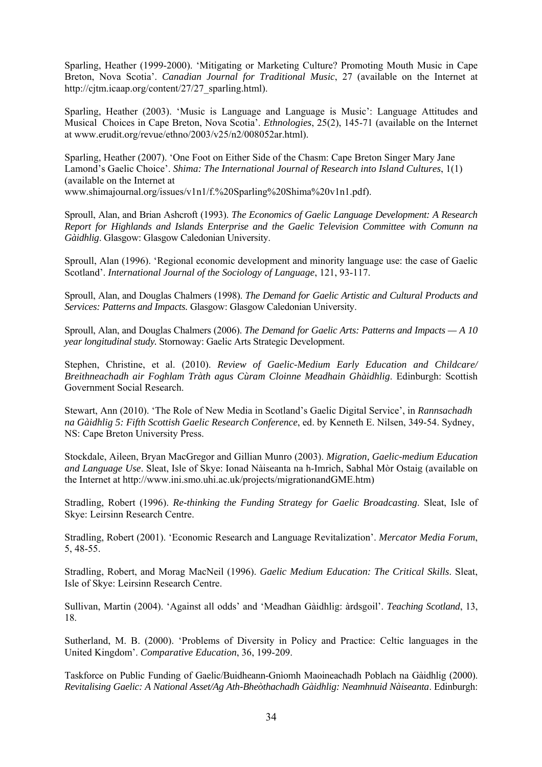Sparling, Heather (1999-2000). 'Mitigating or Marketing Culture? Promoting Mouth Music in Cape Breton, Nova Scotia'. *Canadian Journal for Traditional Music*, 27 (available on the Internet at http://cjtm.icaap.org/content/27/27\_sparling.html).

Sparling, Heather (2003). 'Music is Language and Language is Music': Language Attitudes and Musical Choices in Cape Breton, Nova Scotia'. *Ethnologies*, 25(2), 145-71 (available on the Internet at www.erudit.org/revue/ethno/2003/v25/n2/008052ar.html).

Sparling, Heather (2007). 'One Foot on Either Side of the Chasm: Cape Breton Singer Mary Jane Lamond's Gaelic Choice'. *Shima: The International Journal of Research into Island Cultures*, 1(1) (available on the Internet at www.shimajournal.org/issues/v1n1/f.%20Sparling%20Shima%20v1n1.pdf).

Sproull, Alan, and Brian Ashcroft (1993). *The Economics of Gaelic Language Development: A Research Report for Highlands and Islands Enterprise and the Gaelic Television Committee with Comunn na Gàidhlig*. Glasgow: Glasgow Caledonian University.

Sproull, Alan (1996). 'Regional economic development and minority language use: the case of Gaelic Scotland'. *International Journal of the Sociology of Language*, 121, 93-117.

Sproull, Alan, and Douglas Chalmers (1998). *The Demand for Gaelic Artistic and Cultural Products and Services: Patterns and Impacts.* Glasgow: Glasgow Caledonian University.

Sproull, Alan, and Douglas Chalmers (2006). *The Demand for Gaelic Arts: Patterns and Impacts — A 10 year longitudinal study.* Stornoway: Gaelic Arts Strategic Development.

Stephen, Christine, et al. (2010). *Review of Gaelic-Medium Early Education and Childcare/ Breithneachadh air Foghlam Tràth agus Cùram Cloinne Meadhain Ghàidhlig*. Edinburgh: Scottish Government Social Research.

Stewart, Ann (2010). 'The Role of New Media in Scotland's Gaelic Digital Service', in *Rannsachadh na Gàidhlig 5: Fifth Scottish Gaelic Research Conference*, ed. by Kenneth E. Nilsen, 349-54. Sydney, NS: Cape Breton University Press.

Stockdale, Aileen, Bryan MacGregor and Gillian Munro (2003). *Migration, Gaelic-medium Education and Language Use*. Sleat, Isle of Skye: Ionad Nàiseanta na h-Imrich, Sabhal Mòr Ostaig (available on the Internet at http://www.ini.smo.uhi.ac.uk/projects/migrationandGME.htm)

Stradling, Robert (1996). *Re-thinking the Funding Strategy for Gaelic Broadcasting*. Sleat, Isle of Skye: Leirsinn Research Centre.

Stradling, Robert (2001). 'Economic Research and Language Revitalization'. *Mercator Media Forum*, 5, 48-55.

Stradling, Robert, and Morag MacNeil (1996). *Gaelic Medium Education: The Critical Skills*. Sleat, Isle of Skye: Leirsinn Research Centre.

Sullivan, Martin (2004). 'Against all odds' and 'Meadhan Gàidhlig: àrdsgoil'. *Teaching Scotland*, 13, 18.

Sutherland, M. B. (2000). 'Problems of Diversity in Policy and Practice: Celtic languages in the United Kingdom'. *Comparative Education*, 36, 199-209.

Taskforce on Public Funding of Gaelic/Buidheann-Gnìomh Maoineachadh Poblach na Gàidhlig (2000). *Revitalising Gaelic: A National Asset/Ag Ath-Bheòthachadh Gàidhlig: Neamhnuid Nàiseanta*. Edinburgh: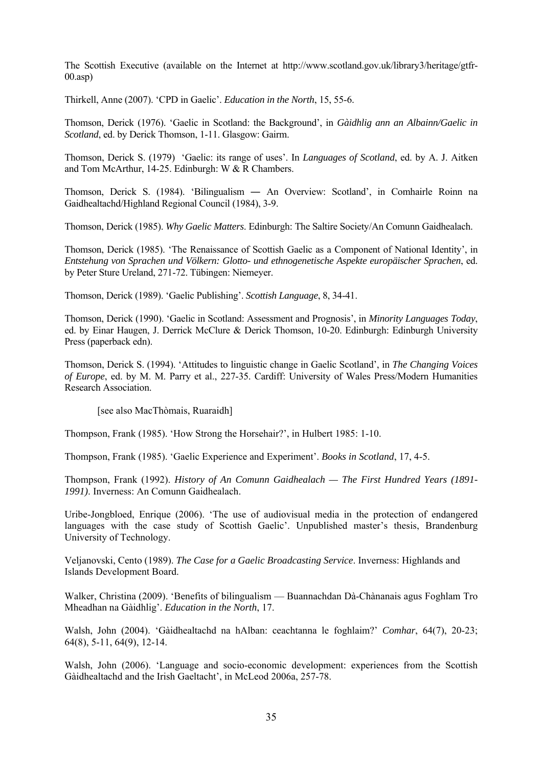The Scottish Executive (available on the Internet at http://www.scotland.gov.uk/library3/heritage/gtfr- $(00 \text{ asp})$ 

Thirkell, Anne (2007). 'CPD in Gaelic'. *Education in the North*, 15, 55-6.

Thomson, Derick (1976). 'Gaelic in Scotland: the Background', in *Gàidhlig ann an Albainn/Gaelic in Scotland*, ed. by Derick Thomson, 1-11. Glasgow: Gairm.

Thomson, Derick S. (1979) 'Gaelic: its range of uses'. In *Languages of Scotland*, ed. by A. J. Aitken and Tom McArthur, 14-25. Edinburgh: W & R Chambers.

Thomson, Derick S. (1984). 'Bilingualism ― An Overview: Scotland', in Comhairle Roinn na Gaidhealtachd/Highland Regional Council (1984), 3-9.

Thomson, Derick (1985). *Why Gaelic Matters*. Edinburgh: The Saltire Society/An Comunn Gaidhealach.

Thomson, Derick (1985). 'The Renaissance of Scottish Gaelic as a Component of National Identity', in *Entstehung von Sprachen und Völkern: Glotto- und ethnogenetische Aspekte europäischer Sprachen*, ed. by Peter Sture Ureland, 271-72. Tübingen: Niemeyer.

Thomson, Derick (1989). 'Gaelic Publishing'. *Scottish Language*, 8, 34-41.

Thomson, Derick (1990). 'Gaelic in Scotland: Assessment and Prognosis', in *Minority Languages Today*, ed. by Einar Haugen, J. Derrick McClure & Derick Thomson, 10-20. Edinburgh: Edinburgh University Press (paperback edn).

Thomson, Derick S. (1994). 'Attitudes to linguistic change in Gaelic Scotland', in *The Changing Voices of Europe*, ed. by M. M. Parry et al., 227-35. Cardiff: University of Wales Press/Modern Humanities Research Association.

[see also MacThòmais, Ruaraidh]

Thompson, Frank (1985). 'How Strong the Horsehair?', in Hulbert 1985: 1-10.

Thompson, Frank (1985). 'Gaelic Experience and Experiment'. *Books in Scotland*, 17, 4-5.

Thompson, Frank (1992). *History of An Comunn Gaidhealach — The First Hundred Years (1891- 1991)*. Inverness: An Comunn Gaidhealach.

Uribe-Jongbloed, Enrique (2006). 'The use of audiovisual media in the protection of endangered languages with the case study of Scottish Gaelic'. Unpublished master's thesis, Brandenburg University of Technology.

Veljanovski, Cento (1989). *The Case for a Gaelic Broadcasting Service*. Inverness: Highlands and Islands Development Board.

Walker, Christina (2009). 'Benefits of bilingualism — Buannachdan Dà-Chànanais agus Foghlam Tro Mheadhan na Gàidhlig'. *Education in the North*, 17.

Walsh, John (2004). 'Gàidhealtachd na hAlban: ceachtanna le foghlaim?' *Comhar*, 64(7), 20-23; 64(8), 5-11, 64(9), 12-14.

Walsh, John (2006). 'Language and socio-economic development: experiences from the Scottish Gàidhealtachd and the Irish Gaeltacht', in McLeod 2006a, 257-78.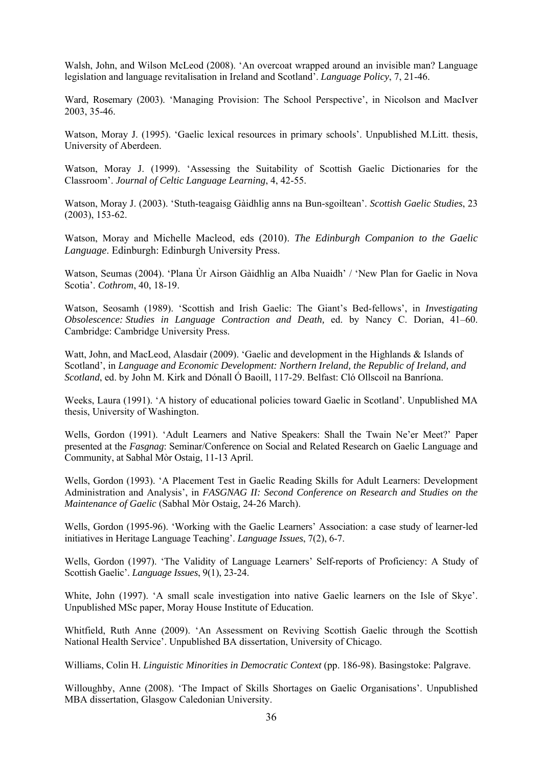Walsh, John, and Wilson McLeod (2008). 'An overcoat wrapped around an invisible man? Language legislation and language revitalisation in Ireland and Scotland'. *Language Policy*, 7, 21-46.

Ward, Rosemary (2003). 'Managing Provision: The School Perspective', in Nicolson and MacIver 2003, 35-46.

Watson, Moray J. (1995). 'Gaelic lexical resources in primary schools'. Unpublished M.Litt. thesis, University of Aberdeen.

Watson, Moray J. (1999). 'Assessing the Suitability of Scottish Gaelic Dictionaries for the Classroom'. *Journal of Celtic Language Learning*, 4, 42-55.

Watson, Moray J. (2003). 'Stuth-teagaisg Gàidhlig anns na Bun-sgoiltean'. *Scottish Gaelic Studies*, 23 (2003), 153-62.

Watson, Moray and Michelle Macleod, eds (2010). *The Edinburgh Companion to the Gaelic Language*. Edinburgh: Edinburgh University Press.

Watson, Seumas (2004). 'Plana Ùr Airson Gàidhlig an Alba Nuaidh' / 'New Plan for Gaelic in Nova Scotia'. *Cothrom*, 40, 18-19.

Watson, Seosamh (1989). 'Scottish and Irish Gaelic: The Giant's Bed-fellows', in *Investigating Obsolescence: Studies in Language Contraction and Death,* ed. by Nancy C. Dorian, 41–60. Cambridge: Cambridge University Press.

Watt, John, and MacLeod, Alasdair (2009). 'Gaelic and development in the Highlands & Islands of Scotland', in *Language and Economic Development: Northern Ireland, the Republic of Ireland, and Scotland*, ed. by John M. Kirk and Dónall Ó Baoill, 117-29. Belfast: Cló Ollscoil na Banríona.

Weeks, Laura (1991). 'A history of educational policies toward Gaelic in Scotland'. Unpublished MA thesis, University of Washington.

Wells, Gordon (1991). 'Adult Learners and Native Speakers: Shall the Twain Ne'er Meet?' Paper presented at the *Fasgnag*: Seminar/Conference on Social and Related Research on Gaelic Language and Community, at Sabhal Mòr Ostaig, 11-13 April.

Wells, Gordon (1993). 'A Placement Test in Gaelic Reading Skills for Adult Learners: Development Administration and Analysis', in *FASGNAG II: Second Conference on Research and Studies on the Maintenance of Gaelic* (Sabhal Mòr Ostaig, 24-26 March).

Wells, Gordon (1995-96). 'Working with the Gaelic Learners' Association: a case study of learner-led initiatives in Heritage Language Teaching'. *Language Issues*, 7(2), 6-7.

Wells, Gordon (1997). 'The Validity of Language Learners' Self-reports of Proficiency: A Study of Scottish Gaelic'. *Language Issues*, 9(1), 23-24.

White, John (1997). 'A small scale investigation into native Gaelic learners on the Isle of Skye'. Unpublished MSc paper, Moray House Institute of Education.

Whitfield, Ruth Anne (2009). 'An Assessment on Reviving Scottish Gaelic through the Scottish National Health Service'. Unpublished BA dissertation, University of Chicago.

Williams, Colin H. *Linguistic Minorities in Democratic Context* (pp. 186-98). Basingstoke: Palgrave.

Willoughby, Anne (2008). 'The Impact of Skills Shortages on Gaelic Organisations'. Unpublished MBA dissertation, Glasgow Caledonian University.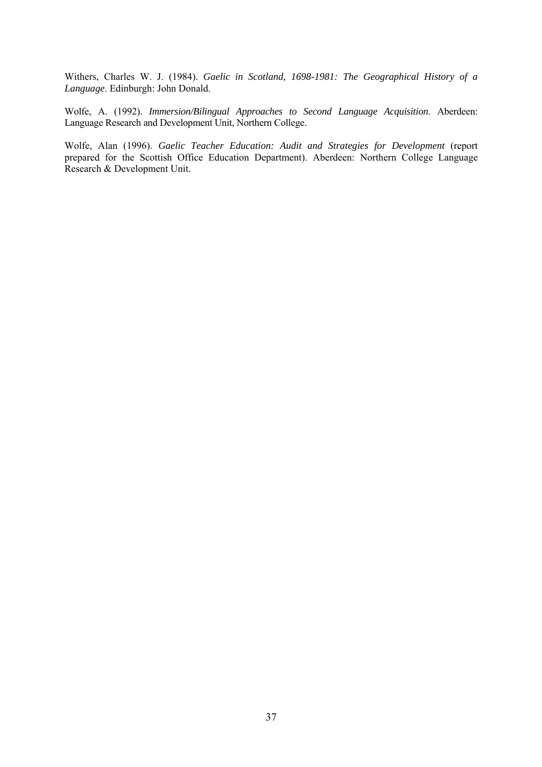Withers, Charles W. J. (1984). *Gaelic in Scotland, 1698-1981: The Geographical History of a Language*. Edinburgh: John Donald.

Wolfe, A. (1992). *Immersion/Bilingual Approaches to Second Language Acquisition*. Aberdeen: Language Research and Development Unit, Northern College.

Wolfe, Alan (1996). *Gaelic Teacher Education: Audit and Strategies for Development* (report prepared for the Scottish Office Education Department). Aberdeen: Northern College Language Research & Development Unit.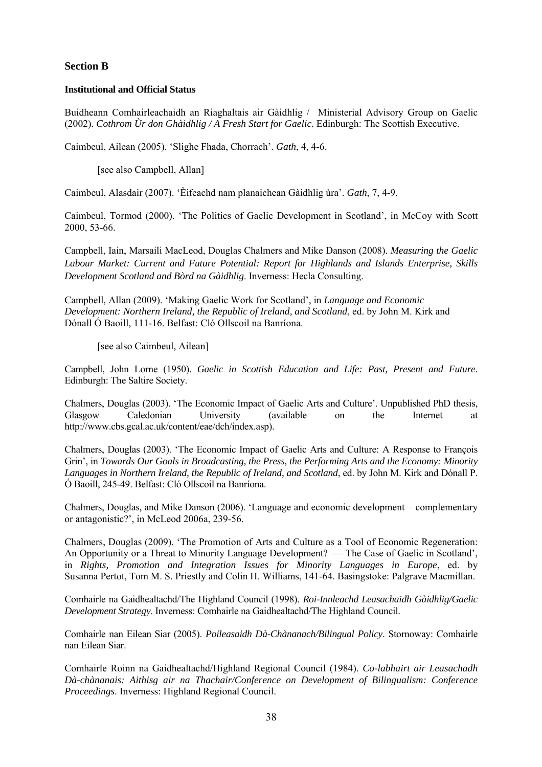# **Section B**

#### **Institutional and Official Status**

Buidheann Comhairleachaidh an Riaghaltais air Gàidhlig / Ministerial Advisory Group on Gaelic (2002). *Cothrom Ùr don Ghàidhlig / A Fresh Start for Gaelic*. Edinburgh: The Scottish Executive.

Caimbeul, Ailean (2005). 'Slighe Fhada, Chorrach'. *Gath*, 4, 4-6.

[see also Campbell, Allan]

Caimbeul, Alasdair (2007). 'Èifeachd nam planaichean Gàidhlig ùra'. *Gath*, 7, 4-9.

Caimbeul, Tormod (2000). 'The Politics of Gaelic Development in Scotland', in McCoy with Scott 2000, 53-66.

Campbell, Iain, Marsaili MacLeod, Douglas Chalmers and Mike Danson (2008). *Measuring the Gaelic Labour Market: Current and Future Potential: Report for Highlands and Islands Enterprise, Skills Development Scotland and Bòrd na Gàidhlig*. Inverness: Hecla Consulting.

Campbell, Allan (2009). 'Making Gaelic Work for Scotland', in *Language and Economic Development: Northern Ireland, the Republic of Ireland, and Scotland*, ed. by John M. Kirk and Dónall Ó Baoill, 111-16. Belfast: Cló Ollscoil na Banríona.

[see also Caimbeul, Ailean]

Campbell, John Lorne (1950). *Gaelic in Scottish Education and Life: Past, Present and Future*. Edinburgh: The Saltire Society.

Chalmers, Douglas (2003). 'The Economic Impact of Gaelic Arts and Culture'. Unpublished PhD thesis, Glasgow Caledonian University (available on the Internet at http://www.cbs.gcal.ac.uk/content/eae/dch/index.asp).

Chalmers, Douglas (2003). 'The Economic Impact of Gaelic Arts and Culture: A Response to François Grin', in *Towards Our Goals in Broadcasting, the Press, the Performing Arts and the Economy: Minority Languages in Northern Ireland, the Republic of Ireland, and Scotland*, ed. by John M. Kirk and Dónall P. Ó Baoill, 245-49. Belfast: Cló Ollscoil na Banríona.

Chalmers, Douglas, and Mike Danson (2006). 'Language and economic development – complementary or antagonistic?', in McLeod 2006a, 239-56.

Chalmers, Douglas (2009). 'The Promotion of Arts and Culture as a Tool of Economic Regeneration: An Opportunity or a Threat to Minority Language Development? — The Case of Gaelic in Scotland', in *Rights, Promotion and Integration Issues for Minority Languages in Europe*, ed. by Susanna Pertot, Tom M. S. Priestly and Colin H. Williams, 141-64. Basingstoke: Palgrave Macmillan.

Comhairle na Gaidhealtachd/The Highland Council (1998). *Roi-Innleachd Leasachaidh Gàidhlig/Gaelic Development Strategy*. Inverness: Comhairle na Gaidhealtachd/The Highland Council.

Comhairle nan Eilean Siar (2005). *Poileasaidh Dà-Chànanach/Bilingual Policy*. Stornoway: Comhairle nan Eilean Siar.

Comhairle Roinn na Gaidhealtachd/Highland Regional Council (1984). *Co-labhairt air Leasachadh Dà-chànanais: Aithisg air na Thachair/Conference on Development of Bilingualism: Conference Proceedings*. Inverness: Highland Regional Council.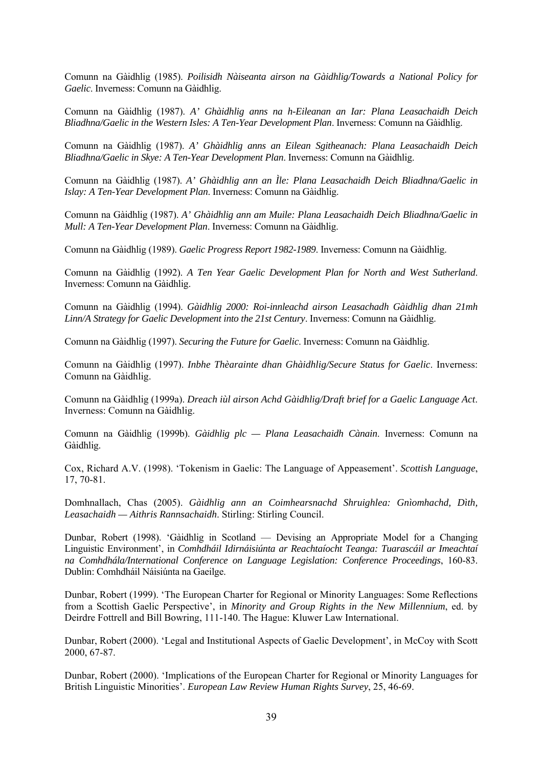Comunn na Gàidhlig (1985). *Poilisidh Nàiseanta airson na Gàidhlig/Towards a National Policy for Gaelic*. Inverness: Comunn na Gàidhlig.

Comunn na Gàidhlig (1987). *A' Ghàidhlig anns na h-Eileanan an Iar: Plana Leasachaidh Deich Bliadhna/Gaelic in the Western Isles: A Ten-Year Development Plan*. Inverness: Comunn na Gàidhlig.

Comunn na Gàidhlig (1987). *A' Ghàidhlig anns an Eilean Sgitheanach: Plana Leasachaidh Deich Bliadhna/Gaelic in Skye: A Ten-Year Development Plan*. Inverness: Comunn na Gàidhlig.

Comunn na Gàidhlig (1987). *A' Ghàidhlig ann an Ìle: Plana Leasachaidh Deich Bliadhna/Gaelic in Islay: A Ten-Year Development Plan*. Inverness: Comunn na Gàidhlig.

Comunn na Gàidhlig (1987). *A' Ghàidhlig ann am Muile: Plana Leasachaidh Deich Bliadhna/Gaelic in Mull: A Ten-Year Development Plan*. Inverness: Comunn na Gàidhlig.

Comunn na Gàidhlig (1989). *Gaelic Progress Report 1982-1989*. Inverness: Comunn na Gàidhlig.

Comunn na Gàidhlig (1992). *A Ten Year Gaelic Development Plan for North and West Sutherland*. Inverness: Comunn na Gàidhlig.

Comunn na Gàidhlig (1994). *Gàidhlig 2000: Roi-innleachd airson Leasachadh Gàidhlig dhan 21mh Linn/A Strategy for Gaelic Development into the 21st Century*. Inverness: Comunn na Gàidhlig.

Comunn na Gàidhlig (1997). *Securing the Future for Gaelic*. Inverness: Comunn na Gàidhlig.

Comunn na Gàidhlig (1997). *Inbhe Thèarainte dhan Ghàidhlig/Secure Status for Gaelic*. Inverness: Comunn na Gàidhlig.

Comunn na Gàidhlig (1999a). *Dreach iùl airson Achd Gàidhlig/Draft brief for a Gaelic Language Act*. Inverness: Comunn na Gàidhlig.

Comunn na Gàidhlig (1999b). *Gàidhlig plc — Plana Leasachaidh Cànain*. Inverness: Comunn na Gàidhlig.

Cox, Richard A.V. (1998). 'Tokenism in Gaelic: The Language of Appeasement'. *Scottish Language*, 17, 70-81.

Domhnallach, Chas (2005). *Gàidhlig ann an Coimhearsnachd Shruighlea: Gnìomhachd, Dìth, Leasachaidh — Aithris Rannsachaidh*. Stirling: Stirling Council.

Dunbar, Robert (1998). 'Gàidhlig in Scotland — Devising an Appropriate Model for a Changing Linguistic Environment', in *Comhdháil Idirnáisiúnta ar Reachtaíocht Teanga: Tuarascáil ar Imeachtaí na Comhdhála/International Conference on Language Legislation: Conference Proceedings*, 160-83. Dublin: Comhdháil Náisiúnta na Gaeilge.

Dunbar, Robert (1999). 'The European Charter for Regional or Minority Languages: Some Reflections from a Scottish Gaelic Perspective', in *Minority and Group Rights in the New Millennium*, ed. by Deirdre Fottrell and Bill Bowring, 111-140. The Hague: Kluwer Law International.

Dunbar, Robert (2000). 'Legal and Institutional Aspects of Gaelic Development', in McCoy with Scott 2000, 67-87.

Dunbar, Robert (2000). 'Implications of the European Charter for Regional or Minority Languages for British Linguistic Minorities'. *European Law Review Human Rights Survey*, 25, 46-69.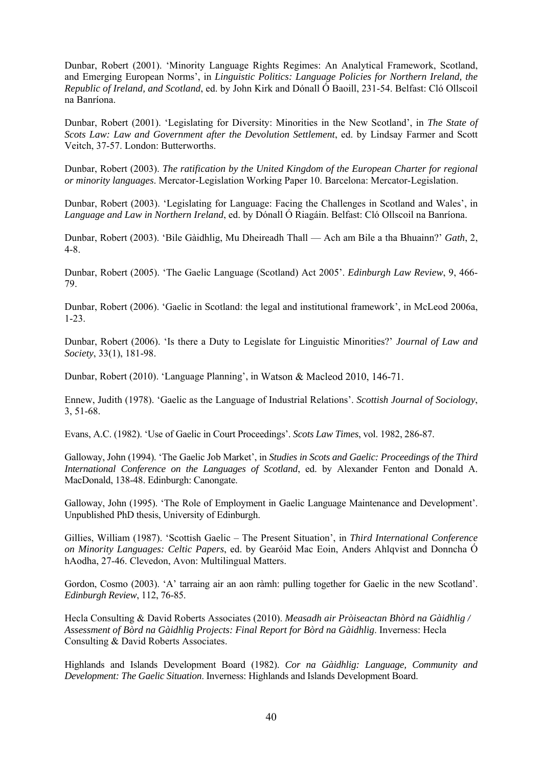Dunbar, Robert (2001). 'Minority Language Rights Regimes: An Analytical Framework, Scotland, and Emerging European Norms', in *Linguistic Politics: Language Policies for Northern Ireland, the Republic of Ireland, and Scotland*, ed. by John Kirk and Dónall Ó Baoill, 231-54. Belfast: Cló Ollscoil na Banríona.

Dunbar, Robert (2001). 'Legislating for Diversity: Minorities in the New Scotland', in *The State of Scots Law: Law and Government after the Devolution Settlement*, ed. by Lindsay Farmer and Scott Veitch, 37-57. London: Butterworths.

Dunbar, Robert (2003). *The ratification by the United Kingdom of the European Charter for regional or minority languages*. Mercator-Legislation Working Paper 10. Barcelona: Mercator-Legislation.

Dunbar, Robert (2003). 'Legislating for Language: Facing the Challenges in Scotland and Wales', in *Language and Law in Northern Ireland*, ed. by Dónall Ó Riagáin. Belfast: Cló Ollscoil na Banríona.

Dunbar, Robert (2003). 'Bile Gàidhlig, Mu Dheireadh Thall — Ach am Bile a tha Bhuainn?' *Gath*, 2, 4-8.

Dunbar, Robert (2005). 'The Gaelic Language (Scotland) Act 2005'. *Edinburgh Law Review*, 9, 466- 79.

Dunbar, Robert (2006). 'Gaelic in Scotland: the legal and institutional framework', in McLeod 2006a, 1-23.

Dunbar, Robert (2006). 'Is there a Duty to Legislate for Linguistic Minorities?' *Journal of Law and Society*, 33(1), 181-98.

Dunbar, Robert (2010). 'Language Planning', in Watson & Macleod 2010, 146-71.

Ennew, Judith (1978). 'Gaelic as the Language of Industrial Relations'. *Scottish Journal of Sociology*, 3, 51-68.

Evans, A.C. (1982). 'Use of Gaelic in Court Proceedings'. *Scots Law Times*, vol. 1982, 286-87.

Galloway, John (1994). 'The Gaelic Job Market', in *Studies in Scots and Gaelic: Proceedings of the Third International Conference on the Languages of Scotland*, ed. by Alexander Fenton and Donald A. MacDonald, 138-48. Edinburgh: Canongate.

Galloway, John (1995). 'The Role of Employment in Gaelic Language Maintenance and Development'. Unpublished PhD thesis, University of Edinburgh.

Gillies, William (1987). 'Scottish Gaelic – The Present Situation', in *Third International Conference on Minority Languages: Celtic Papers*, ed. by Gearóid Mac Eoin, Anders Ahlqvist and Donncha Ó hAodha, 27-46. Clevedon, Avon: Multilingual Matters.

Gordon, Cosmo (2003). 'A' tarraing air an aon ràmh: pulling together for Gaelic in the new Scotland'. *Edinburgh Review*, 112, 76-85.

Hecla Consulting & David Roberts Associates (2010). *Measadh air Pròiseactan Bhòrd na Gàidhlig / Assessment of Bòrd na Gàidhlig Projects: Final Report for Bòrd na Gàidhlig*. Inverness: Hecla Consulting & David Roberts Associates.

Highlands and Islands Development Board (1982). *Cor na Gàidhlig: Language, Community and Development: The Gaelic Situation*. Inverness: Highlands and Islands Development Board.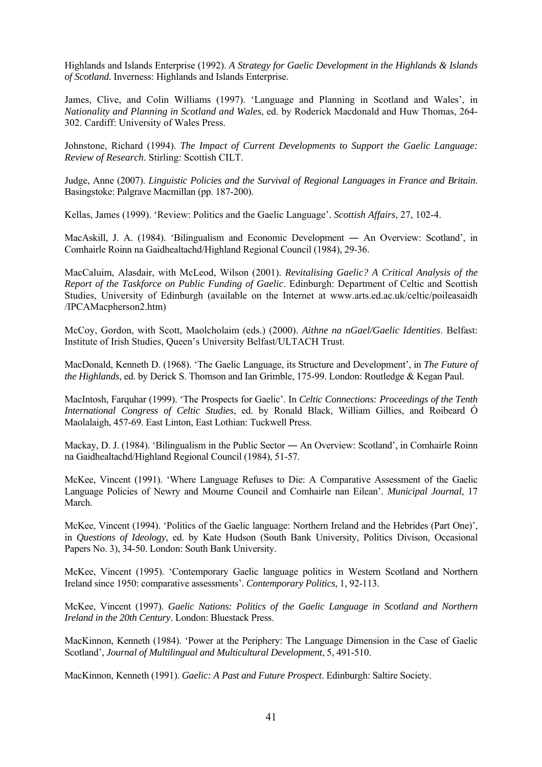Highlands and Islands Enterprise (1992). *A Strategy for Gaelic Development in the Highlands & Islands of Scotland.* Inverness: Highlands and Islands Enterprise.

James, Clive, and Colin Williams (1997). 'Language and Planning in Scotland and Wales', in *Nationality and Planning in Scotland and Wales*, ed. by Roderick Macdonald and Huw Thomas, 264- 302. Cardiff: University of Wales Press.

Johnstone, Richard (1994). *The Impact of Current Developments to Support the Gaelic Language: Review of Research*. Stirling: Scottish CILT.

Judge, Anne (2007). *Linguistic Policies and the Survival of Regional Languages in France and Britain*. Basingstoke: Palgrave Macmillan (pp. 187-200).

Kellas, James (1999). 'Review: Politics and the Gaelic Language'. *Scottish Affairs*, 27, 102-4.

MacAskill, J. A. (1984). 'Bilingualism and Economic Development ― An Overview: Scotland', in Comhairle Roinn na Gaidhealtachd/Highland Regional Council (1984), 29-36.

MacCaluim, Alasdair, with McLeod, Wilson (2001). *Revitalising Gaelic? A Critical Analysis of the Report of the Taskforce on Public Funding of Gaelic*. Edinburgh: Department of Celtic and Scottish Studies, University of Edinburgh (available on the Internet at www.arts.ed.ac.uk/celtic/poileasaidh /IPCAMacpherson2.htm)

McCoy, Gordon, with Scott, Maolcholaim (eds.) (2000). *Aithne na nGael/Gaelic Identities*. Belfast: Institute of Irish Studies, Queen's University Belfast/ULTACH Trust.

MacDonald, Kenneth D. (1968). 'The Gaelic Language, its Structure and Development', in *The Future of the Highlands*, ed. by Derick S. Thomson and Ian Grimble, 175-99. London: Routledge & Kegan Paul.

MacIntosh, Farquhar (1999). 'The Prospects for Gaelic'. In *Celtic Connections: Proceedings of the Tenth International Congress of Celtic Studies*, ed. by Ronald Black, William Gillies, and Roibeard Ó Maolalaigh, 457-69. East Linton, East Lothian: Tuckwell Press.

Mackay, D. J. (1984). 'Bilingualism in the Public Sector — An Overview: Scotland', in Comhairle Roinn na Gaidhealtachd/Highland Regional Council (1984), 51-57.

McKee, Vincent (1991). 'Where Language Refuses to Die: A Comparative Assessment of the Gaelic Language Policies of Newry and Mourne Council and Comhairle nan Eilean'. *Municipal Journal*, 17 March.

McKee, Vincent (1994). 'Politics of the Gaelic language: Northern Ireland and the Hebrides (Part One)', in *Questions of Ideology*, ed. by Kate Hudson (South Bank University, Politics Divison, Occasional Papers No. 3), 34-50. London: South Bank University.

McKee, Vincent (1995). 'Contemporary Gaelic language politics in Western Scotland and Northern Ireland since 1950: comparative assessments'. *Contemporary Politics*, 1, 92-113.

McKee, Vincent (1997). *Gaelic Nations: Politics of the Gaelic Language in Scotland and Northern Ireland in the 20th Century*. London: Bluestack Press.

MacKinnon, Kenneth (1984). 'Power at the Periphery: The Language Dimension in the Case of Gaelic Scotland', *Journal of Multilingual and Multicultural Development*, 5, 491-510.

MacKinnon, Kenneth (1991). *Gaelic: A Past and Future Prospect*. Edinburgh: Saltire Society.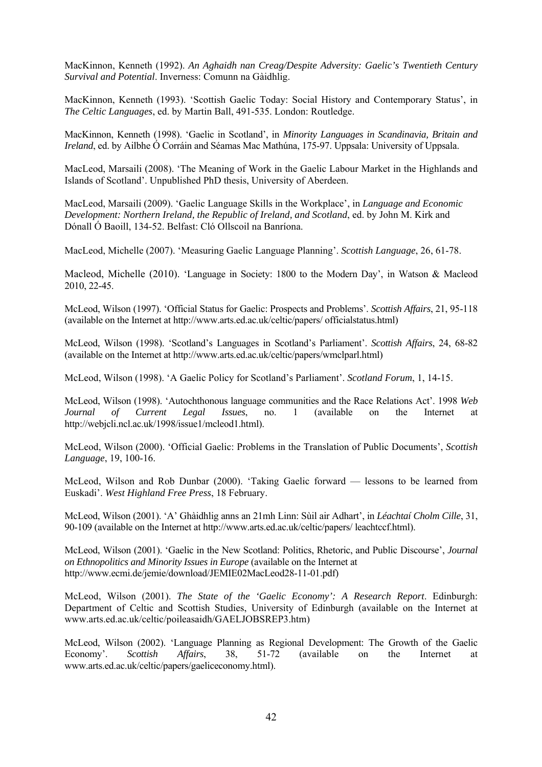MacKinnon, Kenneth (1992). *An Aghaidh nan Creag/Despite Adversity: Gaelic's Twentieth Century Survival and Potential*. Inverness: Comunn na Gàidhlig.

MacKinnon, Kenneth (1993). 'Scottish Gaelic Today: Social History and Contemporary Status', in *The Celtic Languages*, ed. by Martin Ball, 491-535. London: Routledge.

MacKinnon, Kenneth (1998). 'Gaelic in Scotland', in *Minority Languages in Scandinavia, Britain and Ireland*, ed. by Ailbhe Ó Corráin and Séamas Mac Mathúna, 175-97. Uppsala: University of Uppsala.

MacLeod, Marsaili (2008). 'The Meaning of Work in the Gaelic Labour Market in the Highlands and Islands of Scotland'. Unpublished PhD thesis, University of Aberdeen.

MacLeod, Marsaili (2009). 'Gaelic Language Skills in the Workplace', in *Language and Economic Development: Northern Ireland, the Republic of Ireland, and Scotland*, ed. by John M. Kirk and Dónall Ó Baoill, 134-52. Belfast: Cló Ollscoil na Banríona.

MacLeod, Michelle (2007). 'Measuring Gaelic Language Planning'. *Scottish Language*, 26, 61-78.

Macleod, Michelle (2010). 'Language in Society: 1800 to the Modern Day', in Watson & Macleod 2010, 22-45.

McLeod, Wilson (1997). 'Official Status for Gaelic: Prospects and Problems'. *Scottish Affairs*, 21, 95-118 (available on the Internet at http://www.arts.ed.ac.uk/celtic/papers/ officialstatus.html)

McLeod, Wilson (1998). 'Scotland's Languages in Scotland's Parliament'. *Scottish Affairs*, 24, 68-82 (available on the Internet at http://www.arts.ed.ac.uk/celtic/papers/wmclparl.html)

McLeod, Wilson (1998). 'A Gaelic Policy for Scotland's Parliament'. *Scotland Forum*, 1, 14-15.

McLeod, Wilson (1998). 'Autochthonous language communities and the Race Relations Act'. 1998 *Web Journal of Current Legal Issues*, no. 1 (available on the Internet at http://webjcli.ncl.ac.uk/1998/issue1/mcleod1.html).

McLeod, Wilson (2000). 'Official Gaelic: Problems in the Translation of Public Documents', *Scottish Language*, 19, 100-16.

McLeod, Wilson and Rob Dunbar (2000). 'Taking Gaelic forward — lessons to be learned from Euskadi'. *West Highland Free Press*, 18 February.

McLeod, Wilson (2001). 'A' Ghàidhlig anns an 21mh Linn: Sùil air Adhart', in *Léachtaí Cholm Cille*, 31, 90-109 (available on the Internet at http://www.arts.ed.ac.uk/celtic/papers/ leachtccf.html).

McLeod, Wilson (2001). 'Gaelic in the New Scotland: Politics, Rhetoric, and Public Discourse', *Journal on Ethnopolitics and Minority Issues in Europe* (available on the Internet at http://www.ecmi.de/jemie/download/JEMIE02MacLeod28-11-01.pdf)

McLeod, Wilson (2001). *The State of the 'Gaelic Economy': A Research Report*. Edinburgh: Department of Celtic and Scottish Studies, University of Edinburgh (available on the Internet at www.arts.ed.ac.uk/celtic/poileasaidh/GAELJOBSREP3.htm)

McLeod, Wilson (2002). 'Language Planning as Regional Development: The Growth of the Gaelic Economy'. *Scottish Affairs*, 38, 51-72 (available on the Internet at www.arts.ed.ac.uk/celtic/papers/gaeliceconomy.html).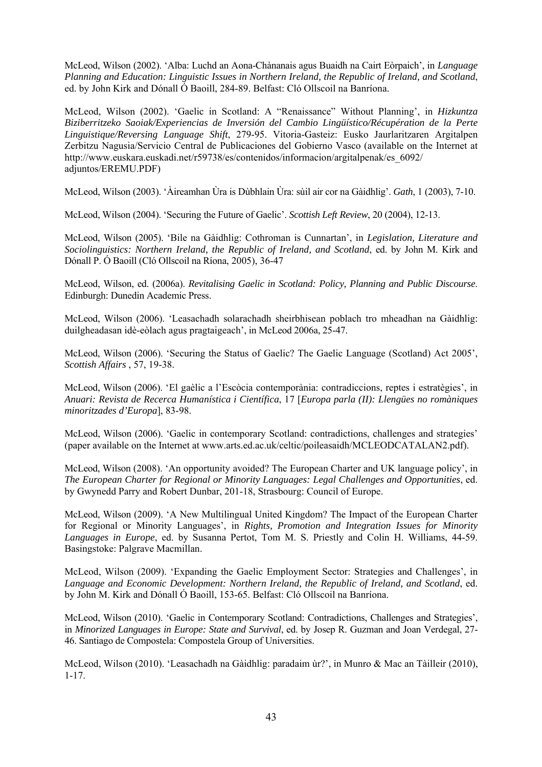McLeod, Wilson (2002). 'Alba: Luchd an Aona-Chànanais agus Buaidh na Cairt Eòrpaich', in *Language Planning and Education: Linguistic Issues in Northern Ireland, the Republic of Ireland, and Scotland*, ed. by John Kirk and Dónall Ó Baoill, 284-89. Belfast: Cló Ollscoil na Banríona.

McLeod, Wilson (2002). 'Gaelic in Scotland: A "Renaissance" Without Planning', in *Hizkuntza Biziberritzeko Saoiak/Experiencias de Inversión del Cambio Lingüístico/Récupération de la Perte Linguistique/Reversing Language Shift*, 279-95. Vitoria-Gasteiz: Eusko Jaurlaritzaren Argitalpen Zerbitzu Nagusia/Servicio Central de Publicaciones del Gobierno Vasco (available on the Internet at http://www.euskara.euskadi.net/r59738/es/contenidos/informacion/argitalpenak/es\_6092/ adjuntos/EREMU.PDF)

McLeod, Wilson (2003). 'Àireamhan Ùra is Dùbhlain Ùra: sùil air cor na Gàidhlig'. *Gath*, 1 (2003), 7-10.

McLeod, Wilson (2004). 'Securing the Future of Gaelic'. *Scottish Left Review*, 20 (2004), 12-13.

McLeod, Wilson (2005). 'Bile na Gàidhlig: Cothroman is Cunnartan', in *Legislation, Literature and Sociolinguistics: Northern Ireland, the Republic of Ireland, and Scotland*, ed. by John M. Kirk and Dónall P. Ó Baoill (Cló Ollscoil na Ríona, 2005), 36-47

McLeod, Wilson, ed. (2006a). *Revitalising Gaelic in Scotland: Policy, Planning and Public Discourse*. Edinburgh: Dunedin Academic Press.

McLeod, Wilson (2006). 'Leasachadh solarachadh sheirbhisean poblach tro mheadhan na Gàidhlig: duilgheadasan idè-eòlach agus pragtaigeach', in McLeod 2006a, 25-47.

McLeod, Wilson (2006). 'Securing the Status of Gaelic? The Gaelic Language (Scotland) Act 2005', *Scottish Affairs* , 57, 19-38.

McLeod, Wilson (2006). 'El gaèlic a l'Escòcia contemporània: contradiccions, reptes i estratègies', in *Anuari: Revista de Recerca Humanística i Científica*, 17 [*Europa parla (II): Llengües no romàniques minoritzades d'Europa*], 83-98.

McLeod, Wilson (2006). 'Gaelic in contemporary Scotland: contradictions, challenges and strategies' (paper available on the Internet at www.arts.ed.ac.uk/celtic/poileasaidh/MCLEODCATALAN2.pdf).

McLeod, Wilson (2008). 'An opportunity avoided? The European Charter and UK language policy', in *The European Charter for Regional or Minority Languages: Legal Challenges and Opportunities*, ed. by Gwynedd Parry and Robert Dunbar, 201-18, Strasbourg: Council of Europe.

McLeod, Wilson (2009). 'A New Multilingual United Kingdom? The Impact of the European Charter for Regional or Minority Languages', in *Rights, Promotion and Integration Issues for Minority Languages in Europe*, ed. by Susanna Pertot, Tom M. S. Priestly and Colin H. Williams, 44-59. Basingstoke: Palgrave Macmillan.

McLeod, Wilson (2009). 'Expanding the Gaelic Employment Sector: Strategies and Challenges', in *Language and Economic Development: Northern Ireland, the Republic of Ireland, and Scotland*, ed. by John M. Kirk and Dónall Ó Baoill, 153-65. Belfast: Cló Ollscoil na Banríona.

McLeod, Wilson (2010). 'Gaelic in Contemporary Scotland: Contradictions, Challenges and Strategies', in *Minorized Languages in Europe: State and Survival*, ed. by Josep R. Guzman and Joan Verdegal, 27- 46. Santiago de Compostela: Compostela Group of Universities.

McLeod, Wilson (2010). 'Leasachadh na Gàidhlig: paradaim ùr?', in Munro & Mac an Tàilleir (2010), 1-17.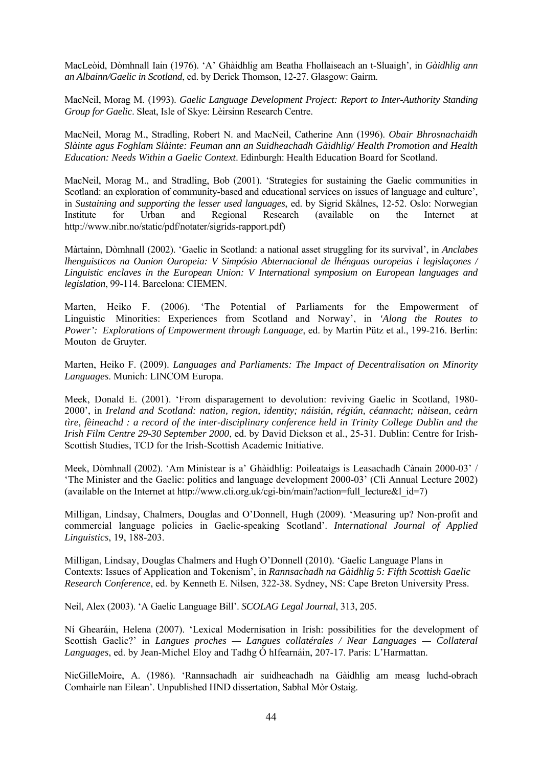MacLeòid, Dòmhnall Iain (1976). 'A' Ghàidhlig am Beatha Fhollaiseach an t-Sluaigh', in *Gàidhlig ann an Albainn/Gaelic in Scotland*, ed. by Derick Thomson, 12-27. Glasgow: Gairm.

MacNeil, Morag M. (1993). *Gaelic Language Development Project: Report to Inter-Authority Standing Group for Gaelic*. Sleat, Isle of Skye: Lèirsinn Research Centre.

MacNeil, Morag M., Stradling, Robert N. and MacNeil, Catherine Ann (1996). *Obair Bhrosnachaidh Slàinte agus Foghlam Slàinte: Feuman ann an Suidheachadh Gàidhlig/ Health Promotion and Health Education: Needs Within a Gaelic Context*. Edinburgh: Health Education Board for Scotland.

MacNeil, Morag M., and Stradling, Bob (2001). 'Strategies for sustaining the Gaelic communities in Scotland: an exploration of community-based and educational services on issues of language and culture', in *Sustaining and supporting the lesser used languages*, ed. by Sigrid Skålnes, 12-52. Oslo: Norwegian Institute for Urban and Regional Research (available on the Internet at http://www.nibr.no/static/pdf/notater/sigrids-rapport.pdf)

Màrtainn, Dòmhnall (2002). 'Gaelic in Scotland: a national asset struggling for its survival', in *Anclabes lhenguisticos na Ounion Ouropeia: V Simpósio Abternacional de lhénguas ouropeias i legislaçones / Linguistic enclaves in the European Union: V International symposium on European languages and legislation*, 99-114. Barcelona: CIEMEN.

Marten, Heiko F. (2006). 'The Potential of Parliaments for the Empowerment of Linguistic Minorities: Experiences from Scotland and Norway', in *'Along the Routes to Power': Explorations of Empowerment through Language*, ed. by Martin Pütz et al., 199-216. Berlin: Mouton de Gruyter.

Marten, Heiko F. (2009). *Languages and Parliaments: The Impact of Decentralisation on Minority Languages*. Munich: LINCOM Europa.

Meek, Donald E. (2001). 'From disparagement to devolution: reviving Gaelic in Scotland, 1980- 2000', in *Ireland and Scotland: nation, region, identity; náisiún, régiún, céannacht; nàisean, ceàrn tìre, fèineachd : a record of the inter-disciplinary conference held in Trinity College Dublin and the Irish Film Centre 29-30 September 2000*, ed. by David Dickson et al., 25-31. Dublin: Centre for Irish-Scottish Studies, TCD for the Irish-Scottish Academic Initiative.

Meek, Dòmhnall (2002). 'Am Ministear is a' Ghàidhlig: Poileataigs is Leasachadh Cànain 2000-03' / 'The Minister and the Gaelic: politics and language development 2000-03' (Clì Annual Lecture 2002) (available on the Internet at http://www.cli.org.uk/cgi-bin/main?action=full\_lecture&l\_id=7)

Milligan, Lindsay, Chalmers, Douglas and O'Donnell, Hugh (2009). 'Measuring up? Non-profit and commercial language policies in Gaelic-speaking Scotland'. *International Journal of Applied Linguistics*, 19, 188-203.

Milligan, Lindsay, Douglas Chalmers and Hugh O'Donnell (2010). 'Gaelic Language Plans in Contexts: Issues of Application and Tokenism', in *Rannsachadh na Gàidhlig 5: Fifth Scottish Gaelic Research Conference*, ed. by Kenneth E. Nilsen, 322-38. Sydney, NS: Cape Breton University Press.

Neil, Alex (2003). 'A Gaelic Language Bill'. *SCOLAG Legal Journal*, 313, 205.

Ní Ghearáin, Helena (2007). 'Lexical Modernisation in Irish: possibilities for the development of Scottish Gaelic?' in *Langues proches — Langues collatérales / Near Languages — Collateral Languages*, ed. by Jean-Michel Eloy and Tadhg Ó hIfearnáin, 207-17. Paris: L'Harmattan.

NicGilleMoire, A. (1986). 'Rannsachadh air suidheachadh na Gàidhlig am measg luchd-obrach Comhairle nan Eilean'. Unpublished HND dissertation, Sabhal Mòr Ostaig.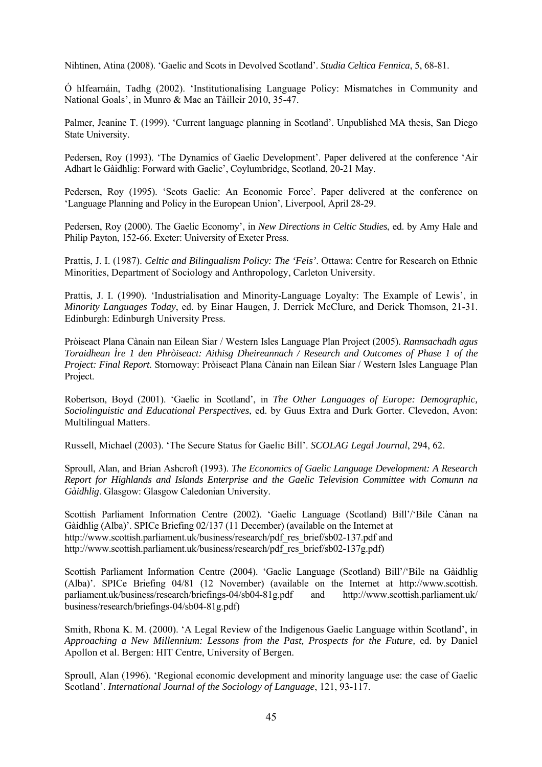Nihtinen, Atina (2008). 'Gaelic and Scots in Devolved Scotland'. *Studia Celtica Fennica*, 5, 68-81.

Ó hIfearnáin, Tadhg (2002). 'Institutionalising Language Policy: Mismatches in Community and National Goals', in Munro & Mac an Tàilleir 2010, 35-47.

Palmer, Jeanine T. (1999). 'Current language planning in Scotland'. Unpublished MA thesis, San Diego State University.

Pedersen, Roy (1993). 'The Dynamics of Gaelic Development'. Paper delivered at the conference 'Air Adhart le Gàidhlig: Forward with Gaelic', Coylumbridge, Scotland, 20-21 May.

Pedersen, Roy (1995). 'Scots Gaelic: An Economic Force'. Paper delivered at the conference on 'Language Planning and Policy in the European Union', Liverpool, April 28-29.

Pedersen, Roy (2000). The Gaelic Economy', in *New Directions in Celtic Studies*, ed. by Amy Hale and Philip Payton, 152-66. Exeter: University of Exeter Press.

Prattis, J. I. (1987). *Celtic and Bilingualism Policy: The 'Feis'*. Ottawa: Centre for Research on Ethnic Minorities, Department of Sociology and Anthropology, Carleton University.

Prattis, J. I. (1990). 'Industrialisation and Minority-Language Loyalty: The Example of Lewis', in *Minority Languages Today*, ed. by Einar Haugen, J. Derrick McClure, and Derick Thomson, 21-31. Edinburgh: Edinburgh University Press.

Pròiseact Plana Cànain nan Eilean Siar / Western Isles Language Plan Project (2005). *Rannsachadh agus Toraidhean Ìre 1 den Phròiseact: Aithisg Dheireannach / Research and Outcomes of Phase 1 of the Project: Final Report*. Stornoway: Pròiseact Plana Cànain nan Eilean Siar / Western Isles Language Plan Project.

Robertson, Boyd (2001). 'Gaelic in Scotland', in *The Other Languages of Europe: Demographic, Sociolinguistic and Educational Perspectives*, ed. by Guus Extra and Durk Gorter. Clevedon, Avon: Multilingual Matters.

Russell, Michael (2003). 'The Secure Status for Gaelic Bill'. *SCOLAG Legal Journal*, 294, 62.

Sproull, Alan, and Brian Ashcroft (1993). *The Economics of Gaelic Language Development: A Research Report for Highlands and Islands Enterprise and the Gaelic Television Committee with Comunn na Gàidhlig*. Glasgow: Glasgow Caledonian University.

Scottish Parliament Information Centre (2002). 'Gaelic Language (Scotland) Bill'/'Bile Cànan na Gàidhlig (Alba)'. SPICe Briefing 02/137 (11 December) (available on the Internet at http://www.scottish.parliament.uk/business/research/pdf\_res\_brief/sb02-137.pdf and http://www.scottish.parliament.uk/business/research/pdf\_res\_brief/sb02-137g.pdf)

Scottish Parliament Information Centre (2004). 'Gaelic Language (Scotland) Bill'/'Bile na Gàidhlig (Alba)'. SPICe Briefing 04/81 (12 November) (available on the Internet at http://www.scottish. parliament.uk/business/research/briefings-04/sb04-81g.pdf and http://www.scottish.parliament.uk/ business/research/briefings-04/sb04-81g.pdf)

Smith, Rhona K. M. (2000). 'A Legal Review of the Indigenous Gaelic Language within Scotland', in *Approaching a New Millennium: Lessons from the Past, Prospects for the Future,* ed. by Daniel Apollon et al. Bergen: HIT Centre, University of Bergen.

Sproull, Alan (1996). 'Regional economic development and minority language use: the case of Gaelic Scotland'. *International Journal of the Sociology of Language*, 121, 93-117.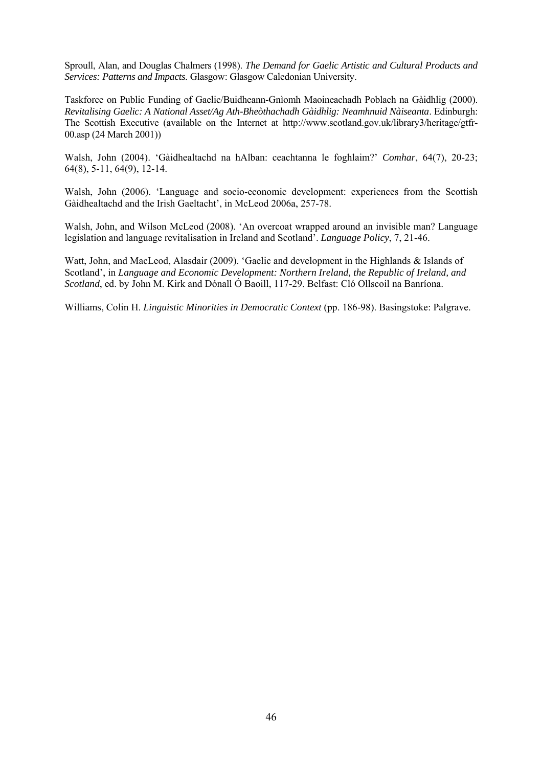Sproull, Alan, and Douglas Chalmers (1998). *The Demand for Gaelic Artistic and Cultural Products and Services: Patterns and Impacts.* Glasgow: Glasgow Caledonian University.

Taskforce on Public Funding of Gaelic/Buidheann-Gnìomh Maoineachadh Poblach na Gàidhlig (2000). *Revitalising Gaelic: A National Asset/Ag Ath-Bheòthachadh Gàidhlig: Neamhnuid Nàiseanta*. Edinburgh: The Scottish Executive (available on the Internet at http://www.scotland.gov.uk/library3/heritage/gtfr-00.asp (24 March 2001))

Walsh, John (2004). 'Gàidhealtachd na hAlban: ceachtanna le foghlaim?' *Comhar*, 64(7), 20-23; 64(8), 5-11, 64(9), 12-14.

Walsh, John (2006). 'Language and socio-economic development: experiences from the Scottish Gàidhealtachd and the Irish Gaeltacht', in McLeod 2006a, 257-78.

Walsh, John, and Wilson McLeod (2008). 'An overcoat wrapped around an invisible man? Language legislation and language revitalisation in Ireland and Scotland'. *Language Policy*, 7, 21-46.

Watt, John, and MacLeod, Alasdair (2009). 'Gaelic and development in the Highlands & Islands of Scotland', in *Language and Economic Development: Northern Ireland, the Republic of Ireland, and Scotland*, ed. by John M. Kirk and Dónall Ó Baoill, 117-29. Belfast: Cló Ollscoil na Banríona.

Williams, Colin H. *Linguistic Minorities in Democratic Context* (pp. 186-98). Basingstoke: Palgrave.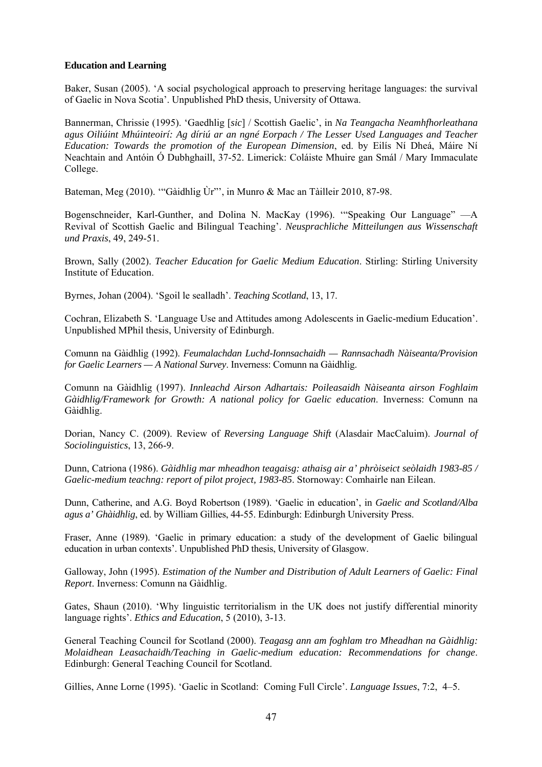## **Education and Learning**

Baker, Susan (2005). 'A social psychological approach to preserving heritage languages: the survival of Gaelic in Nova Scotia'. Unpublished PhD thesis, University of Ottawa.

Bannerman, Chrissie (1995). 'Gaedhlig [*sic*] / Scottish Gaelic', in *Na Teangacha Neamhfhorleathana agus Oiliúint Mhúinteoirí: Ag díriú ar an ngné Eorpach / The Lesser Used Languages and Teacher Education: Towards the promotion of the European Dimension*, ed. by Eilís Ní Dheá, Máire Ní Neachtain and Antóin Ó Dubhghaill, 37-52. Limerick: Coláiste Mhuire gan Smál / Mary Immaculate College.

Bateman, Meg (2010). '"Gàidhlig Ùr"', in Munro & Mac an Tàilleir 2010, 87-98.

Bogenschneider, Karl-Gunther, and Dolina N. MacKay (1996). '"Speaking Our Language" —A Revival of Scottish Gaelic and Bilingual Teaching'. *Neusprachliche Mitteilungen aus Wissenschaft und Praxis*, 49, 249-51.

Brown, Sally (2002). *Teacher Education for Gaelic Medium Education*. Stirling: Stirling University Institute of Education.

Byrnes, Johan (2004). 'Sgoil le sealladh'. *Teaching Scotland*, 13, 17.

Cochran, Elizabeth S. 'Language Use and Attitudes among Adolescents in Gaelic-medium Education'. Unpublished MPhil thesis, University of Edinburgh.

Comunn na Gàidhlig (1992). *Feumalachdan Luchd-Ionnsachaidh — Rannsachadh Nàiseanta/Provision for Gaelic Learners — A National Survey*. Inverness: Comunn na Gàidhlig.

Comunn na Gàidhlig (1997). *Innleachd Airson Adhartais: Poileasaidh Nàiseanta airson Foghlaim Gàidhlig/Framework for Growth: A national policy for Gaelic education*. Inverness: Comunn na Gàidhlig.

Dorian, Nancy C. (2009). Review of *Reversing Language Shift* (Alasdair MacCaluim). *Journal of Sociolinguistics*, 13, 266-9.

Dunn, Catriona (1986). *Gàidhlig mar mheadhon teagaisg: athaisg air a' phròiseict seòlaidh 1983-85 / Gaelic-medium teachng: report of pilot project, 1983-85*. Stornoway: Comhairle nan Eilean.

Dunn, Catherine, and A.G. Boyd Robertson (1989). 'Gaelic in education', in *Gaelic and Scotland/Alba agus a' Ghàidhlig*, ed. by William Gillies, 44-55. Edinburgh: Edinburgh University Press.

Fraser, Anne (1989). 'Gaelic in primary education: a study of the development of Gaelic bilingual education in urban contexts'. Unpublished PhD thesis, University of Glasgow.

Galloway, John (1995). *Estimation of the Number and Distribution of Adult Learners of Gaelic: Final Report*. Inverness: Comunn na Gàidhlig.

Gates, Shaun (2010). 'Why linguistic territorialism in the UK does not justify differential minority language rights'. *Ethics and Education*, 5 (2010), 3-13.

General Teaching Council for Scotland (2000). *Teagasg ann am foghlam tro Mheadhan na Gàidhlig: Molaidhean Leasachaidh/Teaching in Gaelic-medium education: Recommendations for change*. Edinburgh: General Teaching Council for Scotland.

Gillies, Anne Lorne (1995). 'Gaelic in Scotland: Coming Full Circle'. *Language Issues*, 7:2, 4–5.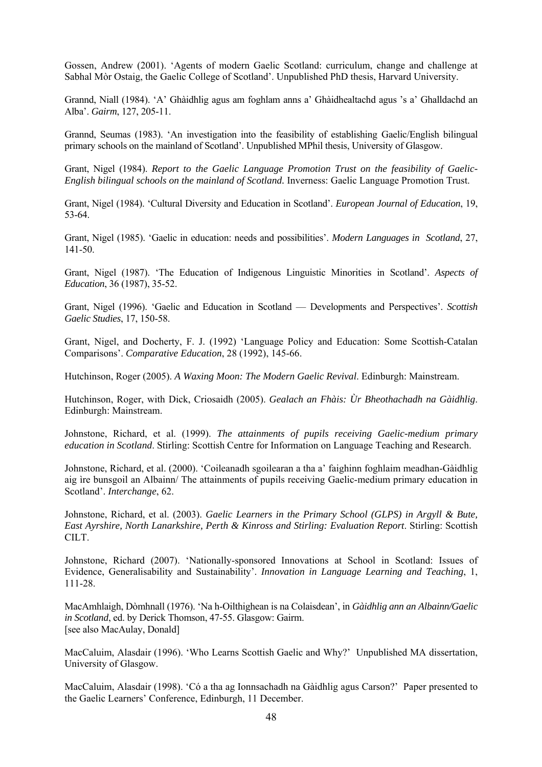Gossen, Andrew (2001). 'Agents of modern Gaelic Scotland: curriculum, change and challenge at Sabhal Mòr Ostaig, the Gaelic College of Scotland'. Unpublished PhD thesis, Harvard University.

Grannd, Niall (1984). 'A' Ghàidhlig agus am foghlam anns a' Ghàidhealtachd agus 's a' Ghalldachd an Alba'. *Gairm*, 127, 205-11.

Grannd, Seumas (1983). 'An investigation into the feasibility of establishing Gaelic/English bilingual primary schools on the mainland of Scotland'. Unpublished MPhil thesis, University of Glasgow.

Grant, Nigel (1984). *Report to the Gaelic Language Promotion Trust on the feasibility of Gaelic-English bilingual schools on the mainland of Scotland.* Inverness: Gaelic Language Promotion Trust.

Grant, Nigel (1984). 'Cultural Diversity and Education in Scotland'. *European Journal of Education*, 19, 53-64.

Grant, Nigel (1985). 'Gaelic in education: needs and possibilities'. *Modern Languages in Scotland*, 27, 141-50.

Grant, Nigel (1987). 'The Education of Indigenous Linguistic Minorities in Scotland'. *Aspects of Education*, 36 (1987), 35-52.

Grant, Nigel (1996). 'Gaelic and Education in Scotland — Developments and Perspectives'. *Scottish Gaelic Studies*, 17, 150-58.

Grant, Nigel, and Docherty, F. J. (1992) 'Language Policy and Education: Some Scottish-Catalan Comparisons'. *Comparative Education*, 28 (1992), 145-66.

Hutchinson, Roger (2005). *A Waxing Moon: The Modern Gaelic Revival*. Edinburgh: Mainstream.

Hutchinson, Roger, with Dick, Criosaidh (2005). *Gealach an Fhàis: Ùr Bheothachadh na Gàidhlig*. Edinburgh: Mainstream.

Johnstone, Richard, et al. (1999). *The attainments of pupils receiving Gaelic-medium primary education in Scotland*. Stirling: Scottish Centre for Information on Language Teaching and Research.

Johnstone, Richard, et al. (2000). 'Coileanadh sgoilearan a tha a' faighinn foghlaim meadhan-Gàidhlig aig ìre bunsgoil an Albainn/ The attainments of pupils receiving Gaelic-medium primary education in Scotland'. *Interchange*, 62.

Johnstone, Richard, et al. (2003). *Gaelic Learners in the Primary School (GLPS) in Argyll & Bute, East Ayrshire, North Lanarkshire, Perth & Kinross and Stirling: Evaluation Report*. Stirling: Scottish CILT.

Johnstone, Richard (2007). 'Nationally-sponsored Innovations at School in Scotland: Issues of Evidence, Generalisability and Sustainability'. *Innovation in Language Learning and Teaching*, 1, 111-28.

MacAmhlaigh, Dòmhnall (1976). 'Na h-Oilthighean is na Colaisdean', in *Gàidhlig ann an Albainn/Gaelic in Scotland*, ed. by Derick Thomson, 47-55. Glasgow: Gairm. [see also MacAulay, Donald]

MacCaluim, Alasdair (1996). 'Who Learns Scottish Gaelic and Why?' Unpublished MA dissertation, University of Glasgow.

MacCaluim, Alasdair (1998). 'Có a tha ag Ionnsachadh na Gàidhlig agus Carson?' Paper presented to the Gaelic Learners' Conference, Edinburgh, 11 December.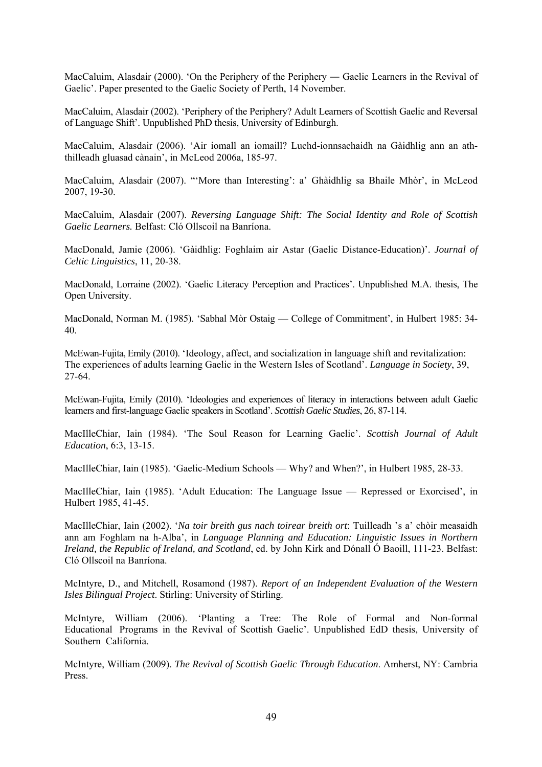MacCaluim, Alasdair (2000). 'On the Periphery of the Periphery — Gaelic Learners in the Revival of Gaelic'. Paper presented to the Gaelic Society of Perth, 14 November.

MacCaluim, Alasdair (2002). 'Periphery of the Periphery? Adult Learners of Scottish Gaelic and Reversal of Language Shift'. Unpublished PhD thesis, University of Edinburgh.

MacCaluim, Alasdair (2006). 'Air iomall an iomaill? Luchd-ionnsachaidh na Gàidhlig ann an aththilleadh gluasad cànain', in McLeod 2006a, 185-97.

MacCaluim, Alasdair (2007). "'More than Interesting': a' Ghàidhlig sa Bhaile Mhòr', in McLeod 2007, 19-30.

MacCaluim, Alasdair (2007). *Reversing Language Shift: The Social Identity and Role of Scottish Gaelic Learners.* Belfast: Cló Ollscoil na Banríona.

MacDonald, Jamie (2006). 'Gàidhlig: Foghlaim air Astar (Gaelic Distance-Education)'. *Journal of Celtic Linguistics*, 11, 20-38.

MacDonald, Lorraine (2002). 'Gaelic Literacy Perception and Practices'. Unpublished M.A. thesis, The Open University.

MacDonald, Norman M. (1985). 'Sabhal Mòr Ostaig — College of Commitment', in Hulbert 1985: 34- 40.

McEwan-Fujita, Emily (2010). 'Ideology, affect, and socialization in language shift and revitalization: The experiences of adults learning Gaelic in the Western Isles of Scotland'. *Language in Society*, 39, 27-64.

McEwan-Fujita, Emily (2010). 'Ideologies and experiences of literacy in interactions between adult Gaelic learners and first-language Gaelic speakers in Scotland'. *Scottish Gaelic Studies*, 26, 87-114.

MacIlleChiar, Iain (1984). 'The Soul Reason for Learning Gaelic'. *Scottish Journal of Adult Education*, 6:3, 13-15.

MacIlleChiar, Iain (1985). 'Gaelic-Medium Schools — Why? and When?', in Hulbert 1985, 28-33.

MacIlleChiar, Iain (1985). 'Adult Education: The Language Issue — Repressed or Exorcised', in Hulbert 1985, 41-45.

MacIlleChiar, Iain (2002). '*Na toir breith gus nach toirear breith ort*: Tuilleadh 's a' chòir measaidh ann am Foghlam na h-Alba', in *Language Planning and Education: Linguistic Issues in Northern Ireland, the Republic of Ireland, and Scotland*, ed. by John Kirk and Dónall Ó Baoill, 111-23. Belfast: Cló Ollscoil na Banríona.

McIntyre, D., and Mitchell, Rosamond (1987). *Report of an Independent Evaluation of the Western Isles Bilingual Project*. Stirling: University of Stirling.

McIntyre, William (2006). 'Planting a Tree: The Role of Formal and Non-formal Educational Programs in the Revival of Scottish Gaelic'. Unpublished EdD thesis, University of Southern California.

McIntyre, William (2009). *The Revival of Scottish Gaelic Through Education*. Amherst, NY: Cambria Press.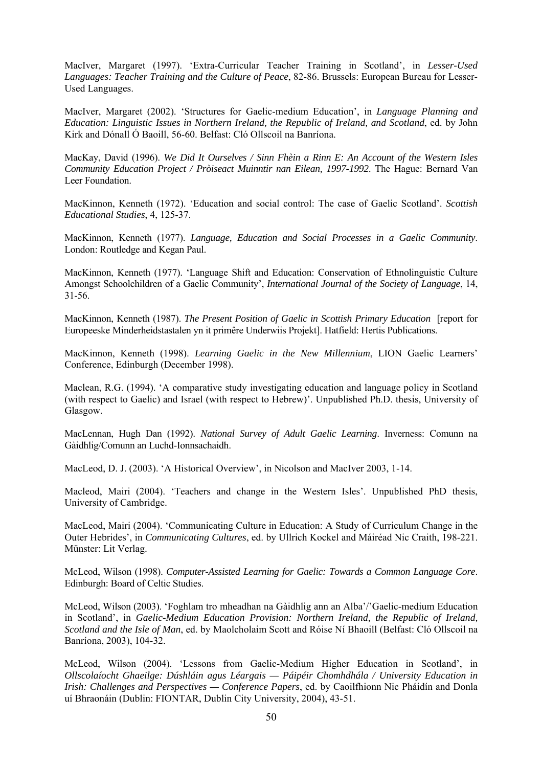MacIver, Margaret (1997). 'Extra-Curricular Teacher Training in Scotland', in *Lesser-Used Languages: Teacher Training and the Culture of Peace*, 82-86. Brussels: European Bureau for Lesser-Used Languages.

MacIver, Margaret (2002). 'Structures for Gaelic-medium Education', in *Language Planning and Education: Linguistic Issues in Northern Ireland, the Republic of Ireland, and Scotland*, ed. by John Kirk and Dónall Ó Baoill, 56-60. Belfast: Cló Ollscoil na Banríona.

MacKay, David (1996). *We Did It Ourselves / Sinn Fhèin a Rinn E: An Account of the Western Isles Community Education Project / Pròiseact Muinntir nan Eilean, 1997-1992*. The Hague: Bernard Van Leer Foundation.

MacKinnon, Kenneth (1972). 'Education and social control: The case of Gaelic Scotland'. *Scottish Educational Studies*, 4, 125-37.

MacKinnon, Kenneth (1977). *Language, Education and Social Processes in a Gaelic Community*. London: Routledge and Kegan Paul.

MacKinnon, Kenneth (1977). 'Language Shift and Education: Conservation of Ethnolinguistic Culture Amongst Schoolchildren of a Gaelic Community', *International Journal of the Society of Language*, 14, 31-56.

MacKinnon, Kenneth (1987). *The Present Position of Gaelic in Scottish Primary Education* [report for Europeeske Minderheidstastalen yn it primêre Underwiis Projekt]. Hatfield: Hertis Publications.

MacKinnon, Kenneth (1998). *Learning Gaelic in the New Millennium*, LION Gaelic Learners' Conference, Edinburgh (December 1998).

Maclean, R.G. (1994). 'A comparative study investigating education and language policy in Scotland (with respect to Gaelic) and Israel (with respect to Hebrew)'. Unpublished Ph.D. thesis, University of Glasgow.

MacLennan, Hugh Dan (1992). *National Survey of Adult Gaelic Learning*. Inverness: Comunn na Gàidhlig/Comunn an Luchd-Ionnsachaidh.

MacLeod, D. J. (2003). 'A Historical Overview', in Nicolson and MacIver 2003, 1-14.

Macleod, Mairi (2004). 'Teachers and change in the Western Isles'. Unpublished PhD thesis, University of Cambridge.

MacLeod, Mairi (2004). 'Communicating Culture in Education: A Study of Curriculum Change in the Outer Hebrides', in *Communicating Cultures*, ed. by Ullrich Kockel and Máiréad Nic Craith, 198-221. Münster: Lit Verlag.

McLeod, Wilson (1998). *Computer-Assisted Learning for Gaelic: Towards a Common Language Core*. Edinburgh: Board of Celtic Studies.

McLeod, Wilson (2003). 'Foghlam tro mheadhan na Gàidhlig ann an Alba'/'Gaelic-medium Education in Scotland', in *Gaelic-Medium Education Provision: Northern Ireland, the Republic of Ireland, Scotland and the Isle of Man*, ed. by Maolcholaim Scott and Róise Ní Bhaoill (Belfast: Cló Ollscoil na Banríona, 2003), 104-32.

McLeod, Wilson (2004). 'Lessons from Gaelic-Medium Higher Education in Scotland', in *Ollscolaíocht Ghaeilge: Dúshláin agus Léargais — Páipéir Chomhdhála / University Education in Irish: Challenges and Perspectives — Conference Papers*, ed. by Caoilfhionn Nic Pháidín and Donla uí Bhraonáin (Dublin: FIONTAR, Dublin City University, 2004), 43-51.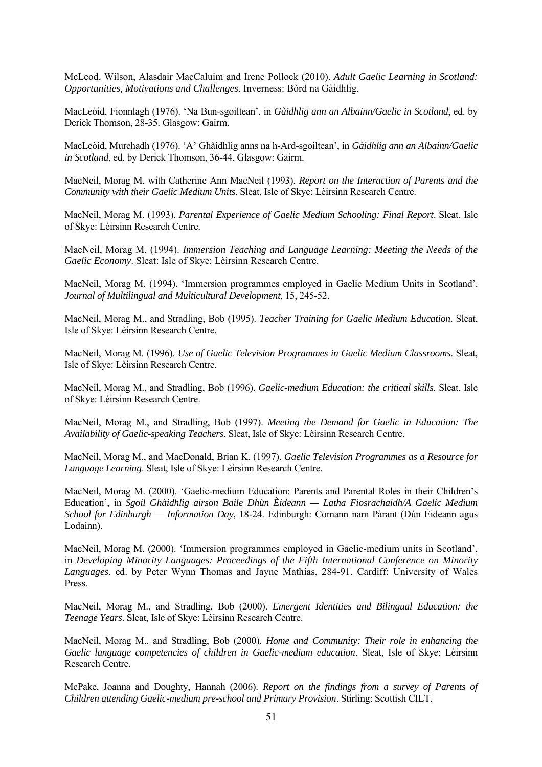McLeod, Wilson, Alasdair MacCaluim and Irene Pollock (2010). *Adult Gaelic Learning in Scotland: Opportunities, Motivations and Challenges*. Inverness: Bòrd na Gàidhlig.

MacLeòid, Fionnlagh (1976). 'Na Bun-sgoiltean', in *Gàidhlig ann an Albainn/Gaelic in Scotland*, ed. by Derick Thomson, 28-35. Glasgow: Gairm.

MacLeòid, Murchadh (1976). 'A' Ghàidhlig anns na h-Ard-sgoiltean', in *Gàidhlig ann an Albainn/Gaelic in Scotland*, ed. by Derick Thomson, 36-44. Glasgow: Gairm.

MacNeil, Morag M. with Catherine Ann MacNeil (1993). *Report on the Interaction of Parents and the Community with their Gaelic Medium Units*. Sleat, Isle of Skye: Lèirsinn Research Centre.

MacNeil, Morag M. (1993). *Parental Experience of Gaelic Medium Schooling: Final Report*. Sleat, Isle of Skye: Lèirsinn Research Centre.

MacNeil, Morag M. (1994). *Immersion Teaching and Language Learning: Meeting the Needs of the Gaelic Economy*. Sleat: Isle of Skye: Lèirsinn Research Centre.

MacNeil, Morag M. (1994). 'Immersion programmes employed in Gaelic Medium Units in Scotland'. *Journal of Multilingual and Multicultural Development*, 15, 245-52.

MacNeil, Morag M., and Stradling, Bob (1995). *Teacher Training for Gaelic Medium Education*. Sleat, Isle of Skye: Lèirsinn Research Centre.

MacNeil, Morag M. (1996). *Use of Gaelic Television Programmes in Gaelic Medium Classrooms*. Sleat, Isle of Skye: Lèirsinn Research Centre.

MacNeil, Morag M., and Stradling, Bob (1996). *Gaelic-medium Education: the critical skills*. Sleat, Isle of Skye: Lèirsinn Research Centre.

MacNeil, Morag M., and Stradling, Bob (1997). *Meeting the Demand for Gaelic in Education: The Availability of Gaelic-speaking Teachers*. Sleat, Isle of Skye: Lèirsinn Research Centre.

MacNeil, Morag M., and MacDonald, Brian K. (1997). *Gaelic Television Programmes as a Resource for Language Learning*. Sleat, Isle of Skye: Lèirsinn Research Centre.

MacNeil, Morag M. (2000). 'Gaelic-medium Education: Parents and Parental Roles in their Children's Education', in *Sgoil Ghàidhlig airson Baile Dhùn Èideann — Latha Fiosrachaidh/A Gaelic Medium School for Edinburgh — Information Day*, 18-24. Edinburgh: Comann nam Pàrant (Dùn Èideann agus Lodainn).

MacNeil, Morag M. (2000). 'Immersion programmes employed in Gaelic-medium units in Scotland', in *Developing Minority Languages: Proceedings of the Fifth International Conference on Minority Languages*, ed. by Peter Wynn Thomas and Jayne Mathias, 284-91. Cardiff: University of Wales Press.

MacNeil, Morag M., and Stradling, Bob (2000). *Emergent Identities and Bilingual Education: the Teenage Years*. Sleat, Isle of Skye: Lèirsinn Research Centre.

MacNeil, Morag M., and Stradling, Bob (2000). *Home and Community: Their role in enhancing the Gaelic language competencies of children in Gaelic-medium education*. Sleat, Isle of Skye: Lèirsinn Research Centre.

McPake, Joanna and Doughty, Hannah (2006). *Report on the findings from a survey of Parents of Children attending Gaelic-medium pre-school and Primary Provision*. Stirling: Scottish CILT.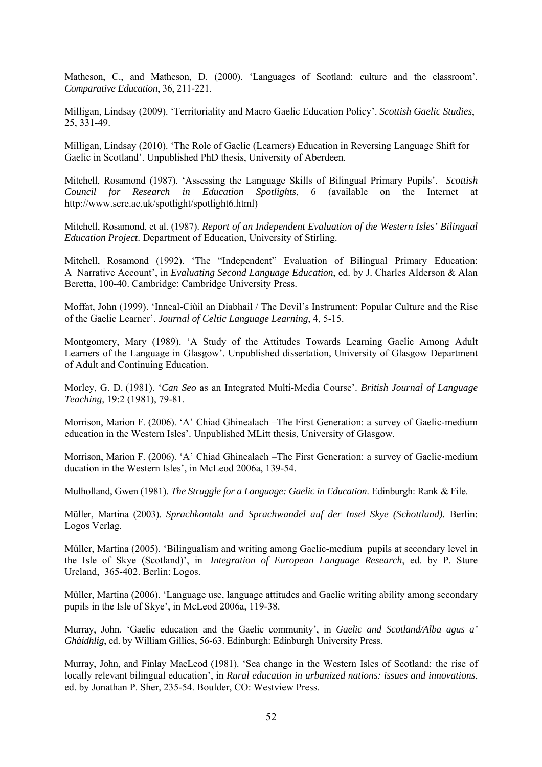Matheson, C., and Matheson, D. (2000). 'Languages of Scotland: culture and the classroom'. *Comparative Education*, 36, 211-221.

Milligan, Lindsay (2009). 'Territoriality and Macro Gaelic Education Policy'. *Scottish Gaelic Studies*, 25, 331-49.

Milligan, Lindsay (2010). 'The Role of Gaelic (Learners) Education in Reversing Language Shift for Gaelic in Scotland'. Unpublished PhD thesis, University of Aberdeen.

Mitchell, Rosamond (1987). 'Assessing the Language Skills of Bilingual Primary Pupils'. *Scottish Council for Research in Education Spotlights*, 6 (available on the Internet at http://www.scre.ac.uk/spotlight/spotlight6.html)

Mitchell, Rosamond, et al. (1987). *Report of an Independent Evaluation of the Western Isles' Bilingual Education Project*. Department of Education, University of Stirling.

Mitchell, Rosamond (1992). 'The "Independent" Evaluation of Bilingual Primary Education: A Narrative Account', in *Evaluating Second Language Education*, ed. by J. Charles Alderson & Alan Beretta, 100-40. Cambridge: Cambridge University Press.

Moffat, John (1999). 'Inneal-Ciùil an Diabhail / The Devil's Instrument: Popular Culture and the Rise of the Gaelic Learner'. *Journal of Celtic Language Learning*, 4, 5-15.

Montgomery, Mary (1989). 'A Study of the Attitudes Towards Learning Gaelic Among Adult Learners of the Language in Glasgow'. Unpublished dissertation, University of Glasgow Department of Adult and Continuing Education.

Morley, G. D. (1981). '*Can Seo* as an Integrated Multi-Media Course'. *British Journal of Language Teaching*, 19:2 (1981), 79-81.

Morrison, Marion F. (2006). 'A' Chiad Ghinealach –The First Generation: a survey of Gaelic-medium education in the Western Isles'. Unpublished MLitt thesis, University of Glasgow.

Morrison, Marion F. (2006). 'A' Chiad Ghinealach –The First Generation: a survey of Gaelic-medium ducation in the Western Isles', in McLeod 2006a, 139-54.

Mulholland, Gwen (1981). *The Struggle for a Language: Gaelic in Education*. Edinburgh: Rank & File.

Müller, Martina (2003). *Sprachkontakt und Sprachwandel auf der Insel Skye (Schottland).* Berlin: Logos Verlag.

Müller, Martina (2005). 'Bilingualism and writing among Gaelic-medium pupils at secondary level in the Isle of Skye (Scotland)', in *Integration of European Language Research*, ed. by P. Sture Ureland, 365-402. Berlin: Logos.

Müller, Martina (2006). 'Language use, language attitudes and Gaelic writing ability among secondary pupils in the Isle of Skye', in McLeod 2006a, 119-38.

Murray, John. 'Gaelic education and the Gaelic community', in *Gaelic and Scotland/Alba agus a' Ghàidhlig*, ed. by William Gillies, 56-63. Edinburgh: Edinburgh University Press.

Murray, John, and Finlay MacLeod (1981). 'Sea change in the Western Isles of Scotland: the rise of locally relevant bilingual education', in *Rural education in urbanized nations: issues and innovations*, ed. by Jonathan P. Sher, 235-54. Boulder, CO: Westview Press.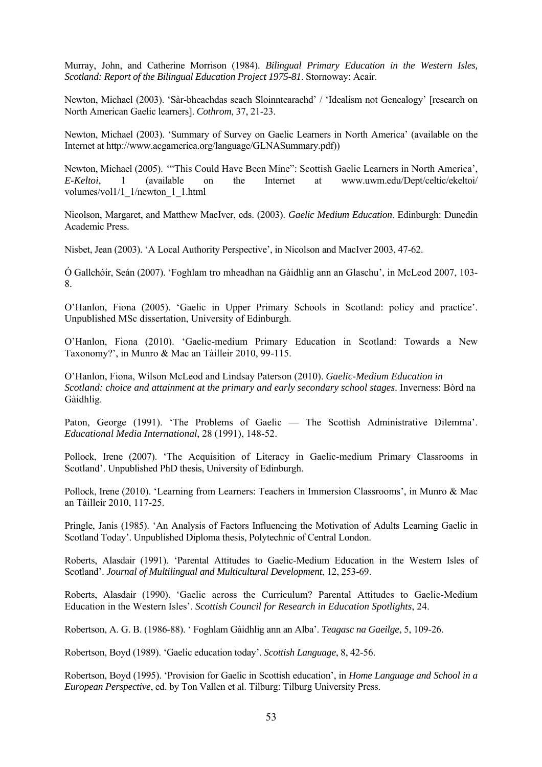Murray, John, and Catherine Morrison (1984). *Bilingual Primary Education in the Western Isles, Scotland: Report of the Bilingual Education Project 1975-81*. Stornoway: Acair.

Newton, Michael (2003). 'Sàr-bheachdas seach Sloinntearachd' / 'Idealism not Genealogy' [research on North American Gaelic learners]. *Cothrom*, 37, 21-23.

Newton, Michael (2003). 'Summary of Survey on Gaelic Learners in North America' (available on the Internet at http://www.acgamerica.org/language/GLNASummary.pdf))

Newton, Michael (2005). '"This Could Have Been Mine": Scottish Gaelic Learners in North America', *E-Keltoi*, 1 (available on the Internet at www.uwm.edu/Dept/celtic/ekeltoi/ volumes/vol1/1\_1/newton\_1\_1.html

Nicolson, Margaret, and Matthew MacIver, eds. (2003). *Gaelic Medium Education*. Edinburgh: Dunedin Academic Press.

Nisbet, Jean (2003). 'A Local Authority Perspective', in Nicolson and MacIver 2003, 47-62.

Ó Gallchóir, Seán (2007). 'Foghlam tro mheadhan na Gàidhlig ann an Glaschu', in McLeod 2007, 103- 8.

O'Hanlon, Fiona (2005). 'Gaelic in Upper Primary Schools in Scotland: policy and practice'. Unpublished MSc dissertation, University of Edinburgh.

O'Hanlon, Fiona (2010). 'Gaelic-medium Primary Education in Scotland: Towards a New Taxonomy?', in Munro & Mac an Tàilleir 2010, 99-115.

O'Hanlon, Fiona, Wilson McLeod and Lindsay Paterson (2010). *Gaelic-Medium Education in Scotland: choice and attainment at the primary and early secondary school stages*. Inverness: Bòrd na Gàidhlig.

Paton, George (1991). 'The Problems of Gaelic — The Scottish Administrative Dilemma'. *Educational Media International*, 28 (1991), 148-52.

Pollock, Irene (2007). 'The Acquisition of Literacy in Gaelic-medium Primary Classrooms in Scotland'. Unpublished PhD thesis, University of Edinburgh.

Pollock, Irene (2010). 'Learning from Learners: Teachers in Immersion Classrooms', in Munro & Mac an Tàilleir 2010, 117-25.

Pringle, Janis (1985). 'An Analysis of Factors Influencing the Motivation of Adults Learning Gaelic in Scotland Today'. Unpublished Diploma thesis, Polytechnic of Central London.

Roberts, Alasdair (1991). 'Parental Attitudes to Gaelic-Medium Education in the Western Isles of Scotland'. *Journal of Multilingual and Multicultural Development*, 12, 253-69.

Roberts, Alasdair (1990). 'Gaelic across the Curriculum? Parental Attitudes to Gaelic-Medium Education in the Western Isles'. *Scottish Council for Research in Education Spotlights*, 24.

Robertson, A. G. B. (1986-88). ' Foghlam Gàidhlig ann an Alba'. *Teagasc na Gaeilge*, 5, 109-26.

Robertson, Boyd (1989). 'Gaelic education today'. *Scottish Language*, 8, 42-56.

Robertson, Boyd (1995). 'Provision for Gaelic in Scottish education', in *Home Language and School in a European Perspective*, ed. by Ton Vallen et al. Tilburg: Tilburg University Press.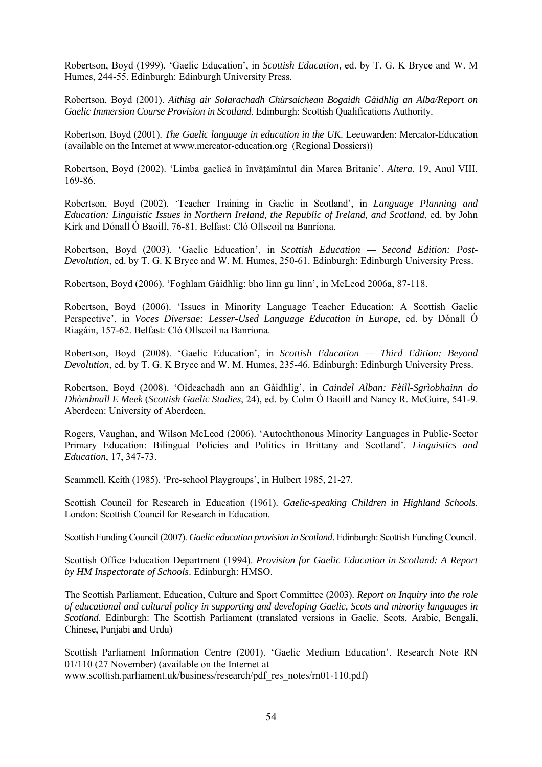Robertson, Boyd (1999). 'Gaelic Education', in *Scottish Education,* ed. by T. G. K Bryce and W. M Humes, 244-55. Edinburgh: Edinburgh University Press.

Robertson, Boyd (2001). *Aithisg air Solarachadh Chùrsaichean Bogaidh Gàidhlig an Alba/Report on Gaelic Immersion Course Provision in Scotland*. Edinburgh: Scottish Qualifications Authority.

Robertson, Boyd (2001). *The Gaelic language in education in the UK*. Leeuwarden: Mercator-Education (available on the Internet at www.mercator-education.org (Regional Dossiers))

Robertson, Boyd (2002). 'Limba gaelică în învătămîntul din Marea Britanie'. Altera, 19, Anul VIII, 169-86.

Robertson, Boyd (2002). 'Teacher Training in Gaelic in Scotland', in *Language Planning and Education: Linguistic Issues in Northern Ireland, the Republic of Ireland, and Scotland*, ed. by John Kirk and Dónall Ó Baoill, 76-81. Belfast: Cló Ollscoil na Banríona.

Robertson, Boyd (2003). 'Gaelic Education', in *Scottish Education — Second Edition: Post-Devolution,* ed. by T. G. K Bryce and W. M. Humes, 250-61. Edinburgh: Edinburgh University Press.

Robertson, Boyd (2006). 'Foghlam Gàidhlig: bho linn gu linn', in McLeod 2006a, 87-118.

Robertson, Boyd (2006). 'Issues in Minority Language Teacher Education: A Scottish Gaelic Perspective', in *Voces Diversae: Lesser-Used Language Education in Europe*, ed. by Dónall Ó Riagáin, 157-62. Belfast: Cló Ollscoil na Banríona.

Robertson, Boyd (2008). 'Gaelic Education', in *Scottish Education — Third Edition: Beyond Devolution,* ed. by T. G. K Bryce and W. M. Humes, 235-46. Edinburgh: Edinburgh University Press.

Robertson, Boyd (2008). 'Oideachadh ann an Gàidhlig', in *Caindel Alban: Fèill-Sgrìobhainn do Dhòmhnall E Meek* (*Scottish Gaelic Studies*, 24), ed. by Colm Ó Baoill and Nancy R. McGuire, 541-9. Aberdeen: University of Aberdeen.

Rogers, Vaughan, and Wilson McLeod (2006). 'Autochthonous Minority Languages in Public-Sector Primary Education: Bilingual Policies and Politics in Brittany and Scotland'. *Linguistics and Education*, 17, 347-73.

Scammell, Keith (1985). 'Pre-school Playgroups', in Hulbert 1985, 21-27.

Scottish Council for Research in Education (1961). *Gaelic-speaking Children in Highland Schools*. London: Scottish Council for Research in Education.

Scottish Funding Council (2007). *Gaelic education provision in Scotland*. Edinburgh: Scottish Funding Council.

Scottish Office Education Department (1994). *Provision for Gaelic Education in Scotland: A Report by HM Inspectorate of Schools*. Edinburgh: HMSO.

The Scottish Parliament, Education, Culture and Sport Committee (2003). *Report on Inquiry into the role of educational and cultural policy in supporting and developing Gaelic, Scots and minority languages in Scotland*. Edinburgh: The Scottish Parliament (translated versions in Gaelic, Scots, Arabic, Bengali, Chinese, Punjabi and Urdu)

Scottish Parliament Information Centre (2001). 'Gaelic Medium Education'. Research Note RN 01/110 (27 November) (available on the Internet at www.scottish.parliament.uk/business/research/pdf\_res\_notes/rn01-110.pdf)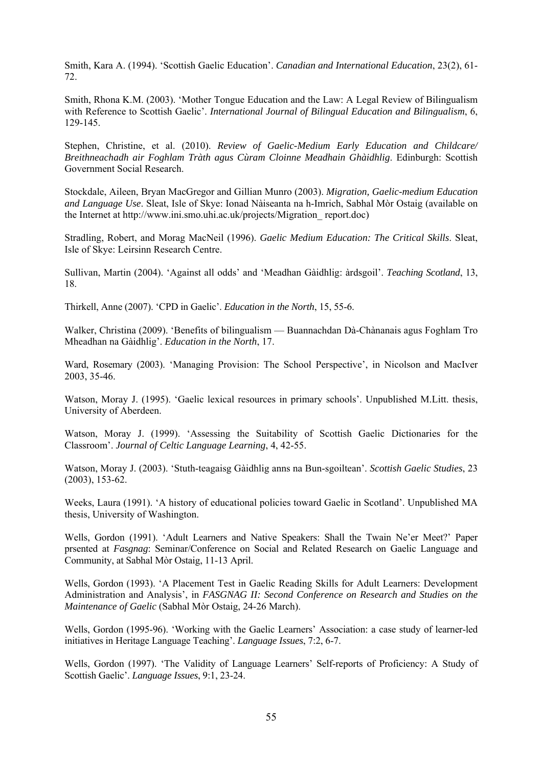Smith, Kara A. (1994). 'Scottish Gaelic Education'. *Canadian and International Education*, 23(2), 61- 72.

Smith, Rhona K.M. (2003). 'Mother Tongue Education and the Law: A Legal Review of Bilingualism with Reference to Scottish Gaelic'. *International Journal of Bilingual Education and Bilingualism*, 6, 129-145.

Stephen, Christine, et al. (2010). *Review of Gaelic-Medium Early Education and Childcare/ Breithneachadh air Foghlam Tràth agus Cùram Cloinne Meadhain Ghàidhlig*. Edinburgh: Scottish Government Social Research.

Stockdale, Aileen, Bryan MacGregor and Gillian Munro (2003). *Migration, Gaelic-medium Education and Language Use*. Sleat, Isle of Skye: Ionad Nàiseanta na h-Imrich, Sabhal Mòr Ostaig (available on the Internet at http://www.ini.smo.uhi.ac.uk/projects/Migration\_ report.doc)

Stradling, Robert, and Morag MacNeil (1996). *Gaelic Medium Education: The Critical Skills*. Sleat, Isle of Skye: Leirsinn Research Centre.

Sullivan, Martin (2004). 'Against all odds' and 'Meadhan Gàidhlig: àrdsgoil'. *Teaching Scotland*, 13, 18.

Thirkell, Anne (2007). 'CPD in Gaelic'. *Education in the North*, 15, 55-6.

Walker, Christina (2009). 'Benefits of bilingualism — Buannachdan Dà-Chànanais agus Foghlam Tro Mheadhan na Gàidhlig'. *Education in the North*, 17.

Ward, Rosemary (2003). 'Managing Provision: The School Perspective', in Nicolson and MacIver 2003, 35-46.

Watson, Moray J. (1995). 'Gaelic lexical resources in primary schools'. Unpublished M.Litt. thesis, University of Aberdeen.

Watson, Moray J. (1999). 'Assessing the Suitability of Scottish Gaelic Dictionaries for the Classroom'. *Journal of Celtic Language Learning*, 4, 42-55.

Watson, Moray J. (2003). 'Stuth-teagaisg Gàidhlig anns na Bun-sgoiltean'. *Scottish Gaelic Studies*, 23 (2003), 153-62.

Weeks, Laura (1991). 'A history of educational policies toward Gaelic in Scotland'. Unpublished MA thesis, University of Washington.

Wells, Gordon (1991). 'Adult Learners and Native Speakers: Shall the Twain Ne'er Meet?' Paper prsented at *Fasgnag*: Seminar/Conference on Social and Related Research on Gaelic Language and Community, at Sabhal Mòr Ostaig, 11-13 April.

Wells, Gordon (1993). 'A Placement Test in Gaelic Reading Skills for Adult Learners: Development Administration and Analysis', in *FASGNAG II: Second Conference on Research and Studies on the Maintenance of Gaelic* (Sabhal Mòr Ostaig, 24-26 March).

Wells, Gordon (1995-96). 'Working with the Gaelic Learners' Association: a case study of learner-led initiatives in Heritage Language Teaching'. *Language Issues*, 7:2, 6-7.

Wells, Gordon (1997). 'The Validity of Language Learners' Self-reports of Proficiency: A Study of Scottish Gaelic'. *Language Issues*, 9:1, 23-24.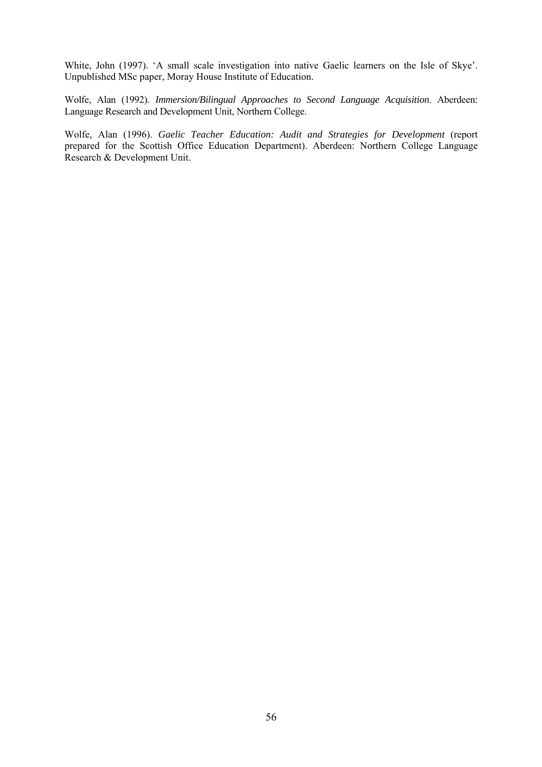White, John (1997). 'A small scale investigation into native Gaelic learners on the Isle of Skye'. Unpublished MSc paper, Moray House Institute of Education.

Wolfe, Alan (1992). *Immersion/Bilingual Approaches to Second Language Acquisition*. Aberdeen: Language Research and Development Unit, Northern College.

Wolfe, Alan (1996). *Gaelic Teacher Education: Audit and Strategies for Development* (report prepared for the Scottish Office Education Department). Aberdeen: Northern College Language Research & Development Unit.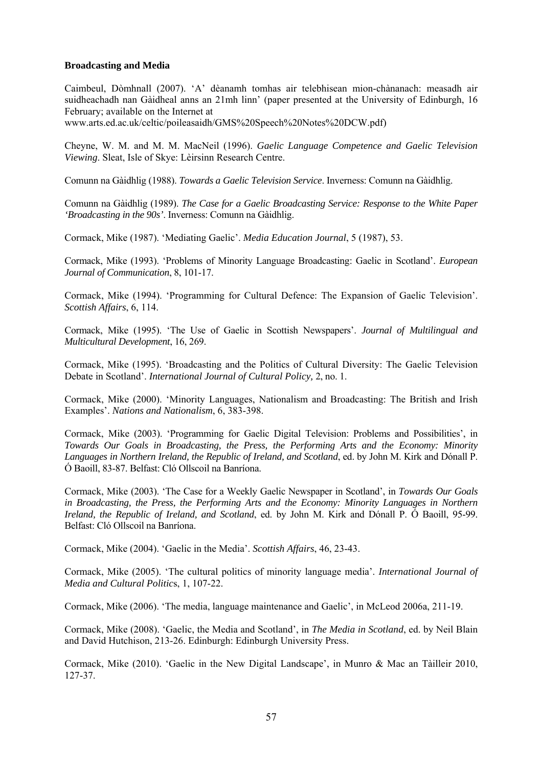## **Broadcasting and Media**

Caimbeul, Dòmhnall (2007). 'A' dèanamh tomhas air telebhisean mion-chànanach: measadh air suidheachadh nan Gàidheal anns an 21mh linn' (paper presented at the University of Edinburgh, 16 February; available on the Internet at

www.arts.ed.ac.uk/celtic/poileasaidh/GMS%20Speech%20Notes%20DCW.pdf)

Cheyne, W. M. and M. M. MacNeil (1996). *Gaelic Language Competence and Gaelic Television Viewing*. Sleat, Isle of Skye: Lèirsinn Research Centre.

Comunn na Gàidhlig (1988). *Towards a Gaelic Television Service*. Inverness: Comunn na Gàidhlig.

Comunn na Gàidhlig (1989). *The Case for a Gaelic Broadcasting Service: Response to the White Paper 'Broadcasting in the 90s'*. Inverness: Comunn na Gàidhlig.

Cormack, Mike (1987). 'Mediating Gaelic'. *Media Education Journal*, 5 (1987), 53.

Cormack, Mike (1993). 'Problems of Minority Language Broadcasting: Gaelic in Scotland'. *European Journal of Communication*, 8, 101-17.

Cormack, Mike (1994). 'Programming for Cultural Defence: The Expansion of Gaelic Television'. *Scottish Affairs*, 6, 114.

Cormack, Mike (1995). 'The Use of Gaelic in Scottish Newspapers'. *Journal of Multilingual and Multicultural Development*, 16, 269.

Cormack, Mike (1995). 'Broadcasting and the Politics of Cultural Diversity: The Gaelic Television Debate in Scotland'. *International Journal of Cultural Policy,* 2, no. 1.

Cormack, Mike (2000). 'Minority Languages, Nationalism and Broadcasting: The British and Irish Examples'. *Nations and Nationalism*, 6, 383-398.

Cormack, Mike (2003). 'Programming for Gaelic Digital Television: Problems and Possibilities', in *Towards Our Goals in Broadcasting, the Press, the Performing Arts and the Economy: Minority Languages in Northern Ireland, the Republic of Ireland, and Scotland*, ed. by John M. Kirk and Dónall P. Ó Baoill, 83-87. Belfast: Cló Ollscoil na Banríona.

Cormack, Mike (2003). 'The Case for a Weekly Gaelic Newspaper in Scotland', in *Towards Our Goals in Broadcasting, the Press, the Performing Arts and the Economy: Minority Languages in Northern Ireland, the Republic of Ireland, and Scotland*, ed. by John M. Kirk and Dónall P. Ó Baoill, 95-99. Belfast: Cló Ollscoil na Banríona.

Cormack, Mike (2004). 'Gaelic in the Media'. *Scottish Affairs*, 46, 23-43.

Cormack, Mike (2005). 'The cultural politics of minority language media'. *International Journal of Media and Cultural Politic*s, 1, 107-22.

Cormack, Mike (2006). 'The media, language maintenance and Gaelic', in McLeod 2006a, 211-19.

Cormack, Mike (2008). 'Gaelic, the Media and Scotland', in *The Media in Scotland*, ed. by Neil Blain and David Hutchison, 213-26. Edinburgh: Edinburgh University Press.

Cormack, Mike (2010). 'Gaelic in the New Digital Landscape', in Munro & Mac an Tàilleir 2010, 127-37.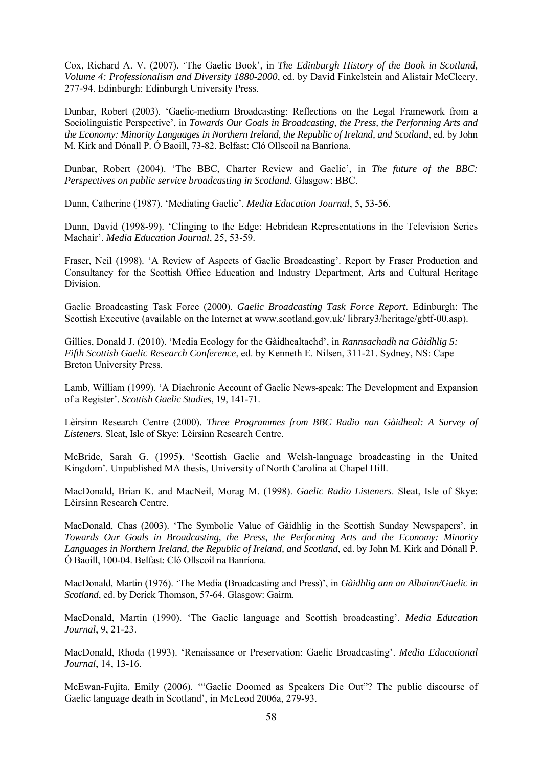Cox, Richard A. V. (2007). 'The Gaelic Book', in *The Edinburgh History of the Book in Scotland, Volume 4: Professionalism and Diversity 1880-2000*, ed. by David Finkelstein and Alistair McCleery, 277-94. Edinburgh: Edinburgh University Press.

Dunbar, Robert (2003). 'Gaelic-medium Broadcasting: Reflections on the Legal Framework from a Sociolinguistic Perspective', in *Towards Our Goals in Broadcasting, the Press, the Performing Arts and the Economy: Minority Languages in Northern Ireland, the Republic of Ireland, and Scotland*, ed. by John M. Kirk and Dónall P. Ó Baoill, 73-82. Belfast: Cló Ollscoil na Banríona.

Dunbar, Robert (2004). 'The BBC, Charter Review and Gaelic', in *The future of the BBC: Perspectives on public service broadcasting in Scotland*. Glasgow: BBC.

Dunn, Catherine (1987). 'Mediating Gaelic'. *Media Education Journal*, 5, 53-56.

Dunn, David (1998-99). 'Clinging to the Edge: Hebridean Representations in the Television Series Machair'. *Media Education Journal*, 25, 53-59.

Fraser, Neil (1998). 'A Review of Aspects of Gaelic Broadcasting'. Report by Fraser Production and Consultancy for the Scottish Office Education and Industry Department, Arts and Cultural Heritage Division.

Gaelic Broadcasting Task Force (2000). *Gaelic Broadcasting Task Force Report*. Edinburgh: The Scottish Executive (available on the Internet at www.scotland.gov.uk/library3/heritage/gbtf-00.asp).

Gillies, Donald J. (2010). 'Media Ecology for the Gàidhealtachd', in *Rannsachadh na Gàidhlig 5: Fifth Scottish Gaelic Research Conference*, ed. by Kenneth E. Nilsen, 311-21. Sydney, NS: Cape Breton University Press.

Lamb, William (1999). 'A Diachronic Account of Gaelic News-speak: The Development and Expansion of a Register'. *Scottish Gaelic Studies*, 19, 141-71.

Lèirsinn Research Centre (2000). *Three Programmes from BBC Radio nan Gàidheal: A Survey of Listeners*. Sleat, Isle of Skye: Lèirsinn Research Centre.

McBride, Sarah G. (1995). 'Scottish Gaelic and Welsh-language broadcasting in the United Kingdom'. Unpublished MA thesis, University of North Carolina at Chapel Hill.

MacDonald, Brian K. and MacNeil, Morag M. (1998). *Gaelic Radio Listeners*. Sleat, Isle of Skye: Lèirsinn Research Centre.

MacDonald, Chas (2003). 'The Symbolic Value of Gàidhlig in the Scottish Sunday Newspapers', in *Towards Our Goals in Broadcasting, the Press, the Performing Arts and the Economy: Minority Languages in Northern Ireland, the Republic of Ireland, and Scotland*, ed. by John M. Kirk and Dónall P. Ó Baoill, 100-04. Belfast: Cló Ollscoil na Banríona.

MacDonald, Martin (1976). 'The Media (Broadcasting and Press)', in *Gàidhlig ann an Albainn/Gaelic in Scotland*, ed. by Derick Thomson, 57-64. Glasgow: Gairm.

MacDonald, Martin (1990). 'The Gaelic language and Scottish broadcasting'. *Media Education Journal*, 9, 21-23.

MacDonald, Rhoda (1993). 'Renaissance or Preservation: Gaelic Broadcasting'. *Media Educational Journal*, 14, 13-16.

McEwan-Fujita, Emily (2006). '"Gaelic Doomed as Speakers Die Out"? The public discourse of Gaelic language death in Scotland', in McLeod 2006a, 279-93.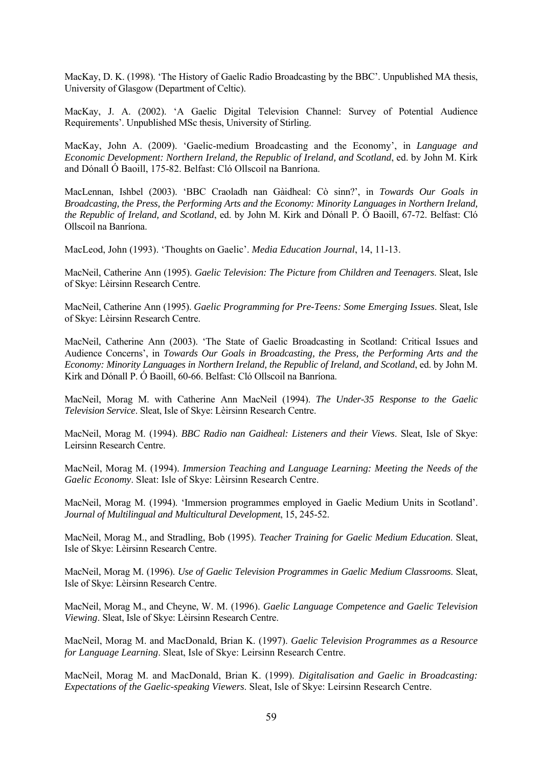MacKay, D. K. (1998). 'The History of Gaelic Radio Broadcasting by the BBC'. Unpublished MA thesis, University of Glasgow (Department of Celtic).

MacKay, J. A. (2002). 'A Gaelic Digital Television Channel: Survey of Potential Audience Requirements'. Unpublished MSc thesis, University of Stirling.

MacKay, John A. (2009). 'Gaelic-medium Broadcasting and the Economy', in *Language and Economic Development: Northern Ireland, the Republic of Ireland, and Scotland*, ed. by John M. Kirk and Dónall Ó Baoill, 175-82. Belfast: Cló Ollscoil na Banríona.

MacLennan, Ishbel (2003). 'BBC Craoladh nan Gàidheal: Cò sinn?', in *Towards Our Goals in Broadcasting, the Press, the Performing Arts and the Economy: Minority Languages in Northern Ireland, the Republic of Ireland, and Scotland*, ed. by John M. Kirk and Dónall P. Ó Baoill, 67-72. Belfast: Cló Ollscoil na Banríona.

MacLeod, John (1993). 'Thoughts on Gaelic'. *Media Education Journal*, 14, 11-13.

MacNeil, Catherine Ann (1995). *Gaelic Television: The Picture from Children and Teenagers*. Sleat, Isle of Skye: Lèirsinn Research Centre.

MacNeil, Catherine Ann (1995). *Gaelic Programming for Pre-Teens: Some Emerging Issues*. Sleat, Isle of Skye: Lèirsinn Research Centre.

MacNeil, Catherine Ann (2003). 'The State of Gaelic Broadcasting in Scotland: Critical Issues and Audience Concerns', in *Towards Our Goals in Broadcasting, the Press, the Performing Arts and the Economy: Minority Languages in Northern Ireland, the Republic of Ireland, and Scotland*, ed. by John M. Kirk and Dónall P. Ó Baoill, 60-66. Belfast: Cló Ollscoil na Banríona.

MacNeil, Morag M. with Catherine Ann MacNeil (1994). *The Under-35 Response to the Gaelic Television Service*. Sleat, Isle of Skye: Lèirsinn Research Centre.

MacNeil, Morag M. (1994). *BBC Radio nan Gaidheal: Listeners and their Views*. Sleat, Isle of Skye: Leirsinn Research Centre.

MacNeil, Morag M. (1994). *Immersion Teaching and Language Learning: Meeting the Needs of the Gaelic Economy*. Sleat: Isle of Skye: Lèirsinn Research Centre.

MacNeil, Morag M. (1994). 'Immersion programmes employed in Gaelic Medium Units in Scotland'. *Journal of Multilingual and Multicultural Development*, 15, 245-52.

MacNeil, Morag M., and Stradling, Bob (1995). *Teacher Training for Gaelic Medium Education*. Sleat, Isle of Skye: Lèirsinn Research Centre.

MacNeil, Morag M. (1996). *Use of Gaelic Television Programmes in Gaelic Medium Classrooms*. Sleat, Isle of Skye: Lèirsinn Research Centre.

MacNeil, Morag M., and Cheyne, W. M. (1996). *Gaelic Language Competence and Gaelic Television Viewing*. Sleat, Isle of Skye: Lèirsinn Research Centre.

MacNeil, Morag M. and MacDonald, Brian K. (1997). *Gaelic Television Programmes as a Resource for Language Learning*. Sleat, Isle of Skye: Leirsinn Research Centre.

MacNeil, Morag M. and MacDonald, Brian K. (1999). *Digitalisation and Gaelic in Broadcasting: Expectations of the Gaelic-speaking Viewers*. Sleat, Isle of Skye: Leirsinn Research Centre.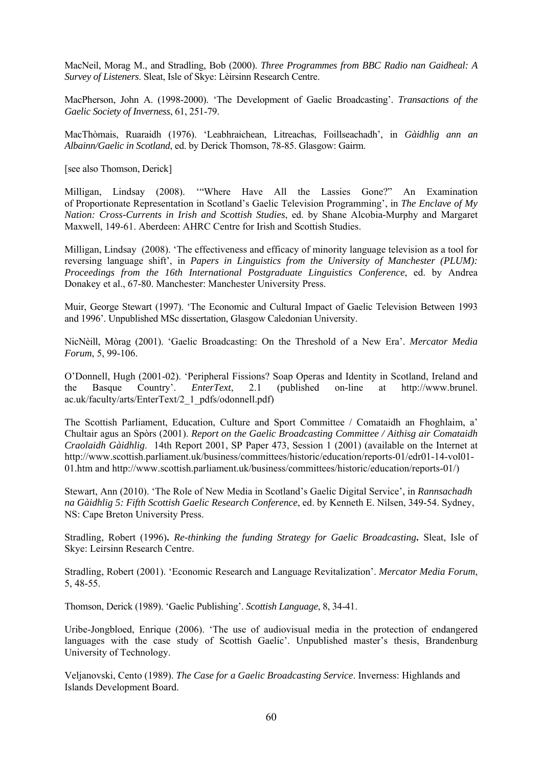MacNeil, Morag M., and Stradling, Bob (2000). *Three Programmes from BBC Radio nan Gaidheal: A Survey of Listeners*. Sleat, Isle of Skye: Lèirsinn Research Centre.

MacPherson, John A. (1998-2000). 'The Development of Gaelic Broadcasting'. *Transactions of the Gaelic Society of Inverness*, 61, 251-79.

MacThòmais, Ruaraidh (1976). 'Leabhraichean, Litreachas, Foillseachadh', in *Gàidhlig ann an Albainn/Gaelic in Scotland*, ed. by Derick Thomson, 78-85. Glasgow: Gairm.

[see also Thomson, Derick]

Milligan, Lindsay (2008). '"Where Have All the Lassies Gone?" An Examination of Proportionate Representation in Scotland's Gaelic Television Programming', in *The Enclave of My Nation: Cross-Currents in Irish and Scottish Studies*, ed. by Shane Alcobia-Murphy and Margaret Maxwell, 149-61. Aberdeen: AHRC Centre for Irish and Scottish Studies.

Milligan, Lindsay (2008). 'The effectiveness and efficacy of minority language television as a tool for reversing language shift', in *Papers in Linguistics from the University of Manchester (PLUM): Proceedings from the 16th International Postgraduate Linguistics Conference*, ed. by Andrea Donakey et al., 67-80. Manchester: Manchester University Press.

Muir, George Stewart (1997). 'The Economic and Cultural Impact of Gaelic Television Between 1993 and 1996'. Unpublished MSc dissertation, Glasgow Caledonian University.

NicNèill, Mòrag (2001). 'Gaelic Broadcasting: On the Threshold of a New Era'. *Mercator Media Forum*, 5, 99-106.

O'Donnell, Hugh (2001-02). 'Peripheral Fissions? Soap Operas and Identity in Scotland, Ireland and the Basque Country'. *EnterText*, 2.1 (published on-line at http://www.brunel. ac.uk/faculty/arts/EnterText/2\_1\_pdfs/odonnell.pdf)

The Scottish Parliament, Education, Culture and Sport Committee / Comataidh an Fhoghlaim, a' Chultair agus an Spòrs (2001). *Report on the Gaelic Broadcasting Committee / Aithisg air Comataidh Craolaidh Gàidhlig*. 14th Report 2001, SP Paper 473, Session 1 (2001) (available on the Internet at http://www.scottish.parliament.uk/business/committees/historic/education/reports-01/edr01-14-vol01- 01.htm and http://www.scottish.parliament.uk/business/committees/historic/education/reports-01/)

Stewart, Ann (2010). 'The Role of New Media in Scotland's Gaelic Digital Service', in *Rannsachadh na Gàidhlig 5: Fifth Scottish Gaelic Research Conference*, ed. by Kenneth E. Nilsen, 349-54. Sydney, NS: Cape Breton University Press.

Stradling, Robert (1996)**.** *Re-thinking the funding Strategy for Gaelic Broadcasting***.** Sleat, Isle of Skye: Leirsinn Research Centre.

Stradling, Robert (2001). 'Economic Research and Language Revitalization'. *Mercator Media Forum*, 5, 48-55.

Thomson, Derick (1989). 'Gaelic Publishing'. *Scottish Language*, 8, 34-41.

Uribe-Jongbloed, Enrique (2006). 'The use of audiovisual media in the protection of endangered languages with the case study of Scottish Gaelic'. Unpublished master's thesis, Brandenburg University of Technology.

Veljanovski, Cento (1989). *The Case for a Gaelic Broadcasting Service*. Inverness: Highlands and Islands Development Board.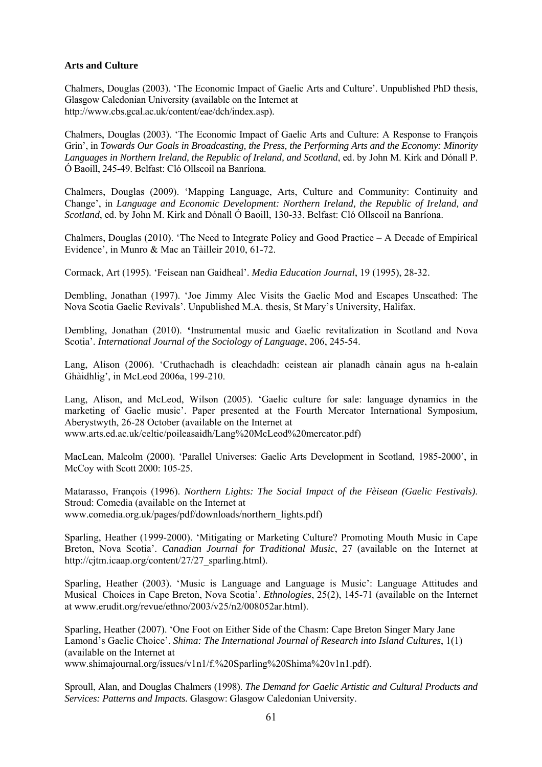## **Arts and Culture**

Chalmers, Douglas (2003). 'The Economic Impact of Gaelic Arts and Culture'. Unpublished PhD thesis, Glasgow Caledonian University (available on the Internet at http://www.cbs.gcal.ac.uk/content/eae/dch/index.asp).

Chalmers, Douglas (2003). 'The Economic Impact of Gaelic Arts and Culture: A Response to François Grin', in *Towards Our Goals in Broadcasting, the Press, the Performing Arts and the Economy: Minority Languages in Northern Ireland, the Republic of Ireland, and Scotland*, ed. by John M. Kirk and Dónall P. Ó Baoill, 245-49. Belfast: Cló Ollscoil na Banríona.

Chalmers, Douglas (2009). 'Mapping Language, Arts, Culture and Community: Continuity and Change', in *Language and Economic Development: Northern Ireland, the Republic of Ireland, and Scotland*, ed. by John M. Kirk and Dónall Ó Baoill, 130-33. Belfast: Cló Ollscoil na Banríona.

Chalmers, Douglas (2010). 'The Need to Integrate Policy and Good Practice – A Decade of Empirical Evidence', in Munro & Mac an Tàilleir 2010, 61-72.

Cormack, Art (1995). 'Feisean nan Gaidheal'. *Media Education Journal*, 19 (1995), 28-32.

Dembling, Jonathan (1997). 'Joe Jimmy Alec Visits the Gaelic Mod and Escapes Unscathed: The Nova Scotia Gaelic Revivals'. Unpublished M.A. thesis, St Mary's University, Halifax.

Dembling, Jonathan (2010). **'**Instrumental music and Gaelic revitalization in Scotland and Nova Scotia'. *International Journal of the Sociology of Language*, 206, 245-54.

Lang, Alison (2006). 'Cruthachadh is cleachdadh: ceistean air planadh cànain agus na h-ealain Ghàidhlig', in McLeod 2006a, 199-210.

Lang, Alison, and McLeod, Wilson (2005). 'Gaelic culture for sale: language dynamics in the marketing of Gaelic music'. Paper presented at the Fourth Mercator International Symposium, Aberystwyth, 26-28 October (available on the Internet at www.arts.ed.ac.uk/celtic/poileasaidh/Lang%20McLeod%20mercator.pdf)

MacLean, Malcolm (2000). 'Parallel Universes: Gaelic Arts Development in Scotland, 1985-2000', in McCoy with Scott 2000: 105-25.

Matarasso, François (1996). *Northern Lights: The Social Impact of the Fèisean (Gaelic Festivals)*. Stroud: Comedia (available on the Internet at www.comedia.org.uk/pages/pdf/downloads/northern\_lights.pdf)

Sparling, Heather (1999-2000). 'Mitigating or Marketing Culture? Promoting Mouth Music in Cape Breton, Nova Scotia'. *Canadian Journal for Traditional Music*, 27 (available on the Internet at http://cjtm.icaap.org/content/27/27\_sparling.html).

Sparling, Heather (2003). 'Music is Language and Language is Music': Language Attitudes and Musical Choices in Cape Breton, Nova Scotia'. *Ethnologies*, 25(2), 145-71 (available on the Internet at www.erudit.org/revue/ethno/2003/v25/n2/008052ar.html).

Sparling, Heather (2007). 'One Foot on Either Side of the Chasm: Cape Breton Singer Mary Jane Lamond's Gaelic Choice'. *Shima: The International Journal of Research into Island Cultures*, 1(1) (available on the Internet at www.shimajournal.org/issues/v1n1/f.%20Sparling%20Shima%20v1n1.pdf).

Sproull, Alan, and Douglas Chalmers (1998). *The Demand for Gaelic Artistic and Cultural Products and Services: Patterns and Impacts.* Glasgow: Glasgow Caledonian University.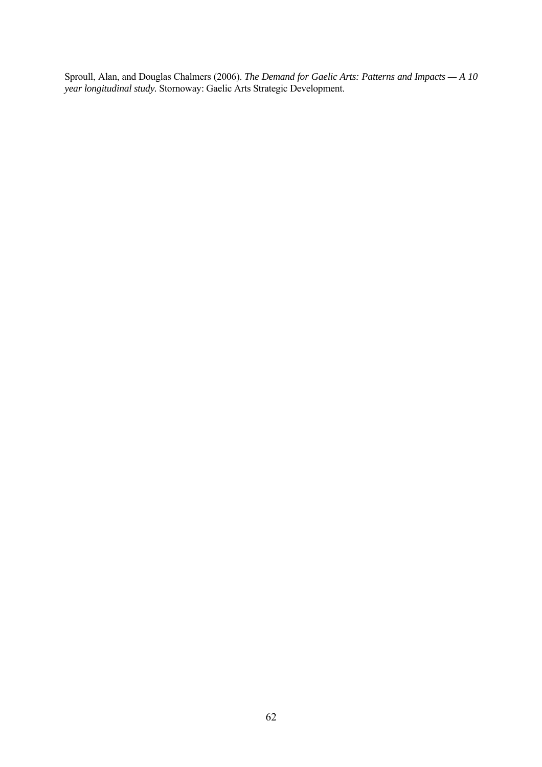Sproull, Alan, and Douglas Chalmers (2006). *The Demand for Gaelic Arts: Patterns and Impacts — A 10 year longitudinal study.* Stornoway: Gaelic Arts Strategic Development.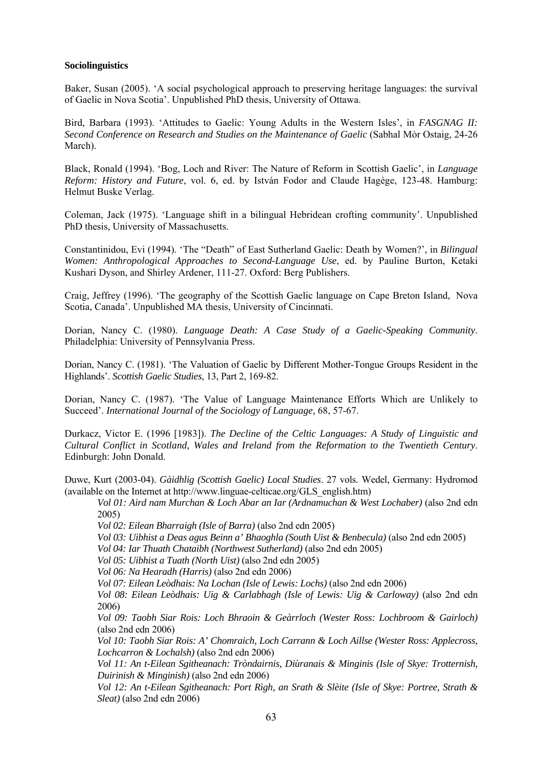#### **Sociolinguistics**

Baker, Susan (2005). 'A social psychological approach to preserving heritage languages: the survival of Gaelic in Nova Scotia'. Unpublished PhD thesis, University of Ottawa.

Bird, Barbara (1993). 'Attitudes to Gaelic: Young Adults in the Western Isles', in *FASGNAG II: Second Conference on Research and Studies on the Maintenance of Gaelic* (Sabhal Mòr Ostaig, 24-26 March).

Black, Ronald (1994). 'Bog, Loch and River: The Nature of Reform in Scottish Gaelic', in *Language Reform: History and Future*, vol. 6, ed. by István Fodor and Claude Hagège, 123-48. Hamburg: Helmut Buske Verlag.

Coleman, Jack (1975). 'Language shift in a bilingual Hebridean crofting community'. Unpublished PhD thesis, University of Massachusetts.

Constantinidou, Evi (1994). 'The "Death" of East Sutherland Gaelic: Death by Women?', in *Bilingual Women: Anthropological Approaches to Second-Language Use*, ed. by Pauline Burton, Ketaki Kushari Dyson, and Shirley Ardener, 111-27. Oxford: Berg Publishers.

Craig, Jeffrey (1996). 'The geography of the Scottish Gaelic language on Cape Breton Island, Nova Scotia, Canada'. Unpublished MA thesis, University of Cincinnati.

Dorian, Nancy C. (1980). *Language Death: A Case Study of a Gaelic-Speaking Community*. Philadelphia: University of Pennsylvania Press.

Dorian, Nancy C. (1981). 'The Valuation of Gaelic by Different Mother-Tongue Groups Resident in the Highlands'. *Scottish Gaelic Studies*, 13, Part 2, 169-82.

Dorian, Nancy C. (1987). 'The Value of Language Maintenance Efforts Which are Unlikely to Succeed'. *International Journal of the Sociology of Language,* 68, 57-67.

Durkacz, Victor E. (1996 [1983]). *The Decline of the Celtic Languages: A Study of Linguistic and Cultural Conflict in Scotland, Wales and Ireland from the Reformation to the Twentieth Century*. Edinburgh: John Donald.

Duwe, Kurt (2003-04). *Gàidhlig (Scottish Gaelic) Local Studies*. 27 vols. Wedel, Germany: Hydromod (available on the Internet at http://www.linguae-celticae.org/GLS\_english.htm)

*Vol 01: Aird nam Murchan & Loch Abar an Iar (Ardnamuchan & West Lochaber)* (also 2nd edn 2005)

*Vol 02: Eilean Bharraigh (Isle of Barra)* (also 2nd edn 2005)

*Vol 03: Uibhist a Deas agus Beinn a' Bhaoghla (South Uist & Benbecula)* (also 2nd edn 2005)

*Vol 04: Iar Thuath Chataibh (Northwest Sutherland)* (also 2nd edn 2005)

*Vol 05: Uibhist a Tuath (North Uist)* (also 2nd edn 2005)

*Vol 06: Na Hearadh (Harris)* (also 2nd edn 2006)

 *Vol 07: Eilean Leòdhais: Na Lochan (Isle of Lewis: Lochs)* (also 2nd edn 2006)

*Vol 08: Eilean Leòdhais: Uig & Carlabhagh (Isle of Lewis: Uig & Carloway)* (also 2nd edn 2006)

*Vol 09: Taobh Siar Rois: Loch Bhraoin & Geàrrloch (Wester Ross: Lochbroom & Gairloch)* (also 2nd edn 2006)

*Vol 10: Taobh Siar Rois: A' Chomraich, Loch Carrann & Loch Aillse (Wester Ross: Applecross, Lochcarron & Lochalsh)* (also 2nd edn 2006)

*Vol 11: An t-Eilean Sgitheanach: Tròndairnis, Diùranais & Minginis (Isle of Skye: Trotternish, Duirinish & Minginish)* (also 2nd edn 2006)

*Vol 12: An t-Eilean Sgitheanach: Port Rìgh, an Srath & Slèite (Isle of Skye: Portree, Strath & Sleat)* (also 2nd edn 2006)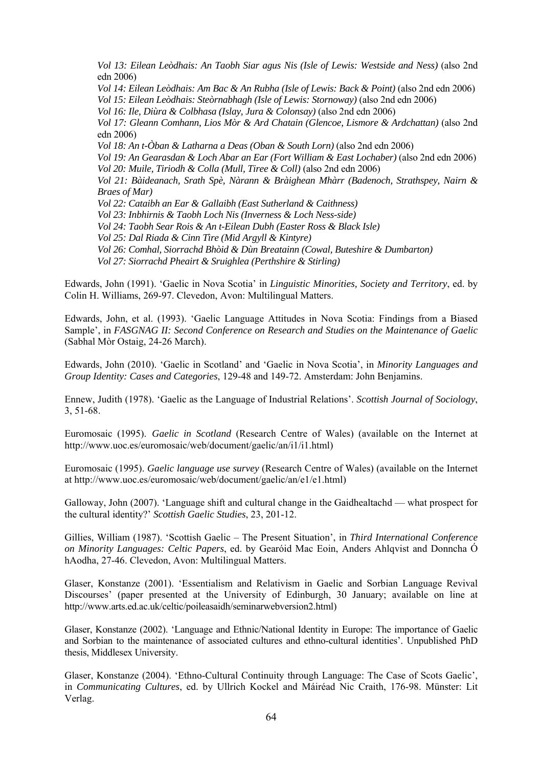*Vol 13: Eilean Leòdhais: An Taobh Siar agus Nis (Isle of Lewis: Westside and Ness)* (also 2nd edn 2006) *Vol 14: Eilean Leòdhais: Am Bac & An Rubha (Isle of Lewis: Back & Point)* (also 2nd edn 2006)  *Vol 15: Eilean Leòdhais: Steòrnabhagh (Isle of Lewis: Stornoway)* (also 2nd edn 2006)  *Vol 16: Ile, Diùra & Colbhasa (Islay, Jura & Colonsay)* (also 2nd edn 2006) *Vol 17: Gleann Comhann, Lios Mòr & Ard Chatain (Glencoe, Lismore & Ardchattan)* (also 2nd edn 2006)  *Vol 18: An t-Òban & Latharna a Deas (Oban & South Lorn)* (also 2nd edn 2006) *Vol 19: An Gearasdan & Loch Abar an Ear (Fort William & East Lochaber)* (also 2nd edn 2006)  *Vol 20: Muile, Tiriodh & Colla (Mull, Tiree & Coll)* (also 2nd edn 2006) *Vol 21: Bàideanach, Srath Spè, Nàrann & Bràighean Mhàrr (Badenoch, Strathspey, Nairn & Braes of Mar) Vol 22: Cataibh an Ear & Gallaibh (East Sutherland & Caithness) Vol 23: Inbhirnis & Taobh Loch Nis (Inverness & Loch Ness-side) Vol 24: Taobh Sear Rois & An t-Eilean Dubh (Easter Ross & Black Isle) Vol 25: Dal Riada & Cinn Tìre (Mid Argyll & Kintyre) Vol 26: Comhal, Siorrachd Bhòid & Dùn Breatainn (Cowal, Buteshire & Dumbarton) Vol 27: Siorrachd Pheairt & Sruighlea (Perthshire & Stirling)* 

Edwards, John (1991). 'Gaelic in Nova Scotia' in *Linguistic Minorities, Society and Territory*, ed. by Colin H. Williams, 269-97. Clevedon, Avon: Multilingual Matters.

Edwards, John, et al. (1993). 'Gaelic Language Attitudes in Nova Scotia: Findings from a Biased Sample', in *FASGNAG II: Second Conference on Research and Studies on the Maintenance of Gaelic* (Sabhal Mòr Ostaig, 24-26 March).

Edwards, John (2010). 'Gaelic in Scotland' and 'Gaelic in Nova Scotia', in *Minority Languages and Group Identity: Cases and Categories*, 129-48 and 149-72. Amsterdam: John Benjamins.

Ennew, Judith (1978). 'Gaelic as the Language of Industrial Relations'. *Scottish Journal of Sociology*, 3, 51-68.

Euromosaic (1995). *Gaelic in Scotland* (Research Centre of Wales) (available on the Internet at http://www.uoc.es/euromosaic/web/document/gaelic/an/i1/i1.html)

Euromosaic (1995). *Gaelic language use survey* (Research Centre of Wales) (available on the Internet at http://www.uoc.es/euromosaic/web/document/gaelic/an/e1/e1.html)

Galloway, John (2007). 'Language shift and cultural change in the Gaidhealtachd — what prospect for the cultural identity?' *Scottish Gaelic Studies*, 23, 201-12.

Gillies, William (1987). 'Scottish Gaelic – The Present Situation', in *Third International Conference on Minority Languages: Celtic Papers*, ed. by Gearóid Mac Eoin, Anders Ahlqvist and Donncha Ó hAodha, 27-46. Clevedon, Avon: Multilingual Matters.

Glaser, Konstanze (2001). 'Essentialism and Relativism in Gaelic and Sorbian Language Revival Discourses' (paper presented at the University of Edinburgh, 30 January; available on line at http://www.arts.ed.ac.uk/celtic/poileasaidh/seminarwebversion2.html)

Glaser, Konstanze (2002). 'Language and Ethnic/National Identity in Europe: The importance of Gaelic and Sorbian to the maintenance of associated cultures and ethno-cultural identities'. Unpublished PhD thesis, Middlesex University.

Glaser, Konstanze (2004). 'Ethno-Cultural Continuity through Language: The Case of Scots Gaelic', in *Communicating Cultures*, ed. by Ullrich Kockel and Máiréad Nic Craith, 176-98. Münster: Lit Verlag.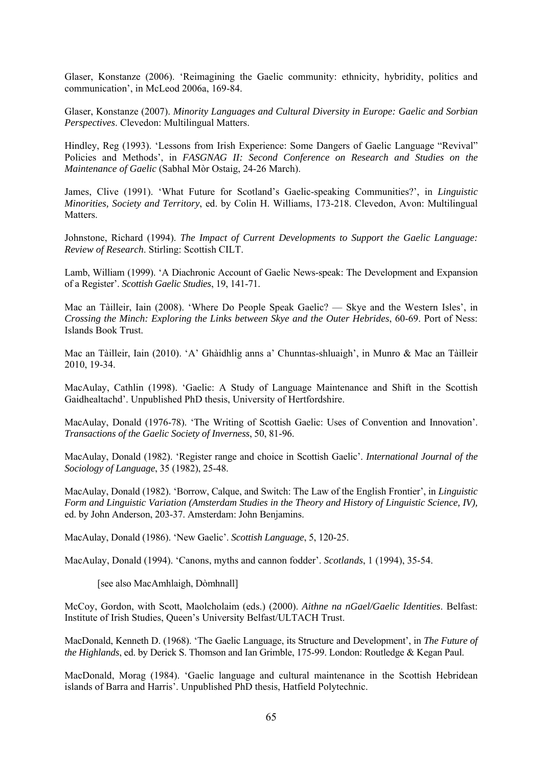Glaser, Konstanze (2006). 'Reimagining the Gaelic community: ethnicity, hybridity, politics and communication', in McLeod 2006a, 169-84.

Glaser, Konstanze (2007). *Minority Languages and Cultural Diversity in Europe: Gaelic and Sorbian Perspectives*. Clevedon: Multilingual Matters.

Hindley, Reg (1993). 'Lessons from Irish Experience: Some Dangers of Gaelic Language "Revival" Policies and Methods', in *FASGNAG II: Second Conference on Research and Studies on the Maintenance of Gaelic* (Sabhal Mòr Ostaig, 24-26 March).

James, Clive (1991). 'What Future for Scotland's Gaelic-speaking Communities?', in *Linguistic Minorities, Society and Territory*, ed. by Colin H. Williams, 173-218. Clevedon, Avon: Multilingual Matters.

Johnstone, Richard (1994). *The Impact of Current Developments to Support the Gaelic Language: Review of Research*. Stirling: Scottish CILT.

Lamb, William (1999). 'A Diachronic Account of Gaelic News-speak: The Development and Expansion of a Register'. *Scottish Gaelic Studies*, 19, 141-71.

Mac an Tàilleir, Iain (2008). 'Where Do People Speak Gaelic? — Skye and the Western Isles', in *Crossing the Minch: Exploring the Links between Skye and the Outer Hebrides*, 60-69. Port of Ness: Islands Book Trust.

Mac an Tàilleir, Iain (2010). 'A' Ghàidhlig anns a' Chunntas-shluaigh', in Munro & Mac an Tàilleir 2010, 19-34.

MacAulay, Cathlin (1998). 'Gaelic: A Study of Language Maintenance and Shift in the Scottish Gaidhealtachd'. Unpublished PhD thesis, University of Hertfordshire.

MacAulay, Donald (1976-78). 'The Writing of Scottish Gaelic: Uses of Convention and Innovation'. *Transactions of the Gaelic Society of Inverness*, 50, 81-96.

MacAulay, Donald (1982). 'Register range and choice in Scottish Gaelic'. *International Journal of the Sociology of Language*, 35 (1982), 25-48.

MacAulay, Donald (1982). 'Borrow, Calque, and Switch: The Law of the English Frontier', in *Linguistic Form and Linguistic Variation (Amsterdam Studies in the Theory and History of Linguistic Science, IV),* ed. by John Anderson, 203-37. Amsterdam: John Benjamins.

MacAulay, Donald (1986). 'New Gaelic'. *Scottish Language*, 5, 120-25.

MacAulay, Donald (1994). 'Canons, myths and cannon fodder'. *Scotlands*, 1 (1994), 35-54.

[see also MacAmhlaigh, Dòmhnall]

McCoy, Gordon, with Scott, Maolcholaim (eds.) (2000). *Aithne na nGael/Gaelic Identities*. Belfast: Institute of Irish Studies, Queen's University Belfast/ULTACH Trust.

MacDonald, Kenneth D. (1968). 'The Gaelic Language, its Structure and Development', in *The Future of the Highlands*, ed. by Derick S. Thomson and Ian Grimble, 175-99. London: Routledge & Kegan Paul.

MacDonald, Morag (1984). 'Gaelic language and cultural maintenance in the Scottish Hebridean islands of Barra and Harris'. Unpublished PhD thesis, Hatfield Polytechnic.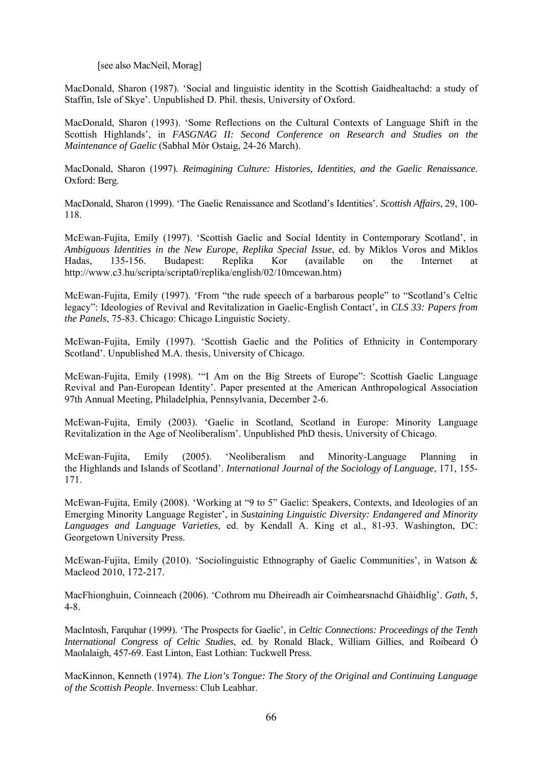[see also MacNeil, Morag]

MacDonald, Sharon (1987). 'Social and linguistic identity in the Scottish Gaidhealtachd: a study of Staffin, Isle of Skye'. Unpublished D. Phil. thesis, University of Oxford.

MacDonald, Sharon (1993). 'Some Reflections on the Cultural Contexts of Language Shift in the Scottish Highlands', in *FASGNAG II: Second Conference on Research and Studies on the Maintenance of Gaelic* (Sabhal Mòr Ostaig, 24-26 March).

MacDonald, Sharon (1997). *Reimagining Culture: Histories, Identities, and the Gaelic Renaissance*. Oxford: Berg.

MacDonald, Sharon (1999). 'The Gaelic Renaissance and Scotland's Identities'. *Scottish Affairs*, 29, 100- 118.

McEwan-Fujita, Emily (1997). 'Scottish Gaelic and Social Identity in Contemporary Scotland', in *Ambiguous Identities in the New Europe, Replika Special Issue*, ed. by Miklos Voros and Miklos Hadas, 135-156. Budapest: Replika Kor (available on the Internet at http://www.c3.hu/scripta/scripta0/replika/english/02/10mcewan.htm)

McEwan-Fujita, Emily (1997). 'From "the rude speech of a barbarous people" to "Scotland's Celtic legacy": Ideologies of Revival and Revitalization in Gaelic-English Contact', in *CLS 33: Papers from the Panels*, 75-83. Chicago: Chicago Linguistic Society.

McEwan-Fujita, Emily (1997). 'Scottish Gaelic and the Politics of Ethnicity in Contemporary Scotland'. Unpublished M.A. thesis, University of Chicago.

McEwan-Fujita, Emily (1998). '"I Am on the Big Streets of Europe": Scottish Gaelic Language Revival and Pan-European Identity'. Paper presented at the American Anthropological Association 97th Annual Meeting, Philadelphia, Pennsylvania, December 2-6.

McEwan-Fujita, Emily (2003). 'Gaelic in Scotland, Scotland in Europe: Minority Language Revitalization in the Age of Neoliberalism'. Unpublished PhD thesis, University of Chicago.

McEwan-Fujita, Emily (2005). 'Neoliberalism and Minority-Language Planning in the Highlands and Islands of Scotland'. *International Journal of the Sociology of Language*, 171, 155- 171.

McEwan-Fujita, Emily (2008). 'Working at "9 to 5" Gaelic: Speakers, Contexts, and Ideologies of an Emerging Minority Language Register', in *Sustaining Linguistic Diversity: Endangered and Minority Languages and Language Varieties*, ed. by Kendall A. King et al., 81-93. Washington, DC: Georgetown University Press.

McEwan-Fujita, Emily (2010). 'Sociolinguistic Ethnography of Gaelic Communities', in Watson & Macleod 2010, 172-217.

MacFhionghuin, Coinneach (2006). 'Cothrom mu Dheireadh air Coimhearsnachd Ghàidhlig'. *Gath*, 5, 4-8.

MacIntosh, Farquhar (1999). 'The Prospects for Gaelic', in *Celtic Connections: Proceedings of the Tenth International Congress of Celtic Studies*, ed. by Ronald Black, William Gillies, and Roibeard Ó Maolalaigh, 457-69. East Linton, East Lothian: Tuckwell Press.

MacKinnon, Kenneth (1974). *The Lion's Tongue: The Story of the Original and Continuing Language of the Scottish People*. Inverness: Club Leabhar.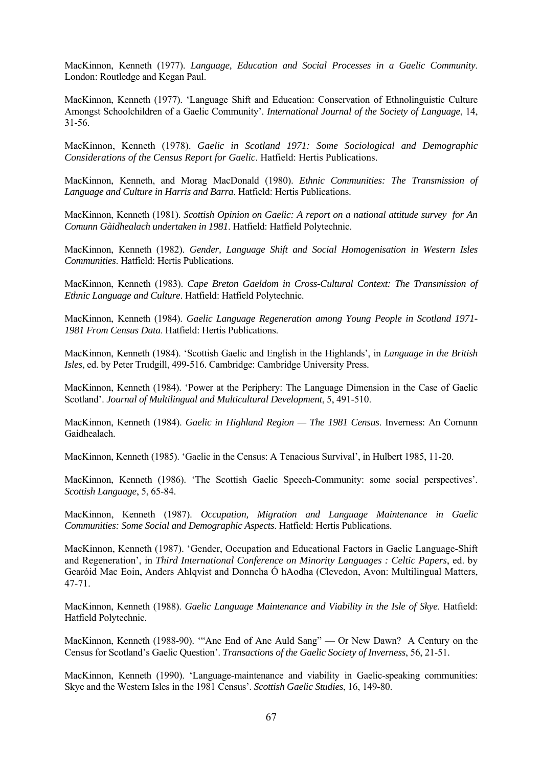MacKinnon, Kenneth (1977). *Language, Education and Social Processes in a Gaelic Community*. London: Routledge and Kegan Paul.

MacKinnon, Kenneth (1977). 'Language Shift and Education: Conservation of Ethnolinguistic Culture Amongst Schoolchildren of a Gaelic Community'. *International Journal of the Society of Language*, 14, 31-56.

MacKinnon, Kenneth (1978). *Gaelic in Scotland 1971: Some Sociological and Demographic Considerations of the Census Report for Gaelic*. Hatfield: Hertis Publications.

MacKinnon, Kenneth, and Morag MacDonald (1980). *Ethnic Communities: The Transmission of Language and Culture in Harris and Barra*. Hatfield: Hertis Publications.

MacKinnon, Kenneth (1981). *Scottish Opinion on Gaelic: A report on a national attitude survey for An Comunn Gàidhealach undertaken in 1981*. Hatfield: Hatfield Polytechnic.

MacKinnon, Kenneth (1982). *Gender, Language Shift and Social Homogenisation in Western Isles Communities*. Hatfield: Hertis Publications.

MacKinnon, Kenneth (1983). *Cape Breton Gaeldom in Cross-Cultural Context: The Transmission of Ethnic Language and Culture*. Hatfield: Hatfield Polytechnic.

MacKinnon, Kenneth (1984). *Gaelic Language Regeneration among Young People in Scotland 1971- 1981 From Census Data*. Hatfield: Hertis Publications.

MacKinnon, Kenneth (1984). 'Scottish Gaelic and English in the Highlands', in *Language in the British Isles*, ed. by Peter Trudgill, 499-516. Cambridge: Cambridge University Press.

MacKinnon, Kenneth (1984). 'Power at the Periphery: The Language Dimension in the Case of Gaelic Scotland'. *Journal of Multilingual and Multicultural Development*, 5, 491-510.

MacKinnon, Kenneth (1984). *Gaelic in Highland Region — The 1981 Census*. Inverness: An Comunn Gaidhealach.

MacKinnon, Kenneth (1985). 'Gaelic in the Census: A Tenacious Survival', in Hulbert 1985, 11-20.

MacKinnon, Kenneth (1986). 'The Scottish Gaelic Speech-Community: some social perspectives'. *Scottish Language*, 5, 65-84.

MacKinnon, Kenneth (1987). *Occupation, Migration and Language Maintenance in Gaelic Communities: Some Social and Demographic Aspects*. Hatfield: Hertis Publications.

MacKinnon, Kenneth (1987). 'Gender, Occupation and Educational Factors in Gaelic Language-Shift and Regeneration', in *Third International Conference on Minority Languages : Celtic Papers*, ed. by Gearóid Mac Eoin, Anders Ahlqvist and Donncha Ó hAodha (Clevedon, Avon: Multilingual Matters, 47-71.

MacKinnon, Kenneth (1988). *Gaelic Language Maintenance and Viability in the Isle of Skye*. Hatfield: Hatfield Polytechnic.

MacKinnon, Kenneth (1988-90). '"Ane End of Ane Auld Sang" — Or New Dawn? A Century on the Census for Scotland's Gaelic Question'. *Transactions of the Gaelic Society of Inverness*, 56, 21-51.

MacKinnon, Kenneth (1990). 'Language-maintenance and viability in Gaelic-speaking communities: Skye and the Western Isles in the 1981 Census'. *Scottish Gaelic Studies*, 16, 149-80.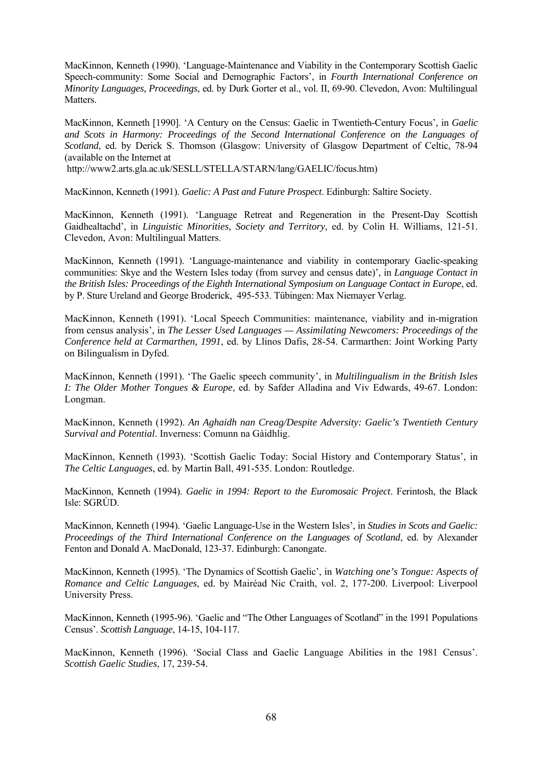MacKinnon, Kenneth (1990). 'Language-Maintenance and Viability in the Contemporary Scottish Gaelic Speech-community: Some Social and Demographic Factors', in *Fourth International Conference on Minority Languages, Proceedings*, ed. by Durk Gorter et al., vol. II, 69-90. Clevedon, Avon: Multilingual Matters.

MacKinnon, Kenneth [1990]. 'A Century on the Census: Gaelic in Twentieth-Century Focus', in *Gaelic and Scots in Harmony: Proceedings of the Second International Conference on the Languages of Scotland*, ed. by Derick S. Thomson (Glasgow: University of Glasgow Department of Celtic, 78-94 (available on the Internet at

http://www2.arts.gla.ac.uk/SESLL/STELLA/STARN/lang/GAELIC/focus.htm)

MacKinnon, Kenneth (1991). *Gaelic: A Past and Future Prospect*. Edinburgh: Saltire Society.

MacKinnon, Kenneth (1991). 'Language Retreat and Regeneration in the Present-Day Scottish Gaidhealtachd', in *Linguistic Minorities, Society and Territory*, ed. by Colin H. Williams, 121-51. Clevedon, Avon: Multilingual Matters.

MacKinnon, Kenneth (1991). 'Language-maintenance and viability in contemporary Gaelic-speaking communities: Skye and the Western Isles today (from survey and census date)', in *Language Contact in the British Isles: Proceedings of the Eighth International Symposium on Language Contact in Europe*, ed. by P. Sture Ureland and George Broderick, 495-533. Tübingen: Max Niemayer Verlag.

MacKinnon, Kenneth (1991). 'Local Speech Communities: maintenance, viability and in-migration from census analysis', in *The Lesser Used Languages — Assimilating Newcomers: Proceedings of the Conference held at Carmarthen, 1991*, ed. by Llinos Dafis, 28-54. Carmarthen: Joint Working Party on Bilingualism in Dyfed.

MacKinnon, Kenneth (1991). 'The Gaelic speech community', in *Multilingualism in the British Isles I: The Older Mother Tongues & Europe*, ed. by Safder Alladina and Viv Edwards, 49-67. London: Longman.

MacKinnon, Kenneth (1992). *An Aghaidh nan Creag/Despite Adversity: Gaelic's Twentieth Century Survival and Potential*. Inverness: Comunn na Gàidhlig.

MacKinnon, Kenneth (1993). 'Scottish Gaelic Today: Social History and Contemporary Status', in *The Celtic Languages*, ed. by Martin Ball, 491-535. London: Routledge.

MacKinnon, Kenneth (1994). *Gaelic in 1994: Report to the Euromosaic Project*. Ferintosh, the Black Isle: SGRÙD.

MacKinnon, Kenneth (1994). 'Gaelic Language-Use in the Western Isles', in *Studies in Scots and Gaelic: Proceedings of the Third International Conference on the Languages of Scotland*, ed. by Alexander Fenton and Donald A. MacDonald, 123-37. Edinburgh: Canongate.

MacKinnon, Kenneth (1995). 'The Dynamics of Scottish Gaelic', in *Watching one's Tongue: Aspects of Romance and Celtic Languages*, ed. by Mairéad Nic Craith, vol. 2, 177-200. Liverpool: Liverpool University Press.

MacKinnon, Kenneth (1995-96). 'Gaelic and "The Other Languages of Scotland" in the 1991 Populations Census'. *Scottish Language*, 14-15, 104-117.

MacKinnon, Kenneth (1996). 'Social Class and Gaelic Language Abilities in the 1981 Census'. *Scottish Gaelic Studies*, 17, 239-54.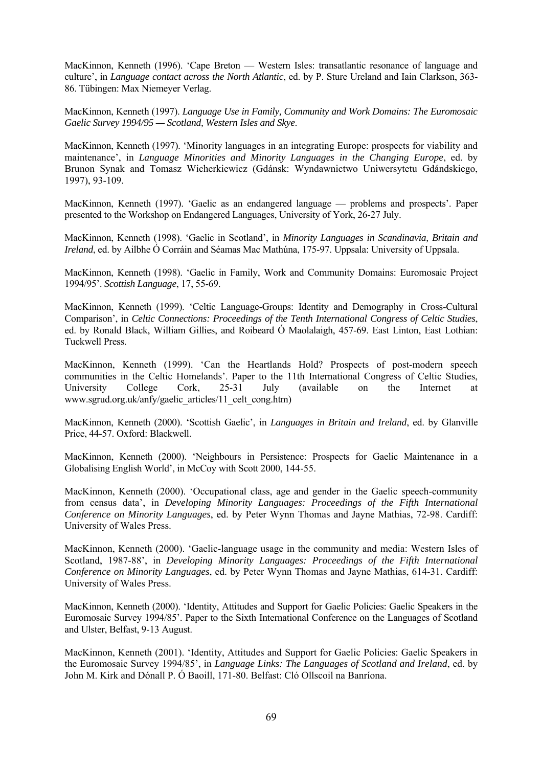MacKinnon, Kenneth (1996). 'Cape Breton — Western Isles: transatlantic resonance of language and culture', in *Language contact across the North Atlantic*, ed. by P. Sture Ureland and Iain Clarkson, 363- 86. Tübingen: Max Niemeyer Verlag.

MacKinnon, Kenneth (1997). *Language Use in Family, Community and Work Domains: The Euromosaic Gaelic Survey 1994/95 — Scotland, Western Isles and Skye*.

MacKinnon, Kenneth (1997). 'Minority languages in an integrating Europe: prospects for viability and maintenance', in *Language Minorities and Minority Languages in the Changing Europe*, ed. by Brunon Synak and Tomasz Wicherkiewicz (Gdánsk: Wyndawnictwo Uniwersytetu Gdándskiego, 1997), 93-109.

MacKinnon, Kenneth (1997). 'Gaelic as an endangered language — problems and prospects'. Paper presented to the Workshop on Endangered Languages, University of York, 26-27 July.

MacKinnon, Kenneth (1998). 'Gaelic in Scotland', in *Minority Languages in Scandinavia, Britain and Ireland*, ed. by Ailbhe Ó Corráin and Séamas Mac Mathúna, 175-97. Uppsala: University of Uppsala.

MacKinnon, Kenneth (1998). 'Gaelic in Family, Work and Community Domains: Euromosaic Project 1994/95'. *Scottish Language*, 17, 55-69.

MacKinnon, Kenneth (1999). 'Celtic Language-Groups: Identity and Demography in Cross-Cultural Comparison', in *Celtic Connections: Proceedings of the Tenth International Congress of Celtic Studies*, ed. by Ronald Black, William Gillies, and Roibeard Ó Maolalaigh, 457-69. East Linton, East Lothian: Tuckwell Press.

MacKinnon, Kenneth (1999). 'Can the Heartlands Hold? Prospects of post-modern speech communities in the Celtic Homelands'. Paper to the 11th International Congress of Celtic Studies, University College Cork, 25-31 July (available on the Internet at www.sgrud.org.uk/anfy/gaelic\_articles/11\_celt\_cong.htm)

MacKinnon, Kenneth (2000). 'Scottish Gaelic', in *Languages in Britain and Ireland*, ed. by Glanville Price, 44-57. Oxford: Blackwell.

MacKinnon, Kenneth (2000). 'Neighbours in Persistence: Prospects for Gaelic Maintenance in a Globalising English World', in McCoy with Scott 2000, 144-55.

MacKinnon, Kenneth (2000). 'Occupational class, age and gender in the Gaelic speech-community from census data', in *Developing Minority Languages: Proceedings of the Fifth International Conference on Minority Languages*, ed. by Peter Wynn Thomas and Jayne Mathias, 72-98. Cardiff: University of Wales Press.

MacKinnon, Kenneth (2000). 'Gaelic-language usage in the community and media: Western Isles of Scotland, 1987-88', in *Developing Minority Languages: Proceedings of the Fifth International Conference on Minority Languages*, ed. by Peter Wynn Thomas and Jayne Mathias, 614-31. Cardiff: University of Wales Press.

MacKinnon, Kenneth (2000). 'Identity, Attitudes and Support for Gaelic Policies: Gaelic Speakers in the Euromosaic Survey 1994/85'. Paper to the Sixth International Conference on the Languages of Scotland and Ulster, Belfast, 9-13 August.

MacKinnon, Kenneth (2001). 'Identity, Attitudes and Support for Gaelic Policies: Gaelic Speakers in the Euromosaic Survey 1994/85', in *Language Links: The Languages of Scotland and Ireland*, ed. by John M. Kirk and Dónall P. Ó Baoill, 171-80. Belfast: Cló Ollscoil na Banríona.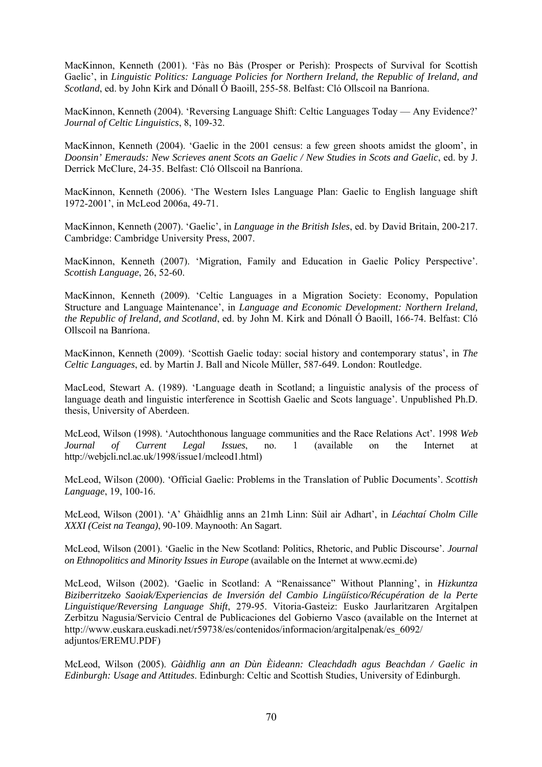MacKinnon, Kenneth (2001). 'Fàs no Bàs (Prosper or Perish): Prospects of Survival for Scottish Gaelic', in *Linguistic Politics: Language Policies for Northern Ireland, the Republic of Ireland, and Scotland*, ed. by John Kirk and Dónall Ó Baoill, 255-58. Belfast: Cló Ollscoil na Banríona.

MacKinnon, Kenneth (2004). 'Reversing Language Shift: Celtic Languages Today — Any Evidence?' *Journal of Celtic Linguistics*, 8, 109-32.

MacKinnon, Kenneth (2004). 'Gaelic in the 2001 census: a few green shoots amidst the gloom', in *Doonsin' Emerauds: New Scrieves anent Scots an Gaelic / New Studies in Scots and Gaelic*, ed. by J. Derrick McClure, 24-35. Belfast: Cló Ollscoil na Banríona.

MacKinnon, Kenneth (2006). 'The Western Isles Language Plan: Gaelic to English language shift 1972-2001', in McLeod 2006a, 49-71.

MacKinnon, Kenneth (2007). 'Gaelic', in *Language in the British Isles*, ed. by David Britain, 200-217. Cambridge: Cambridge University Press, 2007.

MacKinnon, Kenneth (2007). 'Migration, Family and Education in Gaelic Policy Perspective'. *Scottish Language*, 26, 52-60.

MacKinnon, Kenneth (2009). 'Celtic Languages in a Migration Society: Economy, Population Structure and Language Maintenance', in *Language and Economic Development: Northern Ireland, the Republic of Ireland, and Scotland*, ed. by John M. Kirk and Dónall Ó Baoill, 166-74. Belfast: Cló Ollscoil na Banríona.

MacKinnon, Kenneth (2009). 'Scottish Gaelic today: social history and contemporary status', in *The Celtic Languages*, ed. by Martin J. Ball and Nicole Müller, 587-649. London: Routledge.

MacLeod, Stewart A. (1989). 'Language death in Scotland; a linguistic analysis of the process of language death and linguistic interference in Scottish Gaelic and Scots language'. Unpublished Ph.D. thesis, University of Aberdeen.

McLeod, Wilson (1998). 'Autochthonous language communities and the Race Relations Act'. 1998 *Web Journal of Current Legal Issues*, no. 1 (available on the Internet at http://webjcli.ncl.ac.uk/1998/issue1/mcleod1.html)

McLeod, Wilson (2000). 'Official Gaelic: Problems in the Translation of Public Documents'. *Scottish Language*, 19, 100-16.

McLeod, Wilson (2001). 'A' Ghàidhlig anns an 21mh Linn: Sùil air Adhart', in *Léachtaí Cholm Cille XXXI (Ceist na Teanga)*, 90-109. Maynooth: An Sagart.

McLeod, Wilson (2001). 'Gaelic in the New Scotland: Politics, Rhetoric, and Public Discourse'. *Journal on Ethnopolitics and Minority Issues in Europe* (available on the Internet at www.ecmi.de)

McLeod, Wilson (2002). 'Gaelic in Scotland: A "Renaissance" Without Planning', in *Hizkuntza Biziberritzeko Saoiak/Experiencias de Inversión del Cambio Lingüístico/Récupération de la Perte Linguistique/Reversing Language Shift*, 279-95. Vitoria-Gasteiz: Eusko Jaurlaritzaren Argitalpen Zerbitzu Nagusia/Servicio Central de Publicaciones del Gobierno Vasco (available on the Internet at http://www.euskara.euskadi.net/r59738/es/contenidos/informacion/argitalpenak/es\_6092/ adjuntos/EREMU.PDF)

McLeod, Wilson (2005). *Gàidhlig ann an Dùn Èideann: Cleachdadh agus Beachdan / Gaelic in Edinburgh: Usage and Attitudes*. Edinburgh: Celtic and Scottish Studies, University of Edinburgh.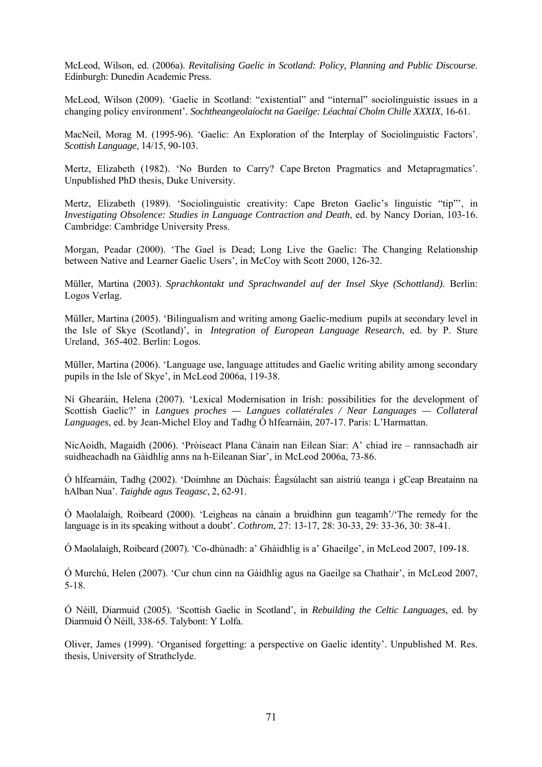McLeod, Wilson, ed. (2006a). *Revitalising Gaelic in Scotland: Policy, Planning and Public Discourse*. Edinburgh: Dunedin Academic Press.

McLeod, Wilson (2009). 'Gaelic in Scotland: "existential" and "internal" sociolinguistic issues in a changing policy environment'. *Sochtheangeolaíocht na Gaeilge: Léachtaí Cholm Chille XXXIX*, 16-61.

MacNeil, Morag M. (1995-96). 'Gaelic: An Exploration of the Interplay of Sociolinguistic Factors'. *Scottish Language*, 14/15, 90-103.

Mertz, Elizabeth (1982). 'No Burden to Carry? Cape Breton Pragmatics and Metapragmatics'. Unpublished PhD thesis, Duke University.

Mertz, Elizabeth (1989). 'Sociolinguistic creativity: Cape Breton Gaelic's linguistic "tip"', in *Investigating Obsolence: Studies in Language Contraction and Death*, ed. by Nancy Dorian, 103-16. Cambridge: Cambridge University Press.

Morgan, Peadar (2000). 'The Gael is Dead; Long Live the Gaelic: The Changing Relationship between Native and Learner Gaelic Users', in McCoy with Scott 2000, 126-32.

Müller, Martina (2003). *Sprachkontakt und Sprachwandel auf der Insel Skye (Schottland).* Berlin: Logos Verlag.

Müller, Martina (2005). 'Bilingualism and writing among Gaelic-medium pupils at secondary level in the Isle of Skye (Scotland)', in *Integration of European Language Research*, ed. by P. Sture Ureland, 365-402. Berlin: Logos.

Müller, Martina (2006). 'Language use, language attitudes and Gaelic writing ability among secondary pupils in the Isle of Skye', in McLeod 2006a, 119-38.

Ní Ghearáin, Helena (2007). 'Lexical Modernisation in Irish: possibilities for the development of Scottish Gaelic?' in *Langues proches — Langues collatérales / Near Languages — Collateral Languages*, ed. by Jean-Michel Eloy and Tadhg Ó hIfearnáin, 207-17. Paris: L'Harmattan.

NicAoidh, Magaidh (2006). 'Pròiseact Plana Cànain nan Eilean Siar: A' chiad ìre – rannsachadh air suidheachadh na Gàidhlig anns na h-Eileanan Siar', in McLeod 2006a, 73-86.

Ó hIfearnáin, Tadhg (2002). 'Doimhne an Dúchais: Éagsúlacht san aistriú teanga i gCeap Breatainn na hAlban Nua'. *Taighde agus Teagasc*, 2, 62-91.

Ó Maolalaigh, Roibeard (2000). 'Leigheas na cànain a bruidhinn gun teagamh'/'The remedy for the language is in its speaking without a doubt'. *Cothrom*, 27: 13-17, 28: 30-33, 29: 33-36, 30: 38-41.

Ó Maolalaigh, Roibeard (2007). 'Co-dhùnadh: a' Ghàidhlig is a' Ghaeilge', in McLeod 2007, 109-18.

Ó Murchú, Helen (2007). 'Cur chun cinn na Gàidhlig agus na Gaeilge sa Chathair', in McLeod 2007, 5-18.

Ó Néill, Diarmuid (2005). 'Scottish Gaelic in Scotland', in *Rebuilding the Celtic Languages*, ed. by Diarmuid Ó Néill, 338-65. Talybont: Y Lolfa.

Oliver, James (1999). 'Organised forgetting: a perspective on Gaelic identity'. Unpublished M. Res. thesis, University of Strathclyde.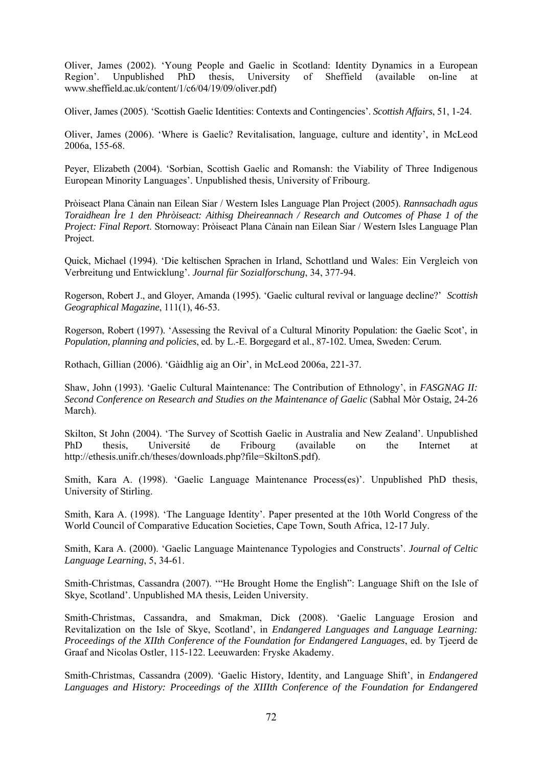Oliver, James (2002). 'Young People and Gaelic in Scotland: Identity Dynamics in a European Region'. Unpublished PhD thesis, University of Sheffield (available on-line at www.sheffield.ac.uk/content/1/c6/04/19/09/oliver.pdf)

Oliver, James (2005). 'Scottish Gaelic Identities: Contexts and Contingencies'. *Scottish Affairs*, 51, 1-24.

Oliver, James (2006). 'Where is Gaelic? Revitalisation, language, culture and identity', in McLeod 2006a, 155-68.

Peyer, Elizabeth (2004). 'Sorbian, Scottish Gaelic and Romansh: the Viability of Three Indigenous European Minority Languages'. Unpublished thesis, University of Fribourg.

Pròiseact Plana Cànain nan Eilean Siar / Western Isles Language Plan Project (2005). *Rannsachadh agus Toraidhean Ìre 1 den Phròiseact: Aithisg Dheireannach / Research and Outcomes of Phase 1 of the Project: Final Report*. Stornoway: Pròiseact Plana Cànain nan Eilean Siar / Western Isles Language Plan Project.

Quick, Michael (1994). 'Die keltischen Sprachen in Irland, Schottland und Wales: Ein Vergleich von Verbreitung und Entwicklung'. *Journal für Sozialforschung*, 34, 377-94.

Rogerson, Robert J., and Gloyer, Amanda (1995). 'Gaelic cultural revival or language decline?' *Scottish Geographical Magazine*, 111(1), 46-53.

Rogerson, Robert (1997). 'Assessing the Revival of a Cultural Minority Population: the Gaelic Scot', in *Population, planning and policies*, ed. by L.-E. Borgegard et al., 87-102. Umea, Sweden: Cerum.

Rothach, Gillian (2006). 'Gàidhlig aig an Oir', in McLeod 2006a, 221-37.

Shaw, John (1993). 'Gaelic Cultural Maintenance: The Contribution of Ethnology', in *FASGNAG II: Second Conference on Research and Studies on the Maintenance of Gaelic* (Sabhal Mòr Ostaig, 24-26 March).

Skilton, St John (2004). 'The Survey of Scottish Gaelic in Australia and New Zealand'. Unpublished PhD thesis, Université de Fribourg (available on the Internet at http://ethesis.unifr.ch/theses/downloads.php?file=SkiltonS.pdf).

Smith, Kara A. (1998). 'Gaelic Language Maintenance Process(es)'. Unpublished PhD thesis, University of Stirling.

Smith, Kara A. (1998). 'The Language Identity'. Paper presented at the 10th World Congress of the World Council of Comparative Education Societies, Cape Town, South Africa, 12-17 July.

Smith, Kara A. (2000). 'Gaelic Language Maintenance Typologies and Constructs'. *Journal of Celtic Language Learning*, 5, 34-61.

Smith-Christmas, Cassandra (2007). '"He Brought Home the English": Language Shift on the Isle of Skye, Scotland'. Unpublished MA thesis, Leiden University.

Smith-Christmas, Cassandra, and Smakman, Dick (2008). 'Gaelic Language Erosion and Revitalization on the Isle of Skye, Scotland', in *Endangered Languages and Language Learning: Proceedings of the XIIth Conference of the Foundation for Endangered Languages*, ed. by Tjeerd de Graaf and Nicolas Ostler, 115-122. Leeuwarden: Fryske Akademy.

Smith-Christmas, Cassandra (2009). 'Gaelic History, Identity, and Language Shift', in *Endangered Languages and History: Proceedings of the XIIIth Conference of the Foundation for Endangered*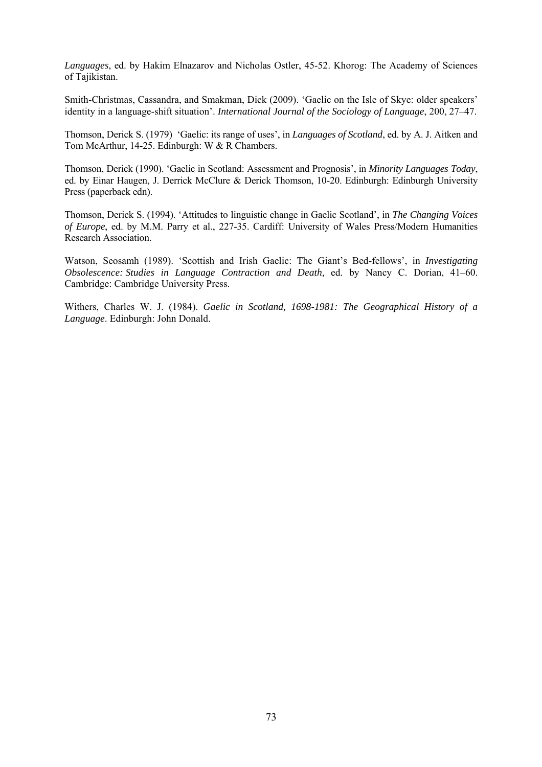*Languages*, ed. by Hakim Elnazarov and Nicholas Ostler, 45-52. Khorog: The Academy of Sciences of Tajikistan.

Smith-Christmas, Cassandra, and Smakman, Dick (2009). 'Gaelic on the Isle of Skye: older speakers' identity in a language-shift situation'. *International Journal of the Sociology of Language*, 200, 27–47.

Thomson, Derick S. (1979) 'Gaelic: its range of uses', in *Languages of Scotland*, ed. by A. J. Aitken and Tom McArthur, 14-25. Edinburgh: W & R Chambers.

Thomson, Derick (1990). 'Gaelic in Scotland: Assessment and Prognosis', in *Minority Languages Today*, ed. by Einar Haugen, J. Derrick McClure & Derick Thomson, 10-20. Edinburgh: Edinburgh University Press (paperback edn).

Thomson, Derick S. (1994). 'Attitudes to linguistic change in Gaelic Scotland', in *The Changing Voices of Europe*, ed. by M.M. Parry et al., 227-35. Cardiff: University of Wales Press/Modern Humanities Research Association.

Watson, Seosamh (1989). 'Scottish and Irish Gaelic: The Giant's Bed-fellows', in *Investigating Obsolescence: Studies in Language Contraction and Death,* ed. by Nancy C. Dorian, 41–60. Cambridge: Cambridge University Press.

Withers, Charles W. J. (1984). *Gaelic in Scotland, 1698-1981: The Geographical History of a Language*. Edinburgh: John Donald.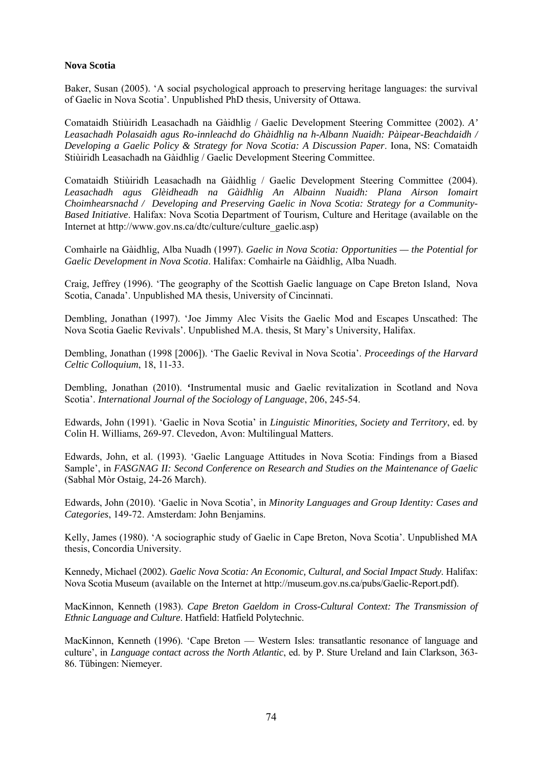## **Nova Scotia**

Baker, Susan (2005). 'A social psychological approach to preserving heritage languages: the survival of Gaelic in Nova Scotia'. Unpublished PhD thesis, University of Ottawa.

Comataidh Stiùiridh Leasachadh na Gàidhlig / Gaelic Development Steering Committee (2002). *A' Leasachadh Polasaidh agus Ro-innleachd do Ghàidhlig na h-Albann Nuaidh: Pàipear-Beachdaidh / Developing a Gaelic Policy & Strategy for Nova Scotia: A Discussion Paper*. Iona, NS: Comataidh Stiùiridh Leasachadh na Gàidhlig / Gaelic Development Steering Committee.

Comataidh Stiùiridh Leasachadh na Gàidhlig / Gaelic Development Steering Committee (2004). *Leasachadh agus Glèidheadh na Gàidhlig An Albainn Nuaidh: Plana Airson Iomairt Choimhearsnachd / Developing and Preserving Gaelic in Nova Scotia: Strategy for a Community-Based Initiative*. Halifax: Nova Scotia Department of Tourism, Culture and Heritage (available on the Internet at http://www.gov.ns.ca/dtc/culture/culture\_gaelic.asp)

Comhairle na Gàidhlig, Alba Nuadh (1997). *Gaelic in Nova Scotia: Opportunities — the Potential for Gaelic Development in Nova Scotia*. Halifax: Comhairle na Gàidhlig, Alba Nuadh.

Craig, Jeffrey (1996). 'The geography of the Scottish Gaelic language on Cape Breton Island, Nova Scotia, Canada'. Unpublished MA thesis, University of Cincinnati.

Dembling, Jonathan (1997). 'Joe Jimmy Alec Visits the Gaelic Mod and Escapes Unscathed: The Nova Scotia Gaelic Revivals'. Unpublished M.A. thesis, St Mary's University, Halifax.

Dembling, Jonathan (1998 [2006]). 'The Gaelic Revival in Nova Scotia'. *Proceedings of the Harvard Celtic Colloquium*, 18, 11-33.

Dembling, Jonathan (2010). **'**Instrumental music and Gaelic revitalization in Scotland and Nova Scotia'. *International Journal of the Sociology of Language*, 206, 245-54.

Edwards, John (1991). 'Gaelic in Nova Scotia' in *Linguistic Minorities, Society and Territory*, ed. by Colin H. Williams, 269-97. Clevedon, Avon: Multilingual Matters.

Edwards, John, et al. (1993). 'Gaelic Language Attitudes in Nova Scotia: Findings from a Biased Sample', in *FASGNAG II: Second Conference on Research and Studies on the Maintenance of Gaelic* (Sabhal Mòr Ostaig, 24-26 March).

Edwards, John (2010). 'Gaelic in Nova Scotia', in *Minority Languages and Group Identity: Cases and Categories*, 149-72. Amsterdam: John Benjamins.

Kelly, James (1980). 'A sociographic study of Gaelic in Cape Breton, Nova Scotia'. Unpublished MA thesis, Concordia University.

Kennedy, Michael (2002). *Gaelic Nova Scotia: An Economic, Cultural, and Social Impact Study*. Halifax: Nova Scotia Museum (available on the Internet at http://museum.gov.ns.ca/pubs/Gaelic-Report.pdf).

MacKinnon, Kenneth (1983). *Cape Breton Gaeldom in Cross-Cultural Context: The Transmission of Ethnic Language and Culture*. Hatfield: Hatfield Polytechnic.

MacKinnon, Kenneth (1996). 'Cape Breton — Western Isles: transatlantic resonance of language and culture', in *Language contact across the North Atlantic*, ed. by P. Sture Ureland and Iain Clarkson, 363- 86. Tübingen: Niemeyer.